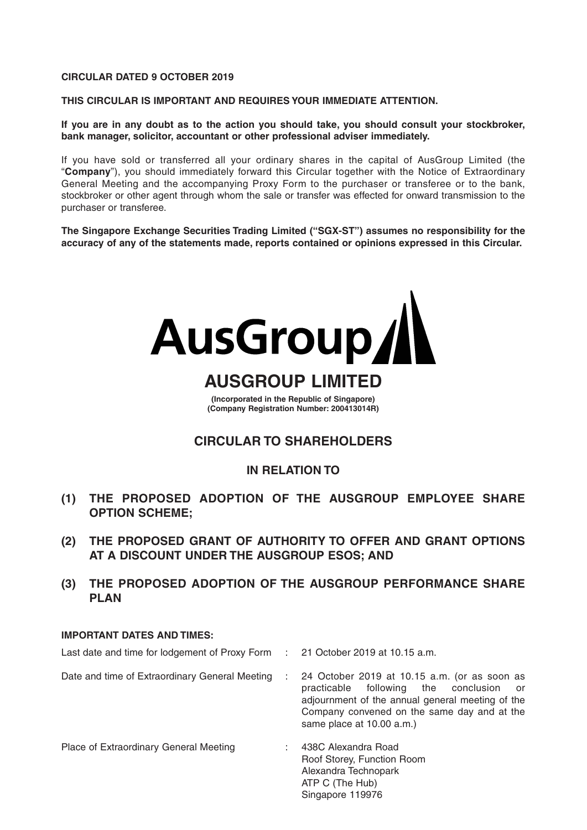#### **CIRCULAR DATED 9 OCTOBER 2019**

**THIS CIRCULAR IS IMPORTANT AND REQUIRES YOUR IMMEDIATE ATTENTION.**

**If you are in any doubt as to the action you should take, you should consult your stockbroker, bank manager, solicitor, accountant or other professional adviser immediately.**

If you have sold or transferred all your ordinary shares in the capital of AusGroup Limited (the "**Company**"), you should immediately forward this Circular together with the Notice of Extraordinary General Meeting and the accompanying Proxy Form to the purchaser or transferee or to the bank, stockbroker or other agent through whom the sale or transfer was effected for onward transmission to the purchaser or transferee.

**The Singapore Exchange Securities Trading Limited ("SGX-ST") assumes no responsibility for the accuracy of any of the statements made, reports contained or opinions expressed in this Circular.**



# **AUSGROUP LIMITED**

**(Incorporated in the Republic of Singapore) (Company Registration Number: 200413014R)** 

### **CIRCULAR TO SHAREHOLDERS**

### **IN RELATION TO**

- **(1) THE PROPOSED ADOPTION OF THE AUSGROUP EMPLOYEE SHARE OPTION SCHEME;**
- **(2) THE PROPOSED GRANT OF AUTHORITY TO OFFER AND GRANT OPTIONS AT A DISCOUNT UNDER THE AUSGROUP ESOS; AND**
- **(3) THE PROPOSED ADOPTION OF THE AUSGROUP PERFORMANCE SHARE PLAN**

#### **IMPORTANT DATES AND TIMES:**

Last date and time for lodgement of Proxy Form : 21 October 2019 at 10.15 a.m. Date and time of Extraordinary General Meeting : 24 October 2019 at 10.15 a.m. (or as soon as practicable following the conclusion or adjournment of the annual general meeting of the Company convened on the same day and at the same place at 10.00 a.m.) Place of Extraordinary General Meeting : 438C Alexandra Road Roof Storey, Function Room Alexandra Technopark ATP C (The Hub)

Singapore 119976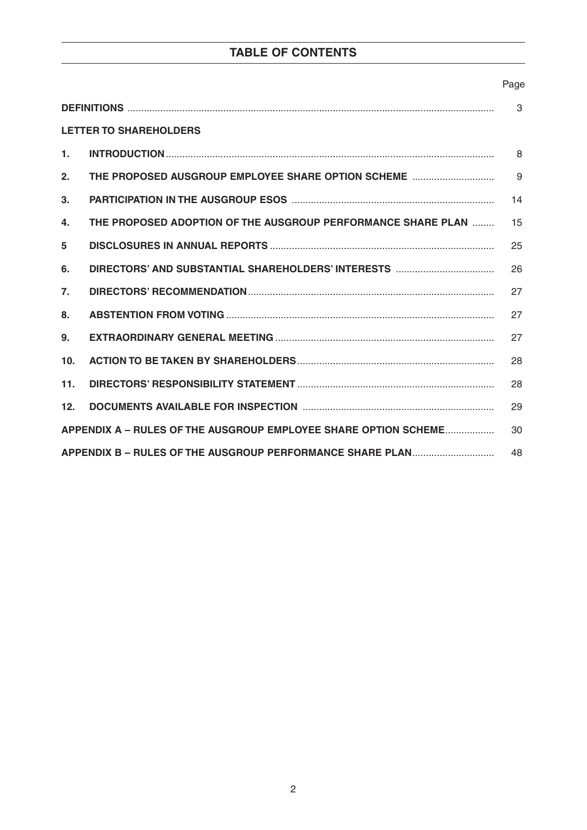# **TABLE OF CONTENTS**

#### Page

| 3                                                                     |                                                              |    |  |  |  |
|-----------------------------------------------------------------------|--------------------------------------------------------------|----|--|--|--|
|                                                                       | <b>LETTER TO SHAREHOLDERS</b>                                |    |  |  |  |
| $\mathbf{1}$ .                                                        |                                                              | 8  |  |  |  |
| 2.                                                                    | THE PROPOSED AUSGROUP EMPLOYEE SHARE OPTION SCHEME           | 9  |  |  |  |
| 3.                                                                    |                                                              | 14 |  |  |  |
| 4.                                                                    | THE PROPOSED ADOPTION OF THE AUSGROUP PERFORMANCE SHARE PLAN | 15 |  |  |  |
| 5                                                                     |                                                              | 25 |  |  |  |
| 6.                                                                    |                                                              | 26 |  |  |  |
| 7.                                                                    |                                                              | 27 |  |  |  |
| 8.                                                                    |                                                              | 27 |  |  |  |
| 9.                                                                    |                                                              | 27 |  |  |  |
| 10 <sub>1</sub>                                                       |                                                              | 28 |  |  |  |
| 11.                                                                   |                                                              | 28 |  |  |  |
| 12 <sub>1</sub>                                                       |                                                              | 29 |  |  |  |
| APPENDIX A - RULES OF THE AUSGROUP EMPLOYEE SHARE OPTION SCHEME<br>30 |                                                              |    |  |  |  |
| APPENDIX B - RULES OF THE AUSGROUP PERFORMANCE SHARE PLAN<br>48       |                                                              |    |  |  |  |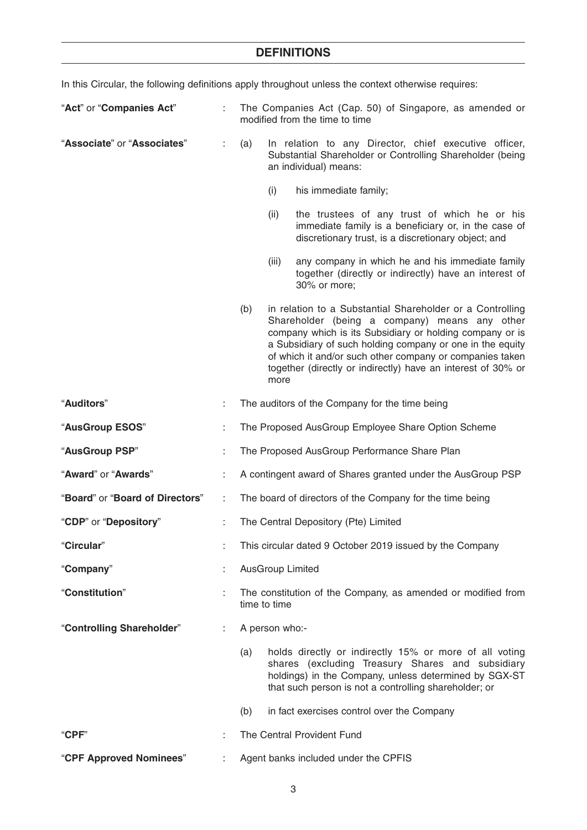In this Circular, the following definitions apply throughout unless the context otherwise requires:

| "Act" or "Companies Act"        |    | The Companies Act (Cap. 50) of Singapore, as amended or<br>modified from the time to time                                                                           |                         |                                                                                                                                                                                                                                                                                                                                                                 |
|---------------------------------|----|---------------------------------------------------------------------------------------------------------------------------------------------------------------------|-------------------------|-----------------------------------------------------------------------------------------------------------------------------------------------------------------------------------------------------------------------------------------------------------------------------------------------------------------------------------------------------------------|
| "Associate" or "Associates"     | ÷. | (a)<br>In relation to any Director, chief executive officer,<br>Substantial Shareholder or Controlling Shareholder (being<br>an individual) means:                  |                         |                                                                                                                                                                                                                                                                                                                                                                 |
|                                 |    | (i)<br>his immediate family;                                                                                                                                        |                         |                                                                                                                                                                                                                                                                                                                                                                 |
|                                 |    | (ii)<br>the trustees of any trust of which he or his<br>immediate family is a beneficiary or, in the case of<br>discretionary trust, is a discretionary object; and |                         |                                                                                                                                                                                                                                                                                                                                                                 |
|                                 |    |                                                                                                                                                                     | (iii)                   | any company in which he and his immediate family<br>together (directly or indirectly) have an interest of<br>30% or more;                                                                                                                                                                                                                                       |
|                                 |    | (b)                                                                                                                                                                 | more                    | in relation to a Substantial Shareholder or a Controlling<br>Shareholder (being a company) means any other<br>company which is its Subsidiary or holding company or is<br>a Subsidiary of such holding company or one in the equity<br>of which it and/or such other company or companies taken<br>together (directly or indirectly) have an interest of 30% or |
| "Auditors"                      |    | The auditors of the Company for the time being                                                                                                                      |                         |                                                                                                                                                                                                                                                                                                                                                                 |
| "AusGroup ESOS"                 |    | The Proposed AusGroup Employee Share Option Scheme                                                                                                                  |                         |                                                                                                                                                                                                                                                                                                                                                                 |
| "AusGroup PSP"                  |    | The Proposed AusGroup Performance Share Plan                                                                                                                        |                         |                                                                                                                                                                                                                                                                                                                                                                 |
| "Award" or "Awards"             |    | A contingent award of Shares granted under the AusGroup PSP                                                                                                         |                         |                                                                                                                                                                                                                                                                                                                                                                 |
| "Board" or "Board of Directors" | ÷  |                                                                                                                                                                     |                         | The board of directors of the Company for the time being                                                                                                                                                                                                                                                                                                        |
| "CDP" or "Depository"           |    |                                                                                                                                                                     |                         | The Central Depository (Pte) Limited                                                                                                                                                                                                                                                                                                                            |
| "Circular"                      |    |                                                                                                                                                                     |                         | This circular dated 9 October 2019 issued by the Company                                                                                                                                                                                                                                                                                                        |
| "Company"                       |    |                                                                                                                                                                     | <b>AusGroup Limited</b> |                                                                                                                                                                                                                                                                                                                                                                 |
| "Constitution"                  |    | The constitution of the Company, as amended or modified from<br>time to time                                                                                        |                         |                                                                                                                                                                                                                                                                                                                                                                 |
| "Controlling Shareholder"       | ÷  | A person who:-                                                                                                                                                      |                         |                                                                                                                                                                                                                                                                                                                                                                 |
|                                 |    | (a)                                                                                                                                                                 |                         | holds directly or indirectly 15% or more of all voting<br>shares (excluding Treasury Shares and subsidiary<br>holdings) in the Company, unless determined by SGX-ST<br>that such person is not a controlling shareholder; or                                                                                                                                    |
|                                 |    | (b)                                                                                                                                                                 |                         | in fact exercises control over the Company                                                                                                                                                                                                                                                                                                                      |
| "CPF"                           |    |                                                                                                                                                                     |                         | The Central Provident Fund                                                                                                                                                                                                                                                                                                                                      |
| "CPF Approved Nominees"         |    |                                                                                                                                                                     |                         | Agent banks included under the CPFIS                                                                                                                                                                                                                                                                                                                            |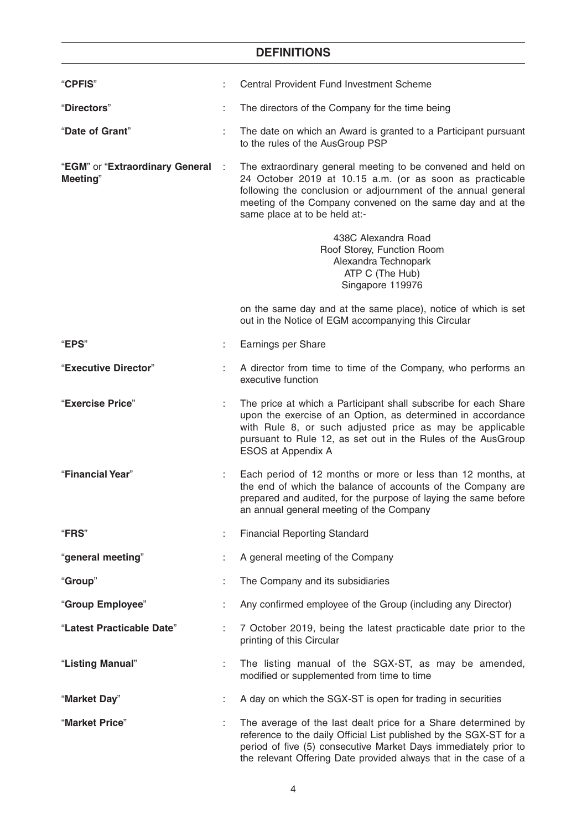| "CPFIS"                                     |     | Central Provident Fund Investment Scheme                                                                                                                                                                                                                                                 |
|---------------------------------------------|-----|------------------------------------------------------------------------------------------------------------------------------------------------------------------------------------------------------------------------------------------------------------------------------------------|
| "Directors"                                 |     | The directors of the Company for the time being                                                                                                                                                                                                                                          |
| "Date of Grant"                             |     | The date on which an Award is granted to a Participant pursuant<br>to the rules of the AusGroup PSP                                                                                                                                                                                      |
| "EGM" or "Extraordinary General<br>Meeting" | - 1 | The extraordinary general meeting to be convened and held on<br>24 October 2019 at 10.15 a.m. (or as soon as practicable<br>following the conclusion or adjournment of the annual general<br>meeting of the Company convened on the same day and at the<br>same place at to be held at:- |
|                                             |     | 438C Alexandra Road<br>Roof Storey, Function Room<br>Alexandra Technopark<br>ATP C (The Hub)<br>Singapore 119976                                                                                                                                                                         |
|                                             |     | on the same day and at the same place), notice of which is set<br>out in the Notice of EGM accompanying this Circular                                                                                                                                                                    |
| <b>"EPS"</b>                                |     | Earnings per Share                                                                                                                                                                                                                                                                       |
| "Executive Director"                        |     | A director from time to time of the Company, who performs an<br>executive function                                                                                                                                                                                                       |
| "Exercise Price"                            |     | The price at which a Participant shall subscribe for each Share<br>upon the exercise of an Option, as determined in accordance<br>with Rule 8, or such adjusted price as may be applicable<br>pursuant to Rule 12, as set out in the Rules of the AusGroup<br>ESOS at Appendix A         |
| "Financial Year"                            | ÷   | Each period of 12 months or more or less than 12 months, at<br>the end of which the balance of accounts of the Company are<br>prepared and audited, for the purpose of laying the same before<br>an annual general meeting of the Company                                                |
| "FRS"                                       |     | <b>Financial Reporting Standard</b>                                                                                                                                                                                                                                                      |
| "general meeting"                           |     | A general meeting of the Company                                                                                                                                                                                                                                                         |
| "Group"                                     |     | The Company and its subsidiaries                                                                                                                                                                                                                                                         |
| "Group Employee"                            |     | Any confirmed employee of the Group (including any Director)                                                                                                                                                                                                                             |
| "Latest Practicable Date"                   |     | 7 October 2019, being the latest practicable date prior to the<br>printing of this Circular                                                                                                                                                                                              |
| "Listing Manual"                            |     | The listing manual of the SGX-ST, as may be amended,<br>modified or supplemented from time to time                                                                                                                                                                                       |
| "Market Day"                                |     | A day on which the SGX-ST is open for trading in securities                                                                                                                                                                                                                              |
| "Market Price"                              |     | The average of the last dealt price for a Share determined by<br>reference to the daily Official List published by the SGX-ST for a<br>period of five (5) consecutive Market Days immediately prior to<br>the relevant Offering Date provided always that in the case of a               |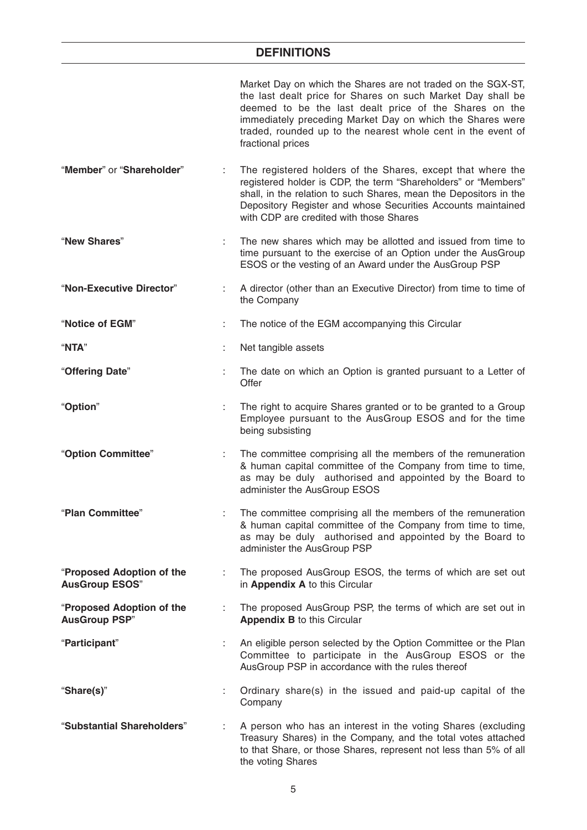|                                                    |    | Market Day on which the Shares are not traded on the SGX-ST,<br>the last dealt price for Shares on such Market Day shall be<br>deemed to be the last dealt price of the Shares on the<br>immediately preceding Market Day on which the Shares were<br>traded, rounded up to the nearest whole cent in the event of<br>fractional prices |
|----------------------------------------------------|----|-----------------------------------------------------------------------------------------------------------------------------------------------------------------------------------------------------------------------------------------------------------------------------------------------------------------------------------------|
| "Member" or "Shareholder"                          |    | The registered holders of the Shares, except that where the<br>registered holder is CDP, the term "Shareholders" or "Members"<br>shall, in the relation to such Shares, mean the Depositors in the<br>Depository Register and whose Securities Accounts maintained<br>with CDP are credited with those Shares                           |
| "New Shares"                                       |    | The new shares which may be allotted and issued from time to<br>time pursuant to the exercise of an Option under the AusGroup<br>ESOS or the vesting of an Award under the AusGroup PSP                                                                                                                                                 |
| "Non-Executive Director"                           |    | A director (other than an Executive Director) from time to time of<br>the Company                                                                                                                                                                                                                                                       |
| "Notice of EGM"                                    | ÷  | The notice of the EGM accompanying this Circular                                                                                                                                                                                                                                                                                        |
| "NTA"                                              | ÷  | Net tangible assets                                                                                                                                                                                                                                                                                                                     |
| "Offering Date"                                    | ÷  | The date on which an Option is granted pursuant to a Letter of<br>Offer                                                                                                                                                                                                                                                                 |
| "Option"                                           | ÷  | The right to acquire Shares granted or to be granted to a Group<br>Employee pursuant to the AusGroup ESOS and for the time<br>being subsisting                                                                                                                                                                                          |
| "Option Committee"                                 |    | The committee comprising all the members of the remuneration<br>& human capital committee of the Company from time to time,<br>as may be duly authorised and appointed by the Board to<br>administer the AusGroup ESOS                                                                                                                  |
| "Plan Committee"                                   |    | The committee comprising all the members of the remuneration<br>& human capital committee of the Company from time to time,<br>as may be duly authorised and appointed by the Board to<br>administer the AusGroup PSP                                                                                                                   |
| "Proposed Adoption of the<br><b>AusGroup ESOS"</b> |    | The proposed AusGroup ESOS, the terms of which are set out<br>in Appendix A to this Circular                                                                                                                                                                                                                                            |
| "Proposed Adoption of the<br><b>AusGroup PSP"</b>  | ÷  | The proposed AusGroup PSP, the terms of which are set out in<br><b>Appendix B to this Circular</b>                                                                                                                                                                                                                                      |
| "Participant"                                      | ÷  | An eligible person selected by the Option Committee or the Plan<br>Committee to participate in the AusGroup ESOS or the<br>AusGroup PSP in accordance with the rules thereof                                                                                                                                                            |
| "Share(s)"                                         | ÷. | Ordinary share(s) in the issued and paid-up capital of the<br>Company                                                                                                                                                                                                                                                                   |
| "Substantial Shareholders"                         |    | A person who has an interest in the voting Shares (excluding<br>Treasury Shares) in the Company, and the total votes attached<br>to that Share, or those Shares, represent not less than 5% of all<br>the voting Shares                                                                                                                 |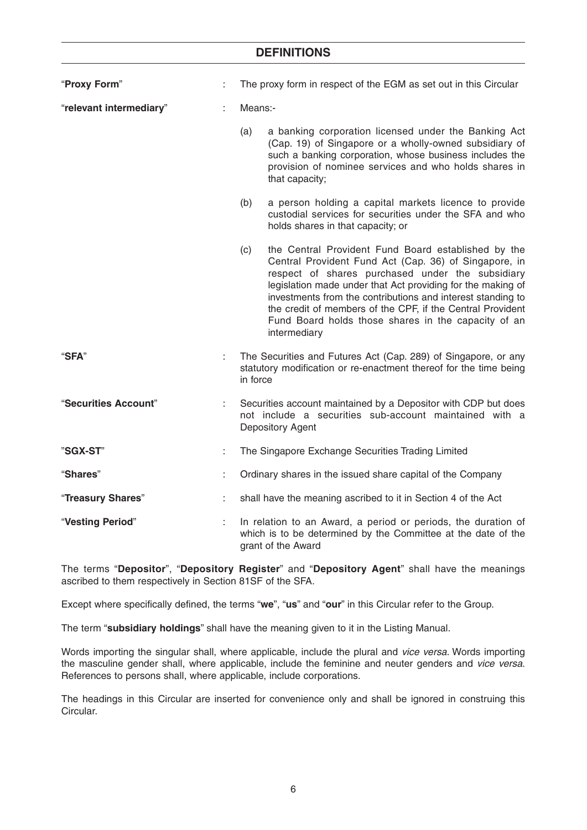| "Proxy Form"            |    | The proxy form in respect of the EGM as set out in this Circular                                                                                     |                                                                                                                                                                                                                                                                                                                                                                                                                                     |  |  |
|-------------------------|----|------------------------------------------------------------------------------------------------------------------------------------------------------|-------------------------------------------------------------------------------------------------------------------------------------------------------------------------------------------------------------------------------------------------------------------------------------------------------------------------------------------------------------------------------------------------------------------------------------|--|--|
| "relevant intermediary" |    | Means:-                                                                                                                                              |                                                                                                                                                                                                                                                                                                                                                                                                                                     |  |  |
|                         |    | (a)                                                                                                                                                  | a banking corporation licensed under the Banking Act<br>(Cap. 19) of Singapore or a wholly-owned subsidiary of<br>such a banking corporation, whose business includes the<br>provision of nominee services and who holds shares in<br>that capacity;                                                                                                                                                                                |  |  |
|                         |    | (b)                                                                                                                                                  | a person holding a capital markets licence to provide<br>custodial services for securities under the SFA and who<br>holds shares in that capacity; or                                                                                                                                                                                                                                                                               |  |  |
|                         |    | (c)                                                                                                                                                  | the Central Provident Fund Board established by the<br>Central Provident Fund Act (Cap. 36) of Singapore, in<br>respect of shares purchased under the subsidiary<br>legislation made under that Act providing for the making of<br>investments from the contributions and interest standing to<br>the credit of members of the CPF, if the Central Provident<br>Fund Board holds those shares in the capacity of an<br>intermediary |  |  |
| "SFA"                   | ÷  | in force                                                                                                                                             | The Securities and Futures Act (Cap. 289) of Singapore, or any<br>statutory modification or re-enactment thereof for the time being                                                                                                                                                                                                                                                                                                 |  |  |
| "Securities Account"    |    | Securities account maintained by a Depositor with CDP but does<br>not include a securities sub-account maintained with a<br>Depository Agent         |                                                                                                                                                                                                                                                                                                                                                                                                                                     |  |  |
| "SGX-ST"                | ÷  |                                                                                                                                                      | The Singapore Exchange Securities Trading Limited                                                                                                                                                                                                                                                                                                                                                                                   |  |  |
| "Shares"                |    |                                                                                                                                                      | Ordinary shares in the issued share capital of the Company                                                                                                                                                                                                                                                                                                                                                                          |  |  |
| "Treasury Shares"       |    |                                                                                                                                                      | shall have the meaning ascribed to it in Section 4 of the Act                                                                                                                                                                                                                                                                                                                                                                       |  |  |
| "Vesting Period"        | t, | In relation to an Award, a period or periods, the duration of<br>which is to be determined by the Committee at the date of the<br>grant of the Award |                                                                                                                                                                                                                                                                                                                                                                                                                                     |  |  |

The terms "**Depositor**", "**Depository Register**" and "**Depository Agent**" shall have the meanings ascribed to them respectively in Section 81SF of the SFA.

Except where specifically defined, the terms "**we**", "**us**" and "**our**" in this Circular refer to the Group.

The term "**subsidiary holdings**" shall have the meaning given to it in the Listing Manual.

Words importing the singular shall, where applicable, include the plural and vice versa. Words importing the masculine gender shall, where applicable, include the feminine and neuter genders and vice versa. References to persons shall, where applicable, include corporations.

The headings in this Circular are inserted for convenience only and shall be ignored in construing this Circular.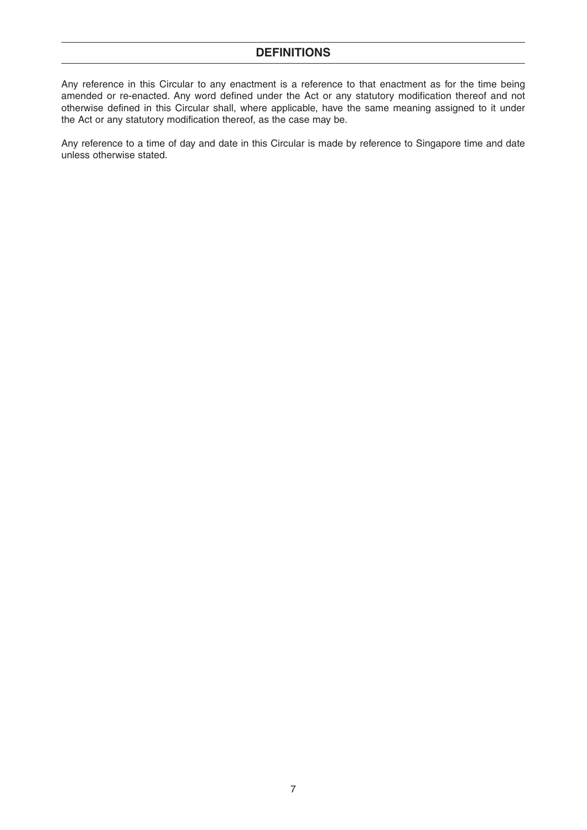Any reference in this Circular to any enactment is a reference to that enactment as for the time being amended or re-enacted. Any word defined under the Act or any statutory modification thereof and not otherwise defined in this Circular shall, where applicable, have the same meaning assigned to it under the Act or any statutory modification thereof, as the case may be.

Any reference to a time of day and date in this Circular is made by reference to Singapore time and date unless otherwise stated.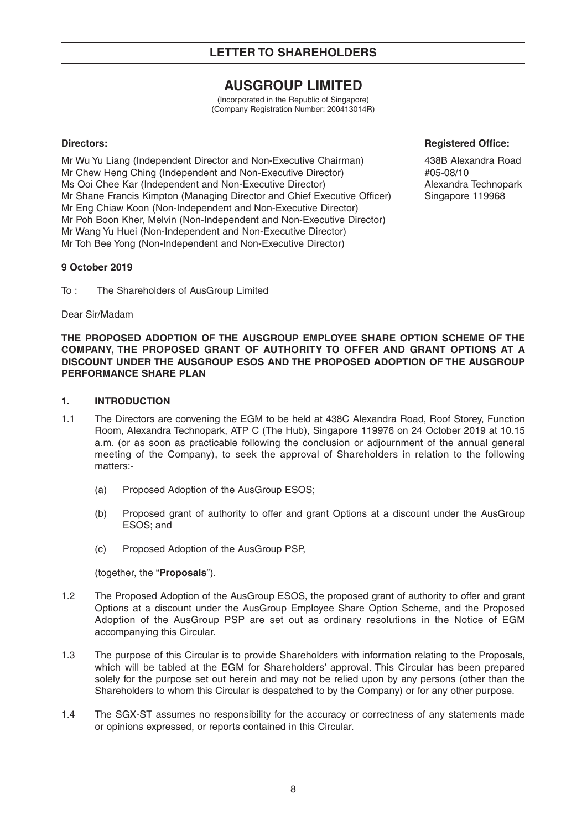# **AUSGROUP LIMITED**

(Incorporated in the Republic of Singapore) (Company Registration Number: 200413014R)

Mr Wu Yu Liang (Independent Director and Non-Executive Chairman) 438B Alexandra Road Mr Chew Heng Ching (Independent and Non-Executive Director)  $\#05-08/10$ Ms Ooi Chee Kar (Independent and Non-Executive Director) Alexandra Technopark Mr Shane Francis Kimpton (Managing Director and Chief Executive Officer) Singapore 119968 Mr Eng Chiaw Koon (Non-Independent and Non-Executive Director) Mr Poh Boon Kher, Melvin (Non-Independent and Non-Executive Director) Mr Wang Yu Huei (Non-Independent and Non-Executive Director) Mr Toh Bee Yong (Non-Independent and Non-Executive Director)

#### **Directors: Registered Office:**

#### **9 October 2019**

To : The Shareholders of AusGroup Limited

Dear Sir/Madam

**THE PROPOSED ADOPTION OF THE AUSGROUP EMPLOYEE SHARE OPTION SCHEME OF THE COMPANY, THE PROPOSED GRANT OF AUTHORITY TO OFFER AND GRANT OPTIONS AT A DISCOUNT UNDER THE AUSGROUP ESOS AND THE PROPOSED ADOPTION OF THE AUSGROUP PERFORMANCE SHARE PLAN**

#### **1. INTRODUCTION**

- 1.1 The Directors are convening the EGM to be held at 438C Alexandra Road, Roof Storey, Function Room, Alexandra Technopark, ATP C (The Hub), Singapore 119976 on 24 October 2019 at 10.15 a.m. (or as soon as practicable following the conclusion or adjournment of the annual general meeting of the Company), to seek the approval of Shareholders in relation to the following matters:-
	- (a) Proposed Adoption of the AusGroup ESOS;
	- (b) Proposed grant of authority to offer and grant Options at a discount under the AusGroup ESOS; and
	- (c) Proposed Adoption of the AusGroup PSP,

#### (together, the "**Proposals**").

- 1.2 The Proposed Adoption of the AusGroup ESOS, the proposed grant of authority to offer and grant Options at a discount under the AusGroup Employee Share Option Scheme, and the Proposed Adoption of the AusGroup PSP are set out as ordinary resolutions in the Notice of EGM accompanying this Circular.
- 1.3 The purpose of this Circular is to provide Shareholders with information relating to the Proposals, which will be tabled at the EGM for Shareholders' approval. This Circular has been prepared solely for the purpose set out herein and may not be relied upon by any persons (other than the Shareholders to whom this Circular is despatched to by the Company) or for any other purpose.
- 1.4 The SGX-ST assumes no responsibility for the accuracy or correctness of any statements made or opinions expressed, or reports contained in this Circular.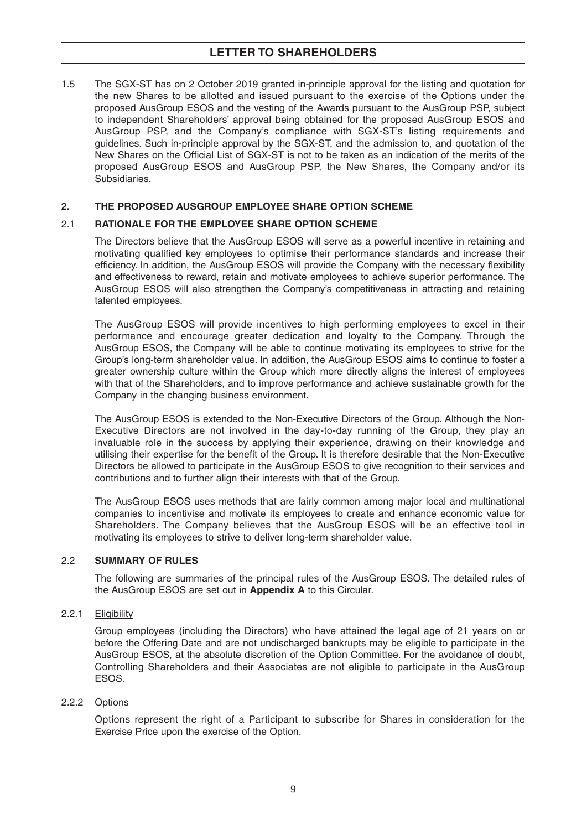### **LETTER TO SHAREHOLDERS**

1.5 The SGX-ST has on 2 October 2019 granted in-principle approval for the listing and quotation for the new Shares to be allotted and issued pursuant to the exercise of the Options under the proposed AusGroup ESOS and the vesting of the Awards pursuant to the AusGroup PSP, subject to independent Shareholders' approval being obtained for the proposed AusGroup ESOS and AusGroup PSP, and the Company's compliance with SGX-ST's listing requirements and guidelines. Such in-principle approval by the SGX-ST, and the admission to, and quotation of the New Shares on the Official List of SGX-ST is not to be taken as an indication of the merits of the proposed AusGroup ESOS and AusGroup PSP, the New Shares, the Company and/or its Subsidiaries.

#### **2. THE PROPOSED AUSGROUP EMPLOYEE SHARE OPTION SCHEME**

#### 2.1 **RATIONALE FOR THE EMPLOYEE SHARE OPTION SCHEME**

The Directors believe that the AusGroup ESOS will serve as a powerful incentive in retaining and motivating qualified key employees to optimise their performance standards and increase their efficiency. In addition, the AusGroup ESOS will provide the Company with the necessary flexibility and effectiveness to reward, retain and motivate employees to achieve superior performance. The AusGroup ESOS will also strengthen the Company's competitiveness in attracting and retaining talented employees.

The AusGroup ESOS will provide incentives to high performing employees to excel in their performance and encourage greater dedication and loyalty to the Company. Through the AusGroup ESOS, the Company will be able to continue motivating its employees to strive for the Group's long-term shareholder value. In addition, the AusGroup ESOS aims to continue to foster a greater ownership culture within the Group which more directly aligns the interest of employees with that of the Shareholders, and to improve performance and achieve sustainable growth for the Company in the changing business environment.

The AusGroup ESOS is extended to the Non-Executive Directors of the Group. Although the Non-Executive Directors are not involved in the day-to-day running of the Group, they play an invaluable role in the success by applying their experience, drawing on their knowledge and utilising their expertise for the benefit of the Group. It is therefore desirable that the Non-Executive Directors be allowed to participate in the AusGroup ESOS to give recognition to their services and contributions and to further align their interests with that of the Group.

The AusGroup ESOS uses methods that are fairly common among major local and multinational companies to incentivise and motivate its employees to create and enhance economic value for Shareholders. The Company believes that the AusGroup ESOS will be an effective tool in motivating its employees to strive to deliver long-term shareholder value.

#### 2.2 **SUMMARY OF RULES**

The following are summaries of the principal rules of the AusGroup ESOS. The detailed rules of the AusGroup ESOS are set out in **Appendix A** to this Circular.

#### 2.2.1 Eligibility

Group employees (including the Directors) who have attained the legal age of 21 years on or before the Offering Date and are not undischarged bankrupts may be eligible to participate in the AusGroup ESOS, at the absolute discretion of the Option Committee. For the avoidance of doubt, Controlling Shareholders and their Associates are not eligible to participate in the AusGroup ESOS.

#### 2.2.2 Options

Options represent the right of a Participant to subscribe for Shares in consideration for the Exercise Price upon the exercise of the Option.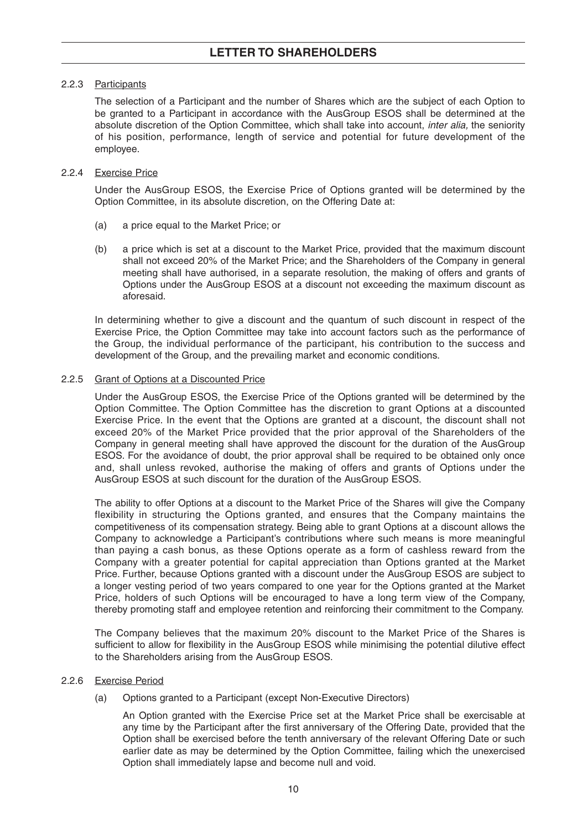#### 2.2.3 Participants

The selection of a Participant and the number of Shares which are the subject of each Option to be granted to a Participant in accordance with the AusGroup ESOS shall be determined at the absolute discretion of the Option Committee, which shall take into account, *inter alia*, the seniority of his position, performance, length of service and potential for future development of the employee.

#### 2.2.4 Exercise Price

Under the AusGroup ESOS, the Exercise Price of Options granted will be determined by the Option Committee, in its absolute discretion, on the Offering Date at:

- (a) a price equal to the Market Price; or
- (b) a price which is set at a discount to the Market Price, provided that the maximum discount shall not exceed 20% of the Market Price; and the Shareholders of the Company in general meeting shall have authorised, in a separate resolution, the making of offers and grants of Options under the AusGroup ESOS at a discount not exceeding the maximum discount as aforesaid.

In determining whether to give a discount and the quantum of such discount in respect of the Exercise Price, the Option Committee may take into account factors such as the performance of the Group, the individual performance of the participant, his contribution to the success and development of the Group, and the prevailing market and economic conditions.

#### 2.2.5 Grant of Options at a Discounted Price

Under the AusGroup ESOS, the Exercise Price of the Options granted will be determined by the Option Committee. The Option Committee has the discretion to grant Options at a discounted Exercise Price. In the event that the Options are granted at a discount, the discount shall not exceed 20% of the Market Price provided that the prior approval of the Shareholders of the Company in general meeting shall have approved the discount for the duration of the AusGroup ESOS. For the avoidance of doubt, the prior approval shall be required to be obtained only once and, shall unless revoked, authorise the making of offers and grants of Options under the AusGroup ESOS at such discount for the duration of the AusGroup ESOS.

The ability to offer Options at a discount to the Market Price of the Shares will give the Company flexibility in structuring the Options granted, and ensures that the Company maintains the competitiveness of its compensation strategy. Being able to grant Options at a discount allows the Company to acknowledge a Participant's contributions where such means is more meaningful than paying a cash bonus, as these Options operate as a form of cashless reward from the Company with a greater potential for capital appreciation than Options granted at the Market Price. Further, because Options granted with a discount under the AusGroup ESOS are subject to a longer vesting period of two years compared to one year for the Options granted at the Market Price, holders of such Options will be encouraged to have a long term view of the Company, thereby promoting staff and employee retention and reinforcing their commitment to the Company.

The Company believes that the maximum 20% discount to the Market Price of the Shares is sufficient to allow for flexibility in the AusGroup ESOS while minimising the potential dilutive effect to the Shareholders arising from the AusGroup ESOS.

#### 2.2.6 Exercise Period

(a) Options granted to a Participant (except Non-Executive Directors)

An Option granted with the Exercise Price set at the Market Price shall be exercisable at any time by the Participant after the first anniversary of the Offering Date, provided that the Option shall be exercised before the tenth anniversary of the relevant Offering Date or such earlier date as may be determined by the Option Committee, failing which the unexercised Option shall immediately lapse and become null and void.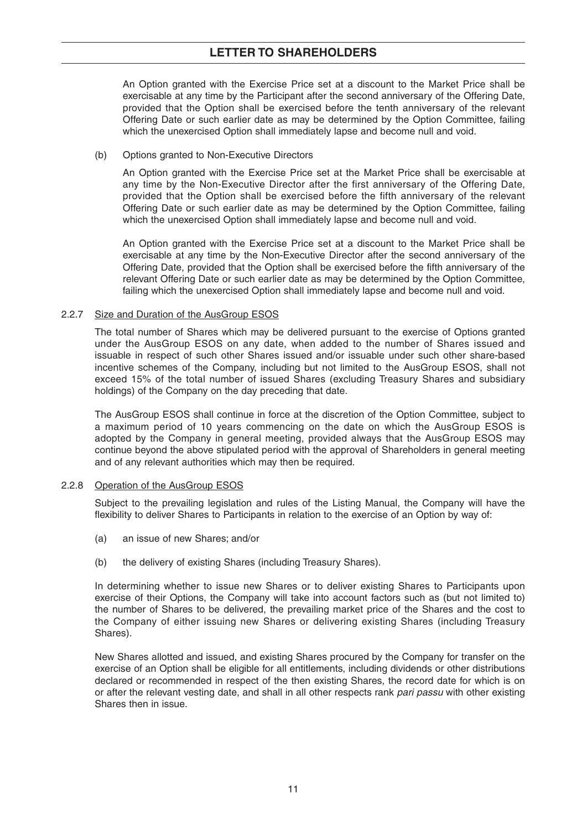### **LETTER TO SHAREHOLDERS**

An Option granted with the Exercise Price set at a discount to the Market Price shall be exercisable at any time by the Participant after the second anniversary of the Offering Date, provided that the Option shall be exercised before the tenth anniversary of the relevant Offering Date or such earlier date as may be determined by the Option Committee, failing which the unexercised Option shall immediately lapse and become null and void.

#### (b) Options granted to Non-Executive Directors

An Option granted with the Exercise Price set at the Market Price shall be exercisable at any time by the Non-Executive Director after the first anniversary of the Offering Date, provided that the Option shall be exercised before the fifth anniversary of the relevant Offering Date or such earlier date as may be determined by the Option Committee, failing which the unexercised Option shall immediately lapse and become null and void.

An Option granted with the Exercise Price set at a discount to the Market Price shall be exercisable at any time by the Non-Executive Director after the second anniversary of the Offering Date, provided that the Option shall be exercised before the fifth anniversary of the relevant Offering Date or such earlier date as may be determined by the Option Committee, failing which the unexercised Option shall immediately lapse and become null and void.

#### 2.2.7 Size and Duration of the AusGroup ESOS

The total number of Shares which may be delivered pursuant to the exercise of Options granted under the AusGroup ESOS on any date, when added to the number of Shares issued and issuable in respect of such other Shares issued and/or issuable under such other share-based incentive schemes of the Company, including but not limited to the AusGroup ESOS, shall not exceed 15% of the total number of issued Shares (excluding Treasury Shares and subsidiary holdings) of the Company on the day preceding that date.

The AusGroup ESOS shall continue in force at the discretion of the Option Committee, subject to a maximum period of 10 years commencing on the date on which the AusGroup ESOS is adopted by the Company in general meeting, provided always that the AusGroup ESOS may continue beyond the above stipulated period with the approval of Shareholders in general meeting and of any relevant authorities which may then be required.

#### 2.2.8 Operation of the AusGroup ESOS

Subject to the prevailing legislation and rules of the Listing Manual, the Company will have the flexibility to deliver Shares to Participants in relation to the exercise of an Option by way of:

- (a) an issue of new Shares; and/or
- (b) the delivery of existing Shares (including Treasury Shares).

In determining whether to issue new Shares or to deliver existing Shares to Participants upon exercise of their Options, the Company will take into account factors such as (but not limited to) the number of Shares to be delivered, the prevailing market price of the Shares and the cost to the Company of either issuing new Shares or delivering existing Shares (including Treasury Shares).

New Shares allotted and issued, and existing Shares procured by the Company for transfer on the exercise of an Option shall be eligible for all entitlements, including dividends or other distributions declared or recommended in respect of the then existing Shares, the record date for which is on or after the relevant vesting date, and shall in all other respects rank pari passu with other existing Shares then in issue.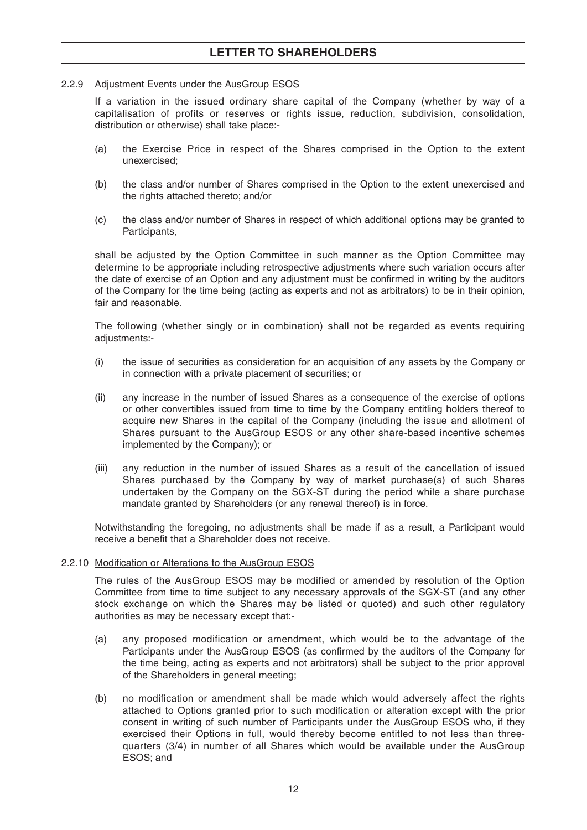### **LETTER TO SHAREHOLDERS**

#### 2.2.9 Adjustment Events under the AusGroup ESOS

If a variation in the issued ordinary share capital of the Company (whether by way of a capitalisation of profits or reserves or rights issue, reduction, subdivision, consolidation, distribution or otherwise) shall take place:-

- (a) the Exercise Price in respect of the Shares comprised in the Option to the extent unexercised;
- (b) the class and/or number of Shares comprised in the Option to the extent unexercised and the rights attached thereto; and/or
- (c) the class and/or number of Shares in respect of which additional options may be granted to Participants,

shall be adjusted by the Option Committee in such manner as the Option Committee may determine to be appropriate including retrospective adjustments where such variation occurs after the date of exercise of an Option and any adjustment must be confirmed in writing by the auditors of the Company for the time being (acting as experts and not as arbitrators) to be in their opinion, fair and reasonable.

The following (whether singly or in combination) shall not be regarded as events requiring adjustments:-

- (i) the issue of securities as consideration for an acquisition of any assets by the Company or in connection with a private placement of securities; or
- (ii) any increase in the number of issued Shares as a consequence of the exercise of options or other convertibles issued from time to time by the Company entitling holders thereof to acquire new Shares in the capital of the Company (including the issue and allotment of Shares pursuant to the AusGroup ESOS or any other share-based incentive schemes implemented by the Company); or
- (iii) any reduction in the number of issued Shares as a result of the cancellation of issued Shares purchased by the Company by way of market purchase(s) of such Shares undertaken by the Company on the SGX-ST during the period while a share purchase mandate granted by Shareholders (or any renewal thereof) is in force.

Notwithstanding the foregoing, no adjustments shall be made if as a result, a Participant would receive a benefit that a Shareholder does not receive.

#### 2.2.10 Modification or Alterations to the AusGroup ESOS

The rules of the AusGroup ESOS may be modified or amended by resolution of the Option Committee from time to time subject to any necessary approvals of the SGX-ST (and any other stock exchange on which the Shares may be listed or quoted) and such other regulatory authorities as may be necessary except that:-

- (a) any proposed modification or amendment, which would be to the advantage of the Participants under the AusGroup ESOS (as confirmed by the auditors of the Company for the time being, acting as experts and not arbitrators) shall be subject to the prior approval of the Shareholders in general meeting;
- (b) no modification or amendment shall be made which would adversely affect the rights attached to Options granted prior to such modification or alteration except with the prior consent in writing of such number of Participants under the AusGroup ESOS who, if they exercised their Options in full, would thereby become entitled to not less than threequarters (3/4) in number of all Shares which would be available under the AusGroup ESOS; and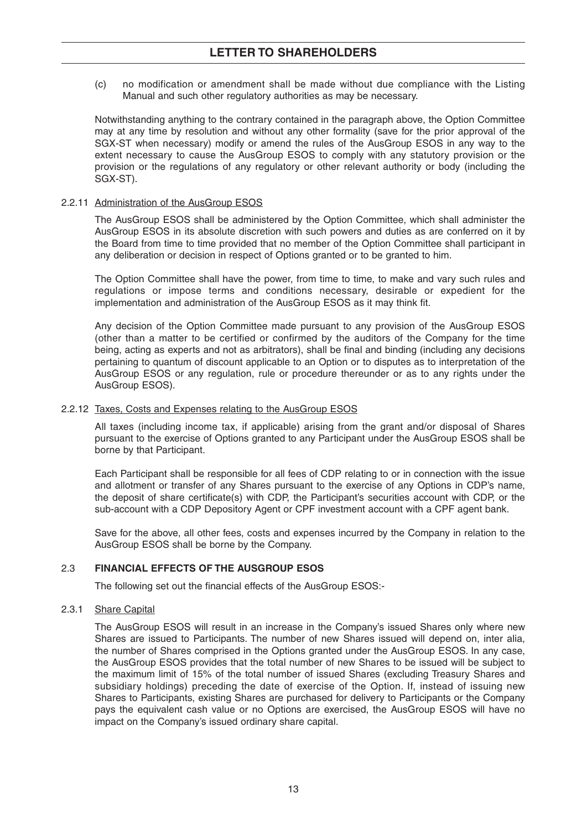(c) no modification or amendment shall be made without due compliance with the Listing Manual and such other regulatory authorities as may be necessary.

Notwithstanding anything to the contrary contained in the paragraph above, the Option Committee may at any time by resolution and without any other formality (save for the prior approval of the SGX-ST when necessary) modify or amend the rules of the AusGroup ESOS in any way to the extent necessary to cause the AusGroup ESOS to comply with any statutory provision or the provision or the regulations of any regulatory or other relevant authority or body (including the SGX-ST).

#### 2.2.11 Administration of the AusGroup ESOS

The AusGroup ESOS shall be administered by the Option Committee, which shall administer the AusGroup ESOS in its absolute discretion with such powers and duties as are conferred on it by the Board from time to time provided that no member of the Option Committee shall participant in any deliberation or decision in respect of Options granted or to be granted to him.

The Option Committee shall have the power, from time to time, to make and vary such rules and regulations or impose terms and conditions necessary, desirable or expedient for the implementation and administration of the AusGroup ESOS as it may think fit.

Any decision of the Option Committee made pursuant to any provision of the AusGroup ESOS (other than a matter to be certified or confirmed by the auditors of the Company for the time being, acting as experts and not as arbitrators), shall be final and binding (including any decisions pertaining to quantum of discount applicable to an Option or to disputes as to interpretation of the AusGroup ESOS or any regulation, rule or procedure thereunder or as to any rights under the AusGroup ESOS).

#### 2.2.12 Taxes, Costs and Expenses relating to the AusGroup ESOS

All taxes (including income tax, if applicable) arising from the grant and/or disposal of Shares pursuant to the exercise of Options granted to any Participant under the AusGroup ESOS shall be borne by that Participant.

Each Participant shall be responsible for all fees of CDP relating to or in connection with the issue and allotment or transfer of any Shares pursuant to the exercise of any Options in CDP's name, the deposit of share certificate(s) with CDP, the Participant's securities account with CDP, or the sub-account with a CDP Depository Agent or CPF investment account with a CPF agent bank.

Save for the above, all other fees, costs and expenses incurred by the Company in relation to the AusGroup ESOS shall be borne by the Company.

#### 2.3 **FINANCIAL EFFECTS OF THE AUSGROUP ESOS**

The following set out the financial effects of the AusGroup ESOS:-

#### 2.3.1 Share Capital

The AusGroup ESOS will result in an increase in the Company's issued Shares only where new Shares are issued to Participants. The number of new Shares issued will depend on, inter alia, the number of Shares comprised in the Options granted under the AusGroup ESOS. In any case, the AusGroup ESOS provides that the total number of new Shares to be issued will be subject to the maximum limit of 15% of the total number of issued Shares (excluding Treasury Shares and subsidiary holdings) preceding the date of exercise of the Option. If, instead of issuing new Shares to Participants, existing Shares are purchased for delivery to Participants or the Company pays the equivalent cash value or no Options are exercised, the AusGroup ESOS will have no impact on the Company's issued ordinary share capital.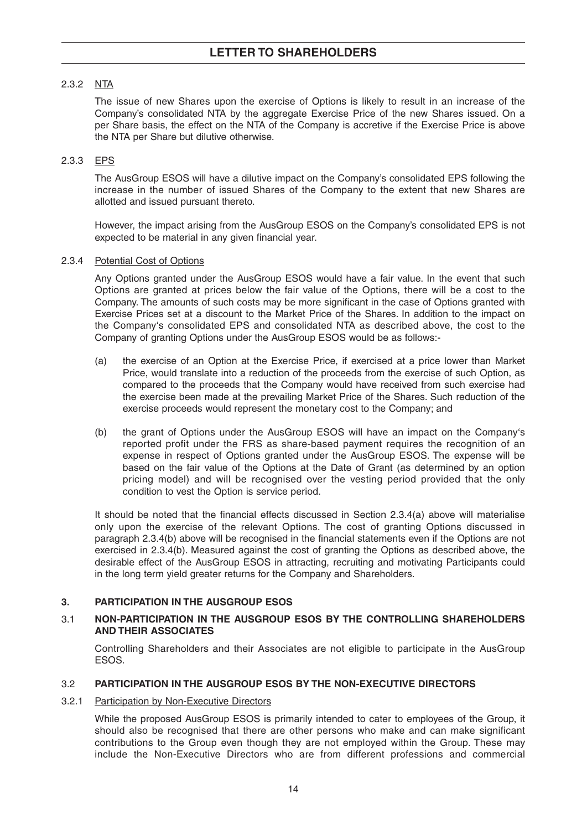#### 2.3.2 NTA

The issue of new Shares upon the exercise of Options is likely to result in an increase of the Company's consolidated NTA by the aggregate Exercise Price of the new Shares issued. On a per Share basis, the effect on the NTA of the Company is accretive if the Exercise Price is above the NTA per Share but dilutive otherwise.

#### 2.3.3 EPS

The AusGroup ESOS will have a dilutive impact on the Company's consolidated EPS following the increase in the number of issued Shares of the Company to the extent that new Shares are allotted and issued pursuant thereto.

However, the impact arising from the AusGroup ESOS on the Company's consolidated EPS is not expected to be material in any given financial year.

#### 2.3.4 Potential Cost of Options

Any Options granted under the AusGroup ESOS would have a fair value. In the event that such Options are granted at prices below the fair value of the Options, there will be a cost to the Company. The amounts of such costs may be more significant in the case of Options granted with Exercise Prices set at a discount to the Market Price of the Shares. In addition to the impact on the Company's consolidated EPS and consolidated NTA as described above, the cost to the Company of granting Options under the AusGroup ESOS would be as follows:-

- (a) the exercise of an Option at the Exercise Price, if exercised at a price lower than Market Price, would translate into a reduction of the proceeds from the exercise of such Option, as compared to the proceeds that the Company would have received from such exercise had the exercise been made at the prevailing Market Price of the Shares. Such reduction of the exercise proceeds would represent the monetary cost to the Company; and
- (b) the grant of Options under the AusGroup ESOS will have an impact on the Company's reported profit under the FRS as share-based payment requires the recognition of an expense in respect of Options granted under the AusGroup ESOS. The expense will be based on the fair value of the Options at the Date of Grant (as determined by an option pricing model) and will be recognised over the vesting period provided that the only condition to vest the Option is service period.

It should be noted that the financial effects discussed in Section 2.3.4(a) above will materialise only upon the exercise of the relevant Options. The cost of granting Options discussed in paragraph 2.3.4(b) above will be recognised in the financial statements even if the Options are not exercised in 2.3.4(b). Measured against the cost of granting the Options as described above, the desirable effect of the AusGroup ESOS in attracting, recruiting and motivating Participants could in the long term yield greater returns for the Company and Shareholders.

#### **3. PARTICIPATION IN THE AUSGROUP ESOS**

#### 3.1 **NON-PARTICIPATION IN THE AUSGROUP ESOS BY THE CONTROLLING SHAREHOLDERS AND THEIR ASSOCIATES**

Controlling Shareholders and their Associates are not eligible to participate in the AusGroup ESOS.

#### 3.2 **PARTICIPATION IN THE AUSGROUP ESOS BY THE NON-EXECUTIVE DIRECTORS**

#### 3.2.1 Participation by Non-Executive Directors

While the proposed AusGroup ESOS is primarily intended to cater to employees of the Group, it should also be recognised that there are other persons who make and can make significant contributions to the Group even though they are not employed within the Group. These may include the Non-Executive Directors who are from different professions and commercial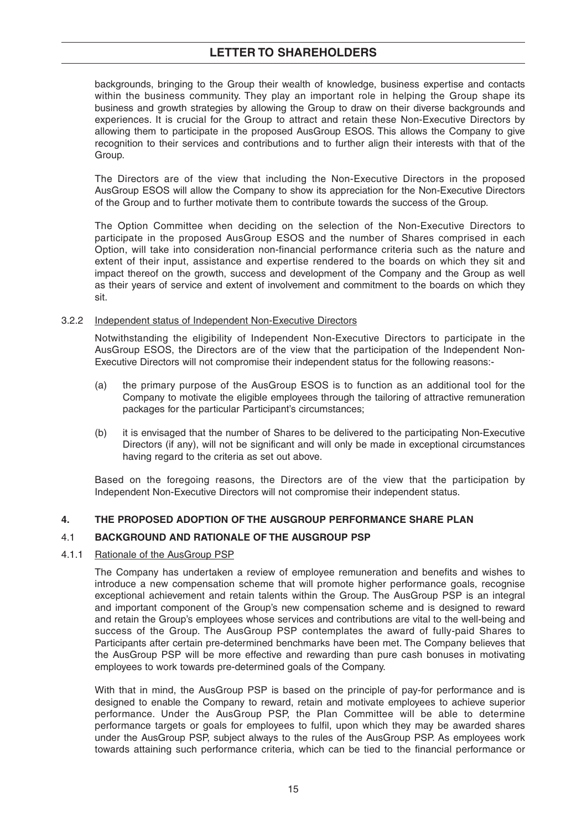### **LETTER TO SHAREHOLDERS**

backgrounds, bringing to the Group their wealth of knowledge, business expertise and contacts within the business community. They play an important role in helping the Group shape its business and growth strategies by allowing the Group to draw on their diverse backgrounds and experiences. It is crucial for the Group to attract and retain these Non-Executive Directors by allowing them to participate in the proposed AusGroup ESOS. This allows the Company to give recognition to their services and contributions and to further align their interests with that of the Group.

The Directors are of the view that including the Non-Executive Directors in the proposed AusGroup ESOS will allow the Company to show its appreciation for the Non-Executive Directors of the Group and to further motivate them to contribute towards the success of the Group.

The Option Committee when deciding on the selection of the Non-Executive Directors to participate in the proposed AusGroup ESOS and the number of Shares comprised in each Option, will take into consideration non-financial performance criteria such as the nature and extent of their input, assistance and expertise rendered to the boards on which they sit and impact thereof on the growth, success and development of the Company and the Group as well as their years of service and extent of involvement and commitment to the boards on which they sit.

#### 3.2.2 Independent status of Independent Non-Executive Directors

Notwithstanding the eligibility of Independent Non-Executive Directors to participate in the AusGroup ESOS, the Directors are of the view that the participation of the Independent Non-Executive Directors will not compromise their independent status for the following reasons:-

- (a) the primary purpose of the AusGroup ESOS is to function as an additional tool for the Company to motivate the eligible employees through the tailoring of attractive remuneration packages for the particular Participant's circumstances;
- (b) it is envisaged that the number of Shares to be delivered to the participating Non-Executive Directors (if any), will not be significant and will only be made in exceptional circumstances having regard to the criteria as set out above.

Based on the foregoing reasons, the Directors are of the view that the participation by Independent Non-Executive Directors will not compromise their independent status.

#### **4. THE PROPOSED ADOPTION OF THE AUSGROUP PERFORMANCE SHARE PLAN**

#### 4.1 **BACKGROUND AND RATIONALE OF THE AUSGROUP PSP**

#### 4.1.1 Rationale of the AusGroup PSP

The Company has undertaken a review of employee remuneration and benefits and wishes to introduce a new compensation scheme that will promote higher performance goals, recognise exceptional achievement and retain talents within the Group. The AusGroup PSP is an integral and important component of the Group's new compensation scheme and is designed to reward and retain the Group's employees whose services and contributions are vital to the well-being and success of the Group. The AusGroup PSP contemplates the award of fully-paid Shares to Participants after certain pre-determined benchmarks have been met. The Company believes that the AusGroup PSP will be more effective and rewarding than pure cash bonuses in motivating employees to work towards pre-determined goals of the Company.

With that in mind, the AusGroup PSP is based on the principle of pay-for performance and is designed to enable the Company to reward, retain and motivate employees to achieve superior performance. Under the AusGroup PSP, the Plan Committee will be able to determine performance targets or goals for employees to fulfil, upon which they may be awarded shares under the AusGroup PSP, subject always to the rules of the AusGroup PSP. As employees work towards attaining such performance criteria, which can be tied to the financial performance or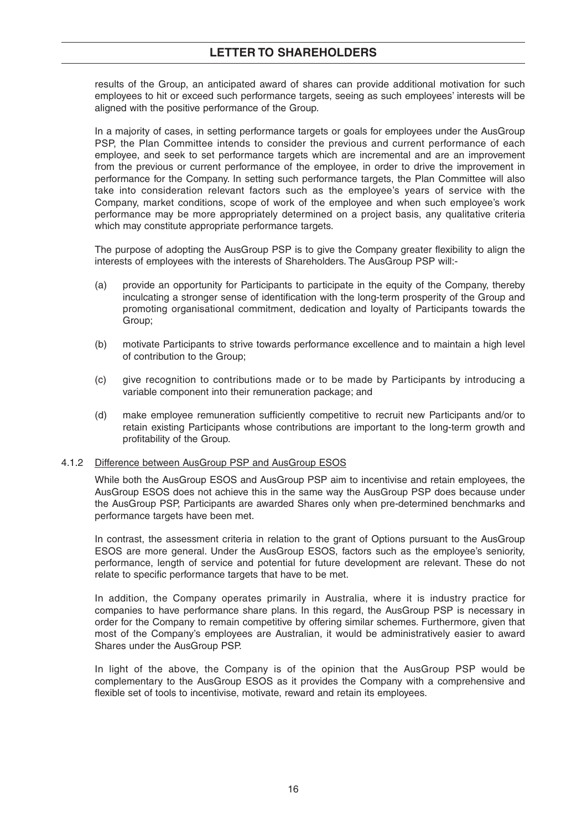### **LETTER TO SHAREHOLDERS**

results of the Group, an anticipated award of shares can provide additional motivation for such employees to hit or exceed such performance targets, seeing as such employees' interests will be aligned with the positive performance of the Group.

In a majority of cases, in setting performance targets or goals for employees under the AusGroup PSP, the Plan Committee intends to consider the previous and current performance of each employee, and seek to set performance targets which are incremental and are an improvement from the previous or current performance of the employee, in order to drive the improvement in performance for the Company. In setting such performance targets, the Plan Committee will also take into consideration relevant factors such as the employee's years of service with the Company, market conditions, scope of work of the employee and when such employee's work performance may be more appropriately determined on a project basis, any qualitative criteria which may constitute appropriate performance targets.

The purpose of adopting the AusGroup PSP is to give the Company greater flexibility to align the interests of employees with the interests of Shareholders. The AusGroup PSP will:-

- (a) provide an opportunity for Participants to participate in the equity of the Company, thereby inculcating a stronger sense of identification with the long-term prosperity of the Group and promoting organisational commitment, dedication and loyalty of Participants towards the Group;
- (b) motivate Participants to strive towards performance excellence and to maintain a high level of contribution to the Group;
- (c) give recognition to contributions made or to be made by Participants by introducing a variable component into their remuneration package; and
- (d) make employee remuneration sufficiently competitive to recruit new Participants and/or to retain existing Participants whose contributions are important to the long-term growth and profitability of the Group.

#### 4.1.2 Difference between AusGroup PSP and AusGroup ESOS

While both the AusGroup ESOS and AusGroup PSP aim to incentivise and retain employees, the AusGroup ESOS does not achieve this in the same way the AusGroup PSP does because under the AusGroup PSP, Participants are awarded Shares only when pre-determined benchmarks and performance targets have been met.

In contrast, the assessment criteria in relation to the grant of Options pursuant to the AusGroup ESOS are more general. Under the AusGroup ESOS, factors such as the employee's seniority, performance, length of service and potential for future development are relevant. These do not relate to specific performance targets that have to be met.

In addition, the Company operates primarily in Australia, where it is industry practice for companies to have performance share plans. In this regard, the AusGroup PSP is necessary in order for the Company to remain competitive by offering similar schemes. Furthermore, given that most of the Company's employees are Australian, it would be administratively easier to award Shares under the AusGroup PSP.

In light of the above, the Company is of the opinion that the AusGroup PSP would be complementary to the AusGroup ESOS as it provides the Company with a comprehensive and flexible set of tools to incentivise, motivate, reward and retain its employees.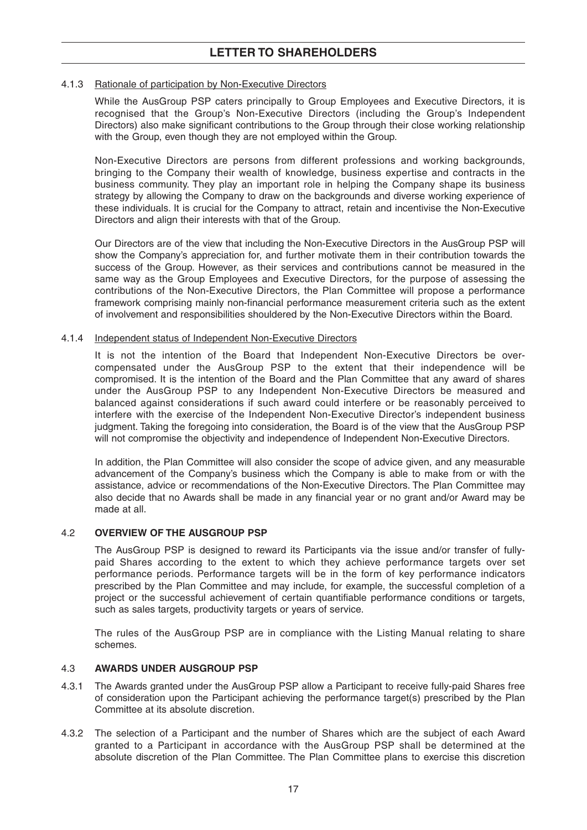#### 4.1.3 Rationale of participation by Non-Executive Directors

While the AusGroup PSP caters principally to Group Employees and Executive Directors, it is recognised that the Group's Non-Executive Directors (including the Group's Independent Directors) also make significant contributions to the Group through their close working relationship with the Group, even though they are not employed within the Group.

Non-Executive Directors are persons from different professions and working backgrounds, bringing to the Company their wealth of knowledge, business expertise and contracts in the business community. They play an important role in helping the Company shape its business strategy by allowing the Company to draw on the backgrounds and diverse working experience of these individuals. It is crucial for the Company to attract, retain and incentivise the Non-Executive Directors and align their interests with that of the Group.

Our Directors are of the view that including the Non-Executive Directors in the AusGroup PSP will show the Company's appreciation for, and further motivate them in their contribution towards the success of the Group. However, as their services and contributions cannot be measured in the same way as the Group Employees and Executive Directors, for the purpose of assessing the contributions of the Non-Executive Directors, the Plan Committee will propose a performance framework comprising mainly non-financial performance measurement criteria such as the extent of involvement and responsibilities shouldered by the Non-Executive Directors within the Board.

#### 4.1.4 Independent status of Independent Non-Executive Directors

It is not the intention of the Board that Independent Non-Executive Directors be overcompensated under the AusGroup PSP to the extent that their independence will be compromised. It is the intention of the Board and the Plan Committee that any award of shares under the AusGroup PSP to any Independent Non-Executive Directors be measured and balanced against considerations if such award could interfere or be reasonably perceived to interfere with the exercise of the Independent Non-Executive Director's independent business judgment. Taking the foregoing into consideration, the Board is of the view that the AusGroup PSP will not compromise the objectivity and independence of Independent Non-Executive Directors.

In addition, the Plan Committee will also consider the scope of advice given, and any measurable advancement of the Company's business which the Company is able to make from or with the assistance, advice or recommendations of the Non-Executive Directors. The Plan Committee may also decide that no Awards shall be made in any financial year or no grant and/or Award may be made at all.

#### 4.2 **OVERVIEW OF THE AUSGROUP PSP**

The AusGroup PSP is designed to reward its Participants via the issue and/or transfer of fullypaid Shares according to the extent to which they achieve performance targets over set performance periods. Performance targets will be in the form of key performance indicators prescribed by the Plan Committee and may include, for example, the successful completion of a project or the successful achievement of certain quantifiable performance conditions or targets, such as sales targets, productivity targets or years of service.

The rules of the AusGroup PSP are in compliance with the Listing Manual relating to share schemes.

#### 4.3 **AWARDS UNDER AUSGROUP PSP**

- 4.3.1 The Awards granted under the AusGroup PSP allow a Participant to receive fully-paid Shares free of consideration upon the Participant achieving the performance target(s) prescribed by the Plan Committee at its absolute discretion.
- 4.3.2 The selection of a Participant and the number of Shares which are the subject of each Award granted to a Participant in accordance with the AusGroup PSP shall be determined at the absolute discretion of the Plan Committee. The Plan Committee plans to exercise this discretion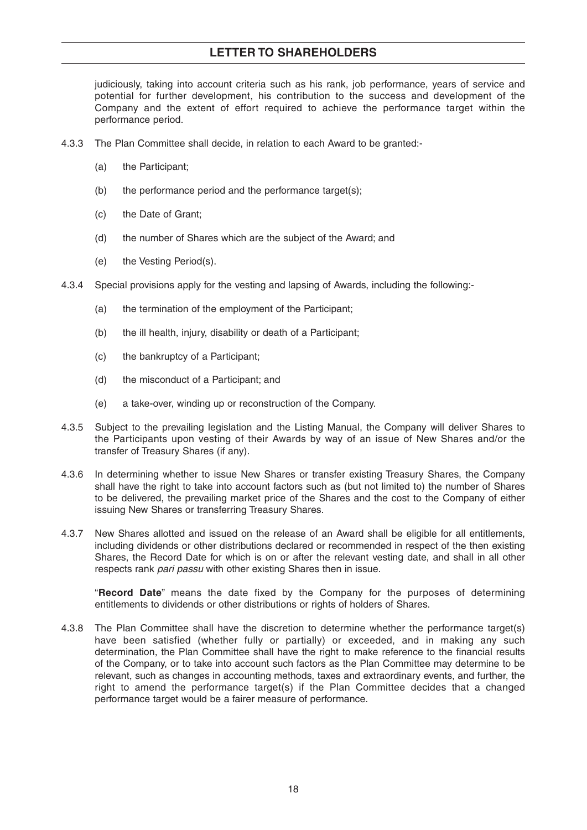### **LETTER TO SHAREHOLDERS**

judiciously, taking into account criteria such as his rank, job performance, years of service and potential for further development, his contribution to the success and development of the Company and the extent of effort required to achieve the performance target within the performance period.

- 4.3.3 The Plan Committee shall decide, in relation to each Award to be granted:-
	- (a) the Participant;
	- (b) the performance period and the performance target(s);
	- (c) the Date of Grant;
	- (d) the number of Shares which are the subject of the Award; and
	- (e) the Vesting Period(s).
- 4.3.4 Special provisions apply for the vesting and lapsing of Awards, including the following:-
	- (a) the termination of the employment of the Participant;
	- (b) the ill health, injury, disability or death of a Participant;
	- (c) the bankruptcy of a Participant;
	- (d) the misconduct of a Participant; and
	- (e) a take-over, winding up or reconstruction of the Company.
- 4.3.5 Subject to the prevailing legislation and the Listing Manual, the Company will deliver Shares to the Participants upon vesting of their Awards by way of an issue of New Shares and/or the transfer of Treasury Shares (if any).
- 4.3.6 In determining whether to issue New Shares or transfer existing Treasury Shares, the Company shall have the right to take into account factors such as (but not limited to) the number of Shares to be delivered, the prevailing market price of the Shares and the cost to the Company of either issuing New Shares or transferring Treasury Shares.
- 4.3.7 New Shares allotted and issued on the release of an Award shall be eligible for all entitlements, including dividends or other distributions declared or recommended in respect of the then existing Shares, the Record Date for which is on or after the relevant vesting date, and shall in all other respects rank pari passu with other existing Shares then in issue.

"**Record Date**" means the date fixed by the Company for the purposes of determining entitlements to dividends or other distributions or rights of holders of Shares.

4.3.8 The Plan Committee shall have the discretion to determine whether the performance target(s) have been satisfied (whether fully or partially) or exceeded, and in making any such determination, the Plan Committee shall have the right to make reference to the financial results of the Company, or to take into account such factors as the Plan Committee may determine to be relevant, such as changes in accounting methods, taxes and extraordinary events, and further, the right to amend the performance target(s) if the Plan Committee decides that a changed performance target would be a fairer measure of performance.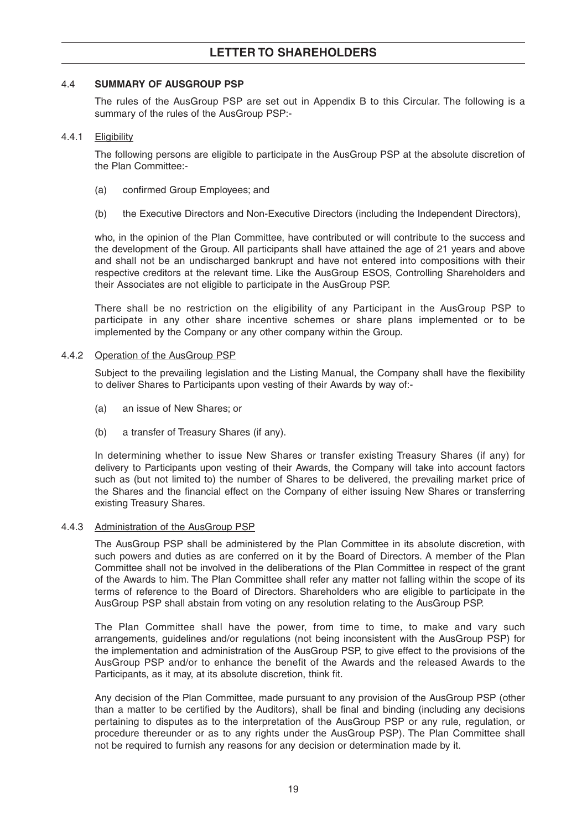#### 4.4 **SUMMARY OF AUSGROUP PSP**

The rules of the AusGroup PSP are set out in Appendix B to this Circular. The following is a summary of the rules of the AusGroup PSP:-

#### 4.4.1 Eligibility

The following persons are eligible to participate in the AusGroup PSP at the absolute discretion of the Plan Committee:-

- (a) confirmed Group Employees; and
- (b) the Executive Directors and Non-Executive Directors (including the Independent Directors),

who, in the opinion of the Plan Committee, have contributed or will contribute to the success and the development of the Group. All participants shall have attained the age of 21 years and above and shall not be an undischarged bankrupt and have not entered into compositions with their respective creditors at the relevant time. Like the AusGroup ESOS, Controlling Shareholders and their Associates are not eligible to participate in the AusGroup PSP.

There shall be no restriction on the eligibility of any Participant in the AusGroup PSP to participate in any other share incentive schemes or share plans implemented or to be implemented by the Company or any other company within the Group.

#### 4.4.2 Operation of the AusGroup PSP

Subject to the prevailing legislation and the Listing Manual, the Company shall have the flexibility to deliver Shares to Participants upon vesting of their Awards by way of:-

- (a) an issue of New Shares; or
- (b) a transfer of Treasury Shares (if any).

In determining whether to issue New Shares or transfer existing Treasury Shares (if any) for delivery to Participants upon vesting of their Awards, the Company will take into account factors such as (but not limited to) the number of Shares to be delivered, the prevailing market price of the Shares and the financial effect on the Company of either issuing New Shares or transferring existing Treasury Shares.

#### 4.4.3 Administration of the AusGroup PSP

The AusGroup PSP shall be administered by the Plan Committee in its absolute discretion, with such powers and duties as are conferred on it by the Board of Directors. A member of the Plan Committee shall not be involved in the deliberations of the Plan Committee in respect of the grant of the Awards to him. The Plan Committee shall refer any matter not falling within the scope of its terms of reference to the Board of Directors. Shareholders who are eligible to participate in the AusGroup PSP shall abstain from voting on any resolution relating to the AusGroup PSP.

The Plan Committee shall have the power, from time to time, to make and vary such arrangements, guidelines and/or regulations (not being inconsistent with the AusGroup PSP) for the implementation and administration of the AusGroup PSP, to give effect to the provisions of the AusGroup PSP and/or to enhance the benefit of the Awards and the released Awards to the Participants, as it may, at its absolute discretion, think fit.

Any decision of the Plan Committee, made pursuant to any provision of the AusGroup PSP (other than a matter to be certified by the Auditors), shall be final and binding (including any decisions pertaining to disputes as to the interpretation of the AusGroup PSP or any rule, regulation, or procedure thereunder or as to any rights under the AusGroup PSP). The Plan Committee shall not be required to furnish any reasons for any decision or determination made by it.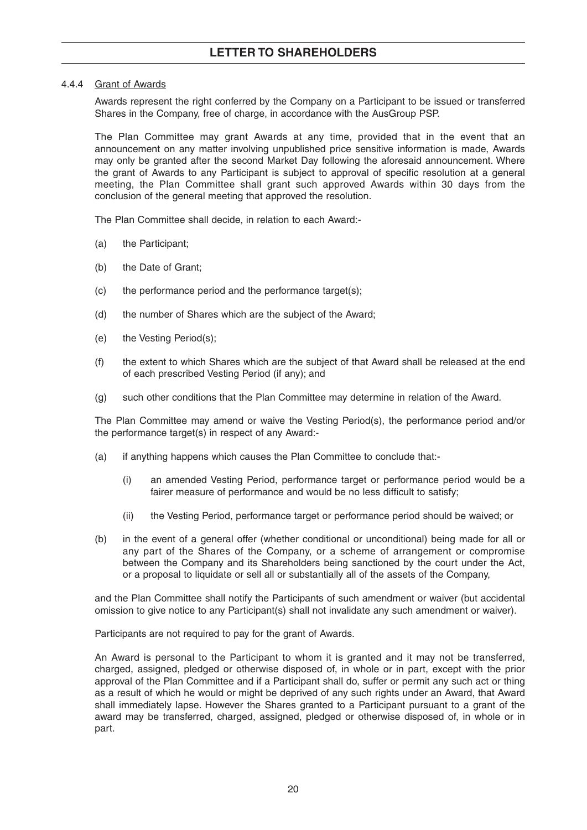#### 4.4.4 Grant of Awards

Awards represent the right conferred by the Company on a Participant to be issued or transferred Shares in the Company, free of charge, in accordance with the AusGroup PSP.

The Plan Committee may grant Awards at any time, provided that in the event that an announcement on any matter involving unpublished price sensitive information is made, Awards may only be granted after the second Market Day following the aforesaid announcement. Where the grant of Awards to any Participant is subject to approval of specific resolution at a general meeting, the Plan Committee shall grant such approved Awards within 30 days from the conclusion of the general meeting that approved the resolution.

The Plan Committee shall decide, in relation to each Award:-

- (a) the Participant;
- (b) the Date of Grant;
- (c) the performance period and the performance target(s);
- (d) the number of Shares which are the subject of the Award;
- (e) the Vesting Period(s);
- (f) the extent to which Shares which are the subject of that Award shall be released at the end of each prescribed Vesting Period (if any); and
- (g) such other conditions that the Plan Committee may determine in relation of the Award.

The Plan Committee may amend or waive the Vesting Period(s), the performance period and/or the performance target(s) in respect of any Award:-

- (a) if anything happens which causes the Plan Committee to conclude that:-
	- (i) an amended Vesting Period, performance target or performance period would be a fairer measure of performance and would be no less difficult to satisfy;
	- (ii) the Vesting Period, performance target or performance period should be waived; or
- (b) in the event of a general offer (whether conditional or unconditional) being made for all or any part of the Shares of the Company, or a scheme of arrangement or compromise between the Company and its Shareholders being sanctioned by the court under the Act, or a proposal to liquidate or sell all or substantially all of the assets of the Company,

and the Plan Committee shall notify the Participants of such amendment or waiver (but accidental omission to give notice to any Participant(s) shall not invalidate any such amendment or waiver).

Participants are not required to pay for the grant of Awards.

An Award is personal to the Participant to whom it is granted and it may not be transferred, charged, assigned, pledged or otherwise disposed of, in whole or in part, except with the prior approval of the Plan Committee and if a Participant shall do, suffer or permit any such act or thing as a result of which he would or might be deprived of any such rights under an Award, that Award shall immediately lapse. However the Shares granted to a Participant pursuant to a grant of the award may be transferred, charged, assigned, pledged or otherwise disposed of, in whole or in part.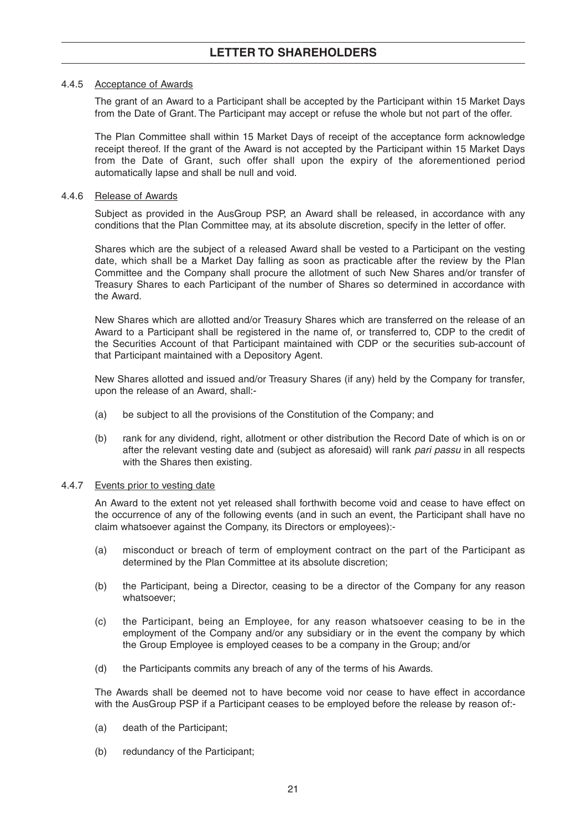#### 4.4.5 Acceptance of Awards

The grant of an Award to a Participant shall be accepted by the Participant within 15 Market Days from the Date of Grant. The Participant may accept or refuse the whole but not part of the offer.

The Plan Committee shall within 15 Market Days of receipt of the acceptance form acknowledge receipt thereof. If the grant of the Award is not accepted by the Participant within 15 Market Days from the Date of Grant, such offer shall upon the expiry of the aforementioned period automatically lapse and shall be null and void.

#### 4.4.6 Release of Awards

Subject as provided in the AusGroup PSP, an Award shall be released, in accordance with any conditions that the Plan Committee may, at its absolute discretion, specify in the letter of offer.

Shares which are the subject of a released Award shall be vested to a Participant on the vesting date, which shall be a Market Day falling as soon as practicable after the review by the Plan Committee and the Company shall procure the allotment of such New Shares and/or transfer of Treasury Shares to each Participant of the number of Shares so determined in accordance with the Award.

New Shares which are allotted and/or Treasury Shares which are transferred on the release of an Award to a Participant shall be registered in the name of, or transferred to, CDP to the credit of the Securities Account of that Participant maintained with CDP or the securities sub-account of that Participant maintained with a Depository Agent.

New Shares allotted and issued and/or Treasury Shares (if any) held by the Company for transfer, upon the release of an Award, shall:-

- (a) be subject to all the provisions of the Constitution of the Company; and
- (b) rank for any dividend, right, allotment or other distribution the Record Date of which is on or after the relevant vesting date and (subject as aforesaid) will rank *pari passu* in all respects with the Shares then existing.

#### 4.4.7 Events prior to vesting date

An Award to the extent not yet released shall forthwith become void and cease to have effect on the occurrence of any of the following events (and in such an event, the Participant shall have no claim whatsoever against the Company, its Directors or employees):-

- (a) misconduct or breach of term of employment contract on the part of the Participant as determined by the Plan Committee at its absolute discretion;
- (b) the Participant, being a Director, ceasing to be a director of the Company for any reason whatsoever;
- (c) the Participant, being an Employee, for any reason whatsoever ceasing to be in the employment of the Company and/or any subsidiary or in the event the company by which the Group Employee is employed ceases to be a company in the Group; and/or
- (d) the Participants commits any breach of any of the terms of his Awards.

The Awards shall be deemed not to have become void nor cease to have effect in accordance with the AusGroup PSP if a Participant ceases to be employed before the release by reason of:-

- (a) death of the Participant;
- (b) redundancy of the Participant;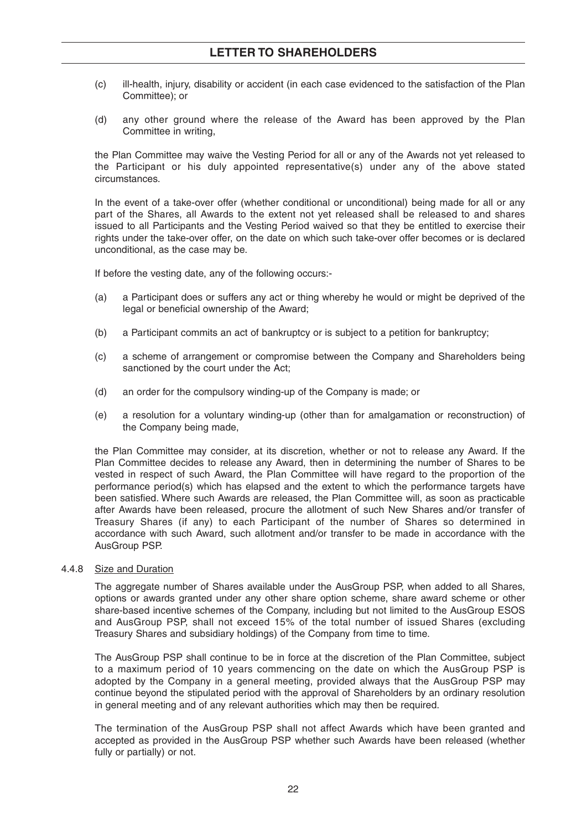- (c) ill-health, injury, disability or accident (in each case evidenced to the satisfaction of the Plan Committee); or
- (d) any other ground where the release of the Award has been approved by the Plan Committee in writing,

the Plan Committee may waive the Vesting Period for all or any of the Awards not yet released to the Participant or his duly appointed representative(s) under any of the above stated circumstances.

In the event of a take-over offer (whether conditional or unconditional) being made for all or any part of the Shares, all Awards to the extent not yet released shall be released to and shares issued to all Participants and the Vesting Period waived so that they be entitled to exercise their rights under the take-over offer, on the date on which such take-over offer becomes or is declared unconditional, as the case may be.

If before the vesting date, any of the following occurs:-

- (a) a Participant does or suffers any act or thing whereby he would or might be deprived of the legal or beneficial ownership of the Award;
- (b) a Participant commits an act of bankruptcy or is subject to a petition for bankruptcy;
- (c) a scheme of arrangement or compromise between the Company and Shareholders being sanctioned by the court under the Act;
- (d) an order for the compulsory winding-up of the Company is made; or
- (e) a resolution for a voluntary winding-up (other than for amalgamation or reconstruction) of the Company being made,

the Plan Committee may consider, at its discretion, whether or not to release any Award. If the Plan Committee decides to release any Award, then in determining the number of Shares to be vested in respect of such Award, the Plan Committee will have regard to the proportion of the performance period(s) which has elapsed and the extent to which the performance targets have been satisfied. Where such Awards are released, the Plan Committee will, as soon as practicable after Awards have been released, procure the allotment of such New Shares and/or transfer of Treasury Shares (if any) to each Participant of the number of Shares so determined in accordance with such Award, such allotment and/or transfer to be made in accordance with the AusGroup PSP.

#### 4.4.8 Size and Duration

The aggregate number of Shares available under the AusGroup PSP, when added to all Shares, options or awards granted under any other share option scheme, share award scheme or other share-based incentive schemes of the Company, including but not limited to the AusGroup ESOS and AusGroup PSP, shall not exceed 15% of the total number of issued Shares (excluding Treasury Shares and subsidiary holdings) of the Company from time to time.

The AusGroup PSP shall continue to be in force at the discretion of the Plan Committee, subject to a maximum period of 10 years commencing on the date on which the AusGroup PSP is adopted by the Company in a general meeting, provided always that the AusGroup PSP may continue beyond the stipulated period with the approval of Shareholders by an ordinary resolution in general meeting and of any relevant authorities which may then be required.

The termination of the AusGroup PSP shall not affect Awards which have been granted and accepted as provided in the AusGroup PSP whether such Awards have been released (whether fully or partially) or not.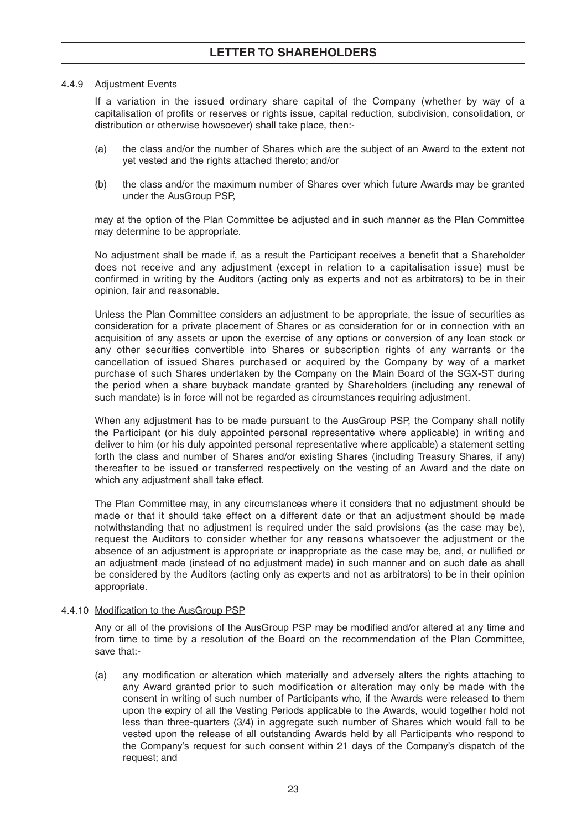#### 4.4.9 Adjustment Events

If a variation in the issued ordinary share capital of the Company (whether by way of a capitalisation of profits or reserves or rights issue, capital reduction, subdivision, consolidation, or distribution or otherwise howsoever) shall take place, then:-

- (a) the class and/or the number of Shares which are the subject of an Award to the extent not yet vested and the rights attached thereto; and/or
- (b) the class and/or the maximum number of Shares over which future Awards may be granted under the AusGroup PSP,

may at the option of the Plan Committee be adjusted and in such manner as the Plan Committee may determine to be appropriate.

No adjustment shall be made if, as a result the Participant receives a benefit that a Shareholder does not receive and any adjustment (except in relation to a capitalisation issue) must be confirmed in writing by the Auditors (acting only as experts and not as arbitrators) to be in their opinion, fair and reasonable.

Unless the Plan Committee considers an adjustment to be appropriate, the issue of securities as consideration for a private placement of Shares or as consideration for or in connection with an acquisition of any assets or upon the exercise of any options or conversion of any loan stock or any other securities convertible into Shares or subscription rights of any warrants or the cancellation of issued Shares purchased or acquired by the Company by way of a market purchase of such Shares undertaken by the Company on the Main Board of the SGX-ST during the period when a share buyback mandate granted by Shareholders (including any renewal of such mandate) is in force will not be regarded as circumstances requiring adjustment.

When any adjustment has to be made pursuant to the AusGroup PSP, the Company shall notify the Participant (or his duly appointed personal representative where applicable) in writing and deliver to him (or his duly appointed personal representative where applicable) a statement setting forth the class and number of Shares and/or existing Shares (including Treasury Shares, if any) thereafter to be issued or transferred respectively on the vesting of an Award and the date on which any adjustment shall take effect.

The Plan Committee may, in any circumstances where it considers that no adjustment should be made or that it should take effect on a different date or that an adjustment should be made notwithstanding that no adjustment is required under the said provisions (as the case may be), request the Auditors to consider whether for any reasons whatsoever the adjustment or the absence of an adjustment is appropriate or inappropriate as the case may be, and, or nullified or an adjustment made (instead of no adjustment made) in such manner and on such date as shall be considered by the Auditors (acting only as experts and not as arbitrators) to be in their opinion appropriate.

#### 4.4.10 Modification to the AusGroup PSP

Any or all of the provisions of the AusGroup PSP may be modified and/or altered at any time and from time to time by a resolution of the Board on the recommendation of the Plan Committee, save that:-

(a) any modification or alteration which materially and adversely alters the rights attaching to any Award granted prior to such modification or alteration may only be made with the consent in writing of such number of Participants who, if the Awards were released to them upon the expiry of all the Vesting Periods applicable to the Awards, would together hold not less than three-quarters (3/4) in aggregate such number of Shares which would fall to be vested upon the release of all outstanding Awards held by all Participants who respond to the Company's request for such consent within 21 days of the Company's dispatch of the request; and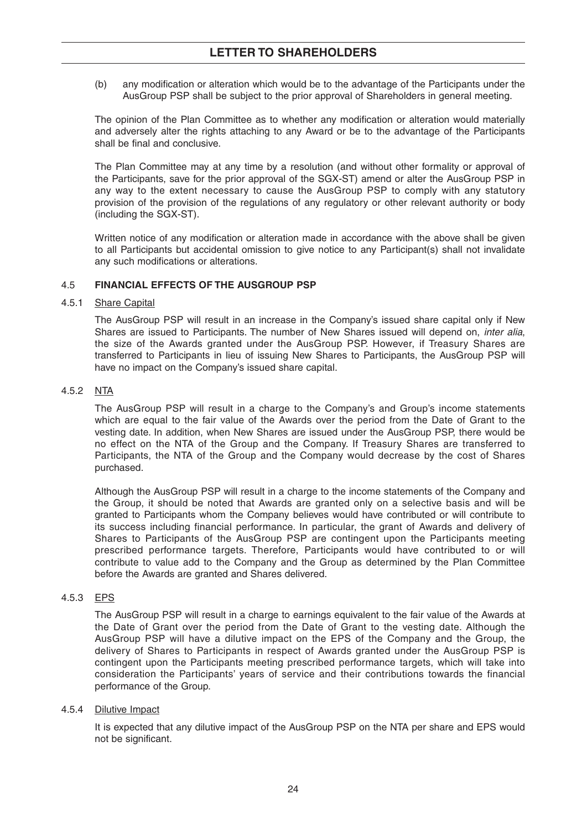(b) any modification or alteration which would be to the advantage of the Participants under the AusGroup PSP shall be subject to the prior approval of Shareholders in general meeting.

The opinion of the Plan Committee as to whether any modification or alteration would materially and adversely alter the rights attaching to any Award or be to the advantage of the Participants shall be final and conclusive.

The Plan Committee may at any time by a resolution (and without other formality or approval of the Participants, save for the prior approval of the SGX-ST) amend or alter the AusGroup PSP in any way to the extent necessary to cause the AusGroup PSP to comply with any statutory provision of the provision of the regulations of any regulatory or other relevant authority or body (including the SGX-ST).

Written notice of any modification or alteration made in accordance with the above shall be given to all Participants but accidental omission to give notice to any Participant(s) shall not invalidate any such modifications or alterations.

#### 4.5 **FINANCIAL EFFECTS OF THE AUSGROUP PSP**

#### 4.5.1 Share Capital

The AusGroup PSP will result in an increase in the Company's issued share capital only if New Shares are issued to Participants. The number of New Shares issued will depend on, *inter alia*, the size of the Awards granted under the AusGroup PSP. However, if Treasury Shares are transferred to Participants in lieu of issuing New Shares to Participants, the AusGroup PSP will have no impact on the Company's issued share capital.

#### 4.5.2 NTA

The AusGroup PSP will result in a charge to the Company's and Group's income statements which are equal to the fair value of the Awards over the period from the Date of Grant to the vesting date. In addition, when New Shares are issued under the AusGroup PSP, there would be no effect on the NTA of the Group and the Company. If Treasury Shares are transferred to Participants, the NTA of the Group and the Company would decrease by the cost of Shares purchased.

Although the AusGroup PSP will result in a charge to the income statements of the Company and the Group, it should be noted that Awards are granted only on a selective basis and will be granted to Participants whom the Company believes would have contributed or will contribute to its success including financial performance. In particular, the grant of Awards and delivery of Shares to Participants of the AusGroup PSP are contingent upon the Participants meeting prescribed performance targets. Therefore, Participants would have contributed to or will contribute to value add to the Company and the Group as determined by the Plan Committee before the Awards are granted and Shares delivered.

#### 4.5.3 EPS

The AusGroup PSP will result in a charge to earnings equivalent to the fair value of the Awards at the Date of Grant over the period from the Date of Grant to the vesting date. Although the AusGroup PSP will have a dilutive impact on the EPS of the Company and the Group, the delivery of Shares to Participants in respect of Awards granted under the AusGroup PSP is contingent upon the Participants meeting prescribed performance targets, which will take into consideration the Participants' years of service and their contributions towards the financial performance of the Group.

#### 4.5.4 Dilutive Impact

It is expected that any dilutive impact of the AusGroup PSP on the NTA per share and EPS would not be significant.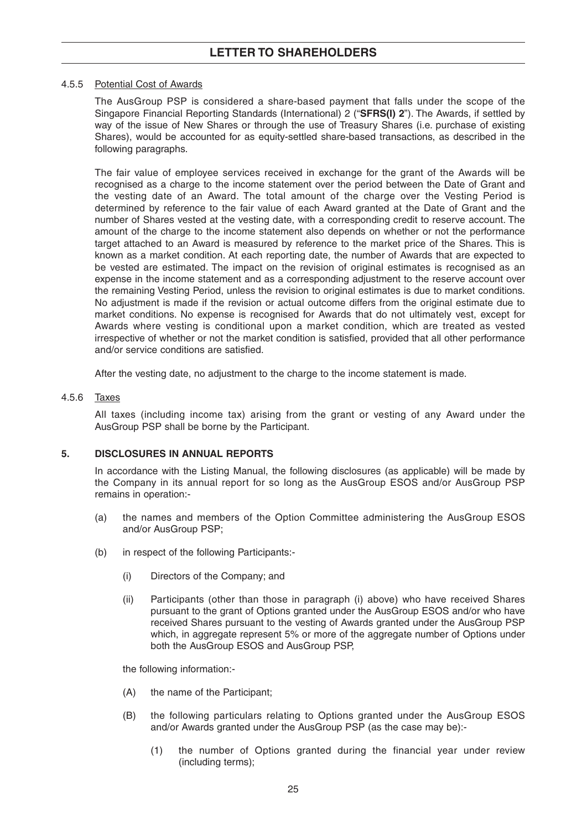### **LETTER TO SHAREHOLDERS**

#### 4.5.5 Potential Cost of Awards

The AusGroup PSP is considered a share-based payment that falls under the scope of the Singapore Financial Reporting Standards (International) 2 ("**SFRS(I) 2**"). The Awards, if settled by way of the issue of New Shares or through the use of Treasury Shares (i.e. purchase of existing Shares), would be accounted for as equity-settled share-based transactions, as described in the following paragraphs.

The fair value of employee services received in exchange for the grant of the Awards will be recognised as a charge to the income statement over the period between the Date of Grant and the vesting date of an Award. The total amount of the charge over the Vesting Period is determined by reference to the fair value of each Award granted at the Date of Grant and the number of Shares vested at the vesting date, with a corresponding credit to reserve account. The amount of the charge to the income statement also depends on whether or not the performance target attached to an Award is measured by reference to the market price of the Shares. This is known as a market condition. At each reporting date, the number of Awards that are expected to be vested are estimated. The impact on the revision of original estimates is recognised as an expense in the income statement and as a corresponding adjustment to the reserve account over the remaining Vesting Period, unless the revision to original estimates is due to market conditions. No adjustment is made if the revision or actual outcome differs from the original estimate due to market conditions. No expense is recognised for Awards that do not ultimately vest, except for Awards where vesting is conditional upon a market condition, which are treated as vested irrespective of whether or not the market condition is satisfied, provided that all other performance and/or service conditions are satisfied.

After the vesting date, no adjustment to the charge to the income statement is made.

#### 4.5.6 Taxes

All taxes (including income tax) arising from the grant or vesting of any Award under the AusGroup PSP shall be borne by the Participant.

#### **5. DISCLOSURES IN ANNUAL REPORTS**

In accordance with the Listing Manual, the following disclosures (as applicable) will be made by the Company in its annual report for so long as the AusGroup ESOS and/or AusGroup PSP remains in operation:-

- (a) the names and members of the Option Committee administering the AusGroup ESOS and/or AusGroup PSP;
- (b) in respect of the following Participants:-
	- (i) Directors of the Company; and
	- (ii) Participants (other than those in paragraph (i) above) who have received Shares pursuant to the grant of Options granted under the AusGroup ESOS and/or who have received Shares pursuant to the vesting of Awards granted under the AusGroup PSP which, in aggregate represent 5% or more of the aggregate number of Options under both the AusGroup ESOS and AusGroup PSP,

the following information:-

- (A) the name of the Participant;
- (B) the following particulars relating to Options granted under the AusGroup ESOS and/or Awards granted under the AusGroup PSP (as the case may be):-
	- (1) the number of Options granted during the financial year under review (including terms);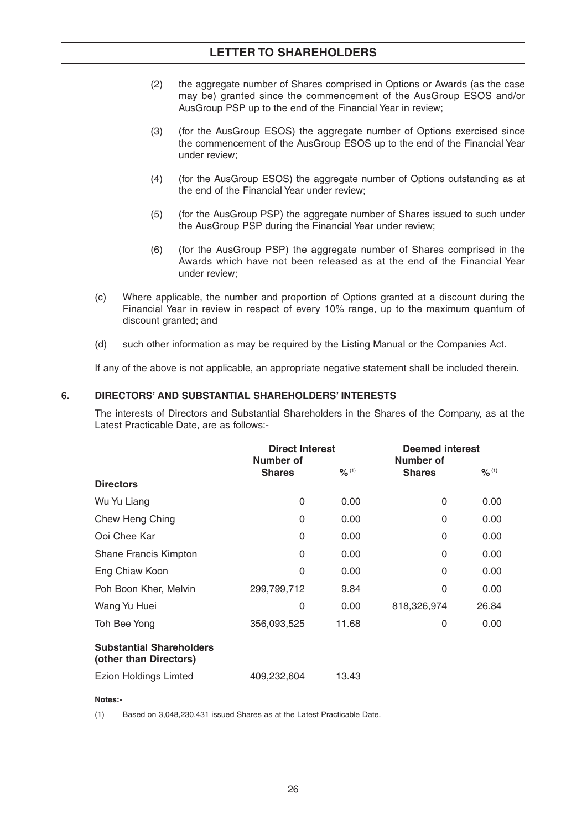### **LETTER TO SHAREHOLDERS**

- (2) the aggregate number of Shares comprised in Options or Awards (as the case may be) granted since the commencement of the AusGroup ESOS and/or AusGroup PSP up to the end of the Financial Year in review;
- (3) (for the AusGroup ESOS) the aggregate number of Options exercised since the commencement of the AusGroup ESOS up to the end of the Financial Year under review;
- (4) (for the AusGroup ESOS) the aggregate number of Options outstanding as at the end of the Financial Year under review;
- (5) (for the AusGroup PSP) the aggregate number of Shares issued to such under the AusGroup PSP during the Financial Year under review;
- (6) (for the AusGroup PSP) the aggregate number of Shares comprised in the Awards which have not been released as at the end of the Financial Year under review;
- (c) Where applicable, the number and proportion of Options granted at a discount during the Financial Year in review in respect of every 10% range, up to the maximum quantum of discount granted; and
- (d) such other information as may be required by the Listing Manual or the Companies Act.

If any of the above is not applicable, an appropriate negative statement shall be included therein.

#### **6. DIRECTORS' AND SUBSTANTIAL SHAREHOLDERS' INTERESTS**

The interests of Directors and Substantial Shareholders in the Shares of the Company, as at the Latest Practicable Date, are as follows:-

|                                                           | <b>Direct Interest</b><br>Number of |                   | <b>Deemed interest</b><br>Number of |                   |
|-----------------------------------------------------------|-------------------------------------|-------------------|-------------------------------------|-------------------|
|                                                           | <b>Shares</b>                       | $\frac{9}{6}$ (1) | <b>Shares</b>                       | $\frac{9}{6}$ (1) |
| <b>Directors</b>                                          |                                     |                   |                                     |                   |
| Wu Yu Liang                                               | 0                                   | 0.00              | 0                                   | 0.00              |
| Chew Heng Ching                                           | 0                                   | 0.00              | 0                                   | 0.00              |
| Ooi Chee Kar                                              | 0                                   | 0.00              | 0                                   | 0.00              |
| Shane Francis Kimpton                                     | 0                                   | 0.00              | 0                                   | 0.00              |
| Eng Chiaw Koon                                            | 0                                   | 0.00              | 0                                   | 0.00              |
| Poh Boon Kher, Melvin                                     | 299,799,712                         | 9.84              | 0                                   | 0.00              |
| Wang Yu Huei                                              | 0                                   | 0.00              | 818,326,974                         | 26.84             |
| Toh Bee Yong                                              | 356,093,525                         | 11.68             | 0                                   | 0.00              |
| <b>Substantial Shareholders</b><br>(other than Directors) |                                     |                   |                                     |                   |
| <b>Ezion Holdings Limted</b>                              | 409,232,604                         | 13.43             |                                     |                   |

#### **Notes:-**

(1) Based on 3,048,230,431 issued Shares as at the Latest Practicable Date.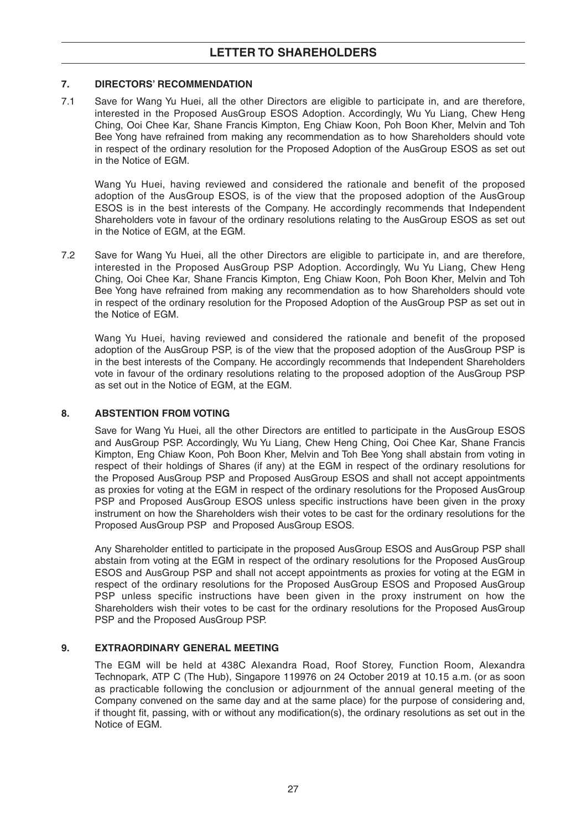#### **7. DIRECTORS' RECOMMENDATION**

7.1 Save for Wang Yu Huei, all the other Directors are eligible to participate in, and are therefore, interested in the Proposed AusGroup ESOS Adoption. Accordingly, Wu Yu Liang, Chew Heng Ching, Ooi Chee Kar, Shane Francis Kimpton, Eng Chiaw Koon, Poh Boon Kher, Melvin and Toh Bee Yong have refrained from making any recommendation as to how Shareholders should vote in respect of the ordinary resolution for the Proposed Adoption of the AusGroup ESOS as set out in the Notice of EGM.

Wang Yu Huei, having reviewed and considered the rationale and benefit of the proposed adoption of the AusGroup ESOS, is of the view that the proposed adoption of the AusGroup ESOS is in the best interests of the Company. He accordingly recommends that Independent Shareholders vote in favour of the ordinary resolutions relating to the AusGroup ESOS as set out in the Notice of EGM, at the EGM.

7.2 Save for Wang Yu Huei, all the other Directors are eligible to participate in, and are therefore, interested in the Proposed AusGroup PSP Adoption. Accordingly, Wu Yu Liang, Chew Heng Ching, Ooi Chee Kar, Shane Francis Kimpton, Eng Chiaw Koon, Poh Boon Kher, Melvin and Toh Bee Yong have refrained from making any recommendation as to how Shareholders should vote in respect of the ordinary resolution for the Proposed Adoption of the AusGroup PSP as set out in the Notice of EGM.

Wang Yu Huei, having reviewed and considered the rationale and benefit of the proposed adoption of the AusGroup PSP, is of the view that the proposed adoption of the AusGroup PSP is in the best interests of the Company. He accordingly recommends that Independent Shareholders vote in favour of the ordinary resolutions relating to the proposed adoption of the AusGroup PSP as set out in the Notice of EGM, at the EGM.

#### **8. ABSTENTION FROM VOTING**

Save for Wang Yu Huei, all the other Directors are entitled to participate in the AusGroup ESOS and AusGroup PSP. Accordingly, Wu Yu Liang, Chew Heng Ching, Ooi Chee Kar, Shane Francis Kimpton, Eng Chiaw Koon, Poh Boon Kher, Melvin and Toh Bee Yong shall abstain from voting in respect of their holdings of Shares (if any) at the EGM in respect of the ordinary resolutions for the Proposed AusGroup PSP and Proposed AusGroup ESOS and shall not accept appointments as proxies for voting at the EGM in respect of the ordinary resolutions for the Proposed AusGroup PSP and Proposed AusGroup ESOS unless specific instructions have been given in the proxy instrument on how the Shareholders wish their votes to be cast for the ordinary resolutions for the Proposed AusGroup PSP and Proposed AusGroup ESOS.

Any Shareholder entitled to participate in the proposed AusGroup ESOS and AusGroup PSP shall abstain from voting at the EGM in respect of the ordinary resolutions for the Proposed AusGroup ESOS and AusGroup PSP and shall not accept appointments as proxies for voting at the EGM in respect of the ordinary resolutions for the Proposed AusGroup ESOS and Proposed AusGroup PSP unless specific instructions have been given in the proxy instrument on how the Shareholders wish their votes to be cast for the ordinary resolutions for the Proposed AusGroup PSP and the Proposed AusGroup PSP.

#### **9. EXTRAORDINARY GENERAL MEETING**

The EGM will be held at 438C Alexandra Road, Roof Storey, Function Room, Alexandra Technopark, ATP C (The Hub), Singapore 119976 on 24 October 2019 at 10.15 a.m. (or as soon as practicable following the conclusion or adjournment of the annual general meeting of the Company convened on the same day and at the same place) for the purpose of considering and, if thought fit, passing, with or without any modification(s), the ordinary resolutions as set out in the Notice of EGM.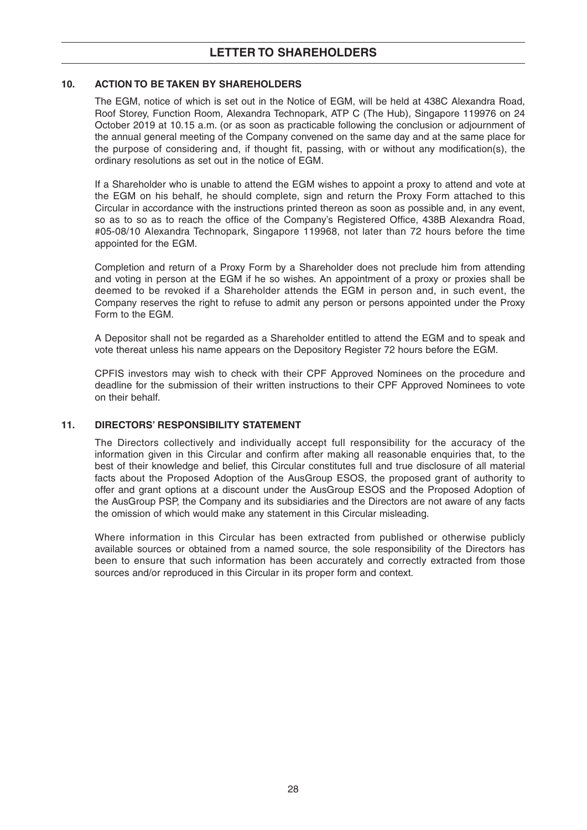#### **10. ACTION TO BE TAKEN BY SHAREHOLDERS**

The EGM, notice of which is set out in the Notice of EGM, will be held at 438C Alexandra Road, Roof Storey, Function Room, Alexandra Technopark, ATP C (The Hub), Singapore 119976 on 24 October 2019 at 10.15 a.m. (or as soon as practicable following the conclusion or adjournment of the annual general meeting of the Company convened on the same day and at the same place for the purpose of considering and, if thought fit, passing, with or without any modification(s), the ordinary resolutions as set out in the notice of EGM.

If a Shareholder who is unable to attend the EGM wishes to appoint a proxy to attend and vote at the EGM on his behalf, he should complete, sign and return the Proxy Form attached to this Circular in accordance with the instructions printed thereon as soon as possible and, in any event, so as to so as to reach the office of the Company's Registered Office, 438B Alexandra Road, #05-08/10 Alexandra Technopark, Singapore 119968, not later than 72 hours before the time appointed for the EGM.

Completion and return of a Proxy Form by a Shareholder does not preclude him from attending and voting in person at the EGM if he so wishes. An appointment of a proxy or proxies shall be deemed to be revoked if a Shareholder attends the EGM in person and, in such event, the Company reserves the right to refuse to admit any person or persons appointed under the Proxy Form to the EGM.

A Depositor shall not be regarded as a Shareholder entitled to attend the EGM and to speak and vote thereat unless his name appears on the Depository Register 72 hours before the EGM.

CPFIS investors may wish to check with their CPF Approved Nominees on the procedure and deadline for the submission of their written instructions to their CPF Approved Nominees to vote on their behalf.

#### **11. DIRECTORS' RESPONSIBILITY STATEMENT**

The Directors collectively and individually accept full responsibility for the accuracy of the information given in this Circular and confirm after making all reasonable enquiries that, to the best of their knowledge and belief, this Circular constitutes full and true disclosure of all material facts about the Proposed Adoption of the AusGroup ESOS, the proposed grant of authority to offer and grant options at a discount under the AusGroup ESOS and the Proposed Adoption of the AusGroup PSP, the Company and its subsidiaries and the Directors are not aware of any facts the omission of which would make any statement in this Circular misleading.

Where information in this Circular has been extracted from published or otherwise publicly available sources or obtained from a named source, the sole responsibility of the Directors has been to ensure that such information has been accurately and correctly extracted from those sources and/or reproduced in this Circular in its proper form and context.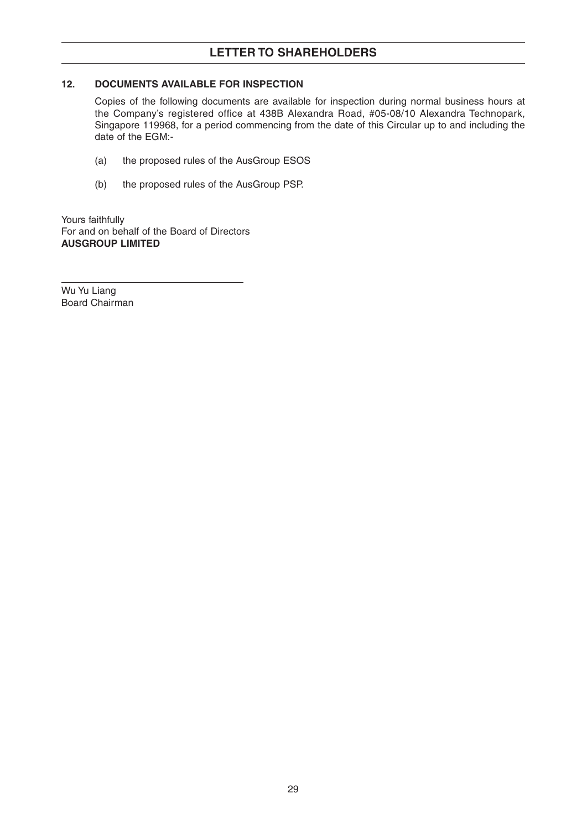## **LETTER TO SHAREHOLDERS**

#### **12. DOCUMENTS AVAILABLE FOR INSPECTION**

Copies of the following documents are available for inspection during normal business hours at the Company's registered office at 438B Alexandra Road, #05-08/10 Alexandra Technopark, Singapore 119968, for a period commencing from the date of this Circular up to and including the date of the EGM:-

- (a) the proposed rules of the AusGroup ESOS
- (b) the proposed rules of the AusGroup PSP.

Yours faithfully For and on behalf of the Board of Directors **AUSGROUP LIMITED**

Wu Yu Liang Board Chairman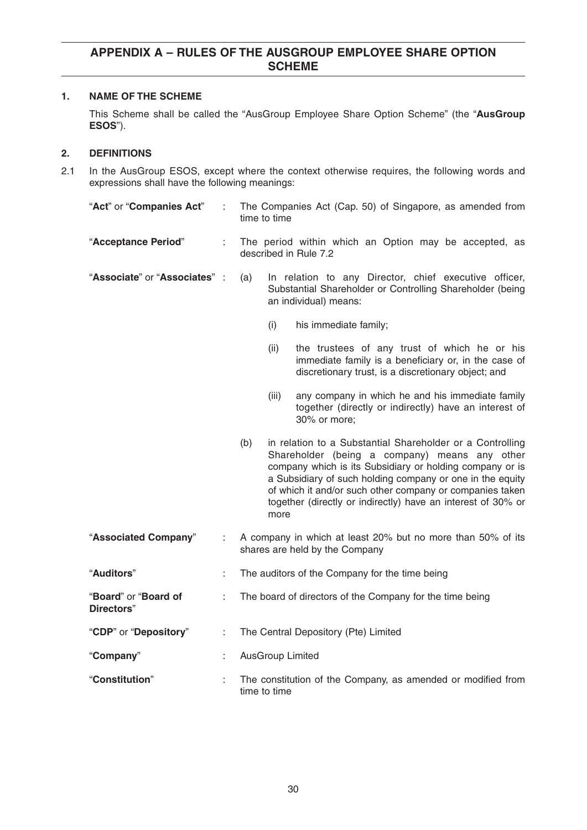#### **1. NAME OF THE SCHEME**

This Scheme shall be called the "AusGroup Employee Share Option Scheme" (the "**AusGroup ESOS**").

#### **2. DEFINITIONS**

2.1 In the AusGroup ESOS, except where the context otherwise requires, the following words and expressions shall have the following meanings:

| "Act" or "Companies Act"           |    | The Companies Act (Cap. 50) of Singapore, as amended from<br>time to time                                                                                                                                                                                                                                                                                                      |  |  |
|------------------------------------|----|--------------------------------------------------------------------------------------------------------------------------------------------------------------------------------------------------------------------------------------------------------------------------------------------------------------------------------------------------------------------------------|--|--|
| "Acceptance Period"                |    | The period within which an Option may be accepted, as<br>described in Rule 7.2                                                                                                                                                                                                                                                                                                 |  |  |
| "Associate" or "Associates" :      |    | In relation to any Director, chief executive officer,<br>(a)<br>Substantial Shareholder or Controlling Shareholder (being<br>an individual) means:                                                                                                                                                                                                                             |  |  |
|                                    |    | (i)<br>his immediate family;                                                                                                                                                                                                                                                                                                                                                   |  |  |
|                                    |    | (ii)<br>the trustees of any trust of which he or his<br>immediate family is a beneficiary or, in the case of<br>discretionary trust, is a discretionary object; and                                                                                                                                                                                                            |  |  |
|                                    |    | any company in which he and his immediate family<br>(iii)<br>together (directly or indirectly) have an interest of<br>30% or more;                                                                                                                                                                                                                                             |  |  |
|                                    |    | in relation to a Substantial Shareholder or a Controlling<br>(b)<br>Shareholder (being a company) means any other<br>company which is its Subsidiary or holding company or is<br>a Subsidiary of such holding company or one in the equity<br>of which it and/or such other company or companies taken<br>together (directly or indirectly) have an interest of 30% or<br>more |  |  |
| "Associated Company"               |    | A company in which at least 20% but no more than 50% of its<br>shares are held by the Company                                                                                                                                                                                                                                                                                  |  |  |
| "Auditors"                         | ÷. | The auditors of the Company for the time being                                                                                                                                                                                                                                                                                                                                 |  |  |
| "Board" or "Board of<br>Directors" | ÷  | The board of directors of the Company for the time being                                                                                                                                                                                                                                                                                                                       |  |  |
| "CDP" or "Depository"              | ÷. | The Central Depository (Pte) Limited                                                                                                                                                                                                                                                                                                                                           |  |  |
| "Company"                          | ÷  | <b>AusGroup Limited</b>                                                                                                                                                                                                                                                                                                                                                        |  |  |
| "Constitution"                     | t  | The constitution of the Company, as amended or modified from<br>time to time                                                                                                                                                                                                                                                                                                   |  |  |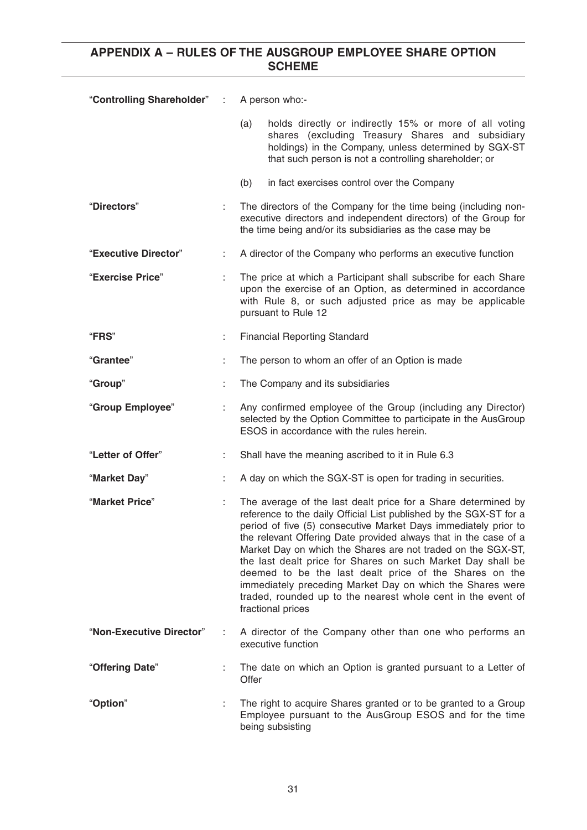| "Controlling Shareholder" : |   | A person who:-                                                                                                                                                                                                                                                                                                                                                                                                                                                                                                                                                                                                        |  |
|-----------------------------|---|-----------------------------------------------------------------------------------------------------------------------------------------------------------------------------------------------------------------------------------------------------------------------------------------------------------------------------------------------------------------------------------------------------------------------------------------------------------------------------------------------------------------------------------------------------------------------------------------------------------------------|--|
|                             |   | holds directly or indirectly 15% or more of all voting<br>(a)<br>shares (excluding Treasury Shares and subsidiary<br>holdings) in the Company, unless determined by SGX-ST<br>that such person is not a controlling shareholder; or                                                                                                                                                                                                                                                                                                                                                                                   |  |
|                             |   | (b)<br>in fact exercises control over the Company                                                                                                                                                                                                                                                                                                                                                                                                                                                                                                                                                                     |  |
| "Directors"                 |   | The directors of the Company for the time being (including non-<br>executive directors and independent directors) of the Group for<br>the time being and/or its subsidiaries as the case may be                                                                                                                                                                                                                                                                                                                                                                                                                       |  |
| "Executive Director"        | ÷ | A director of the Company who performs an executive function                                                                                                                                                                                                                                                                                                                                                                                                                                                                                                                                                          |  |
| "Exercise Price"            |   | The price at which a Participant shall subscribe for each Share<br>upon the exercise of an Option, as determined in accordance<br>with Rule 8, or such adjusted price as may be applicable<br>pursuant to Rule 12                                                                                                                                                                                                                                                                                                                                                                                                     |  |
| <b>"FRS"</b>                | t | <b>Financial Reporting Standard</b>                                                                                                                                                                                                                                                                                                                                                                                                                                                                                                                                                                                   |  |
| "Grantee"                   |   | The person to whom an offer of an Option is made                                                                                                                                                                                                                                                                                                                                                                                                                                                                                                                                                                      |  |
| "Group"                     |   | The Company and its subsidiaries                                                                                                                                                                                                                                                                                                                                                                                                                                                                                                                                                                                      |  |
| "Group Employee"            |   | Any confirmed employee of the Group (including any Director)<br>selected by the Option Committee to participate in the AusGroup<br>ESOS in accordance with the rules herein.                                                                                                                                                                                                                                                                                                                                                                                                                                          |  |
| "Letter of Offer"           | ÷ | Shall have the meaning ascribed to it in Rule 6.3                                                                                                                                                                                                                                                                                                                                                                                                                                                                                                                                                                     |  |
| "Market Day"                |   | A day on which the SGX-ST is open for trading in securities.                                                                                                                                                                                                                                                                                                                                                                                                                                                                                                                                                          |  |
| "Market Price"              |   | The average of the last dealt price for a Share determined by<br>reference to the daily Official List published by the SGX-ST for a<br>period of five (5) consecutive Market Days immediately prior to<br>the relevant Offering Date provided always that in the case of a<br>Market Day on which the Shares are not traded on the SGX-ST,<br>the last dealt price for Shares on such Market Day shall be<br>deemed to be the last dealt price of the Shares on the<br>immediately preceding Market Day on which the Shares were<br>traded, rounded up to the nearest whole cent in the event of<br>fractional prices |  |
| "Non-Executive Director"    |   | A director of the Company other than one who performs an<br>executive function                                                                                                                                                                                                                                                                                                                                                                                                                                                                                                                                        |  |
| "Offering Date"             |   | The date on which an Option is granted pursuant to a Letter of<br>Offer                                                                                                                                                                                                                                                                                                                                                                                                                                                                                                                                               |  |
| "Option"                    |   | The right to acquire Shares granted or to be granted to a Group<br>Employee pursuant to the AusGroup ESOS and for the time<br>being subsisting                                                                                                                                                                                                                                                                                                                                                                                                                                                                        |  |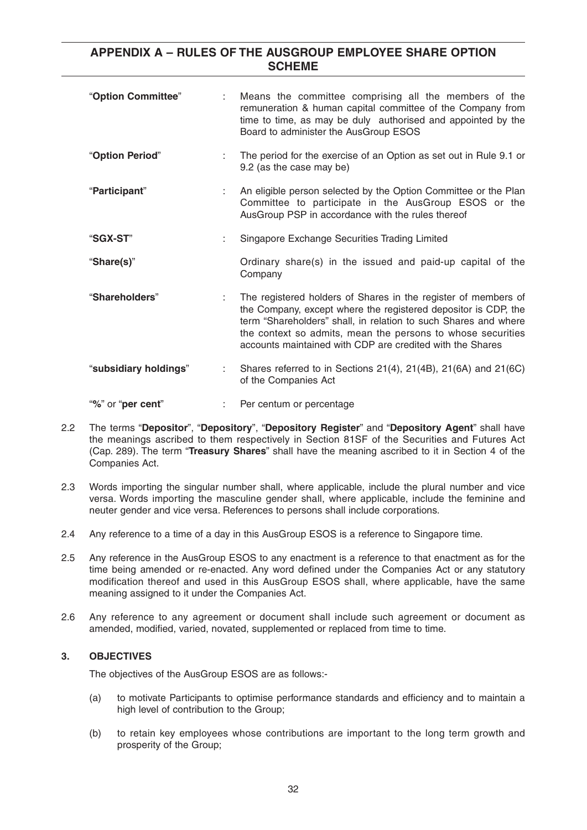| "Option Committee"    | t. | Means the committee comprising all the members of the<br>remuneration & human capital committee of the Company from<br>time to time, as may be duly authorised and appointed by the<br>Board to administer the AusGroup ESOS                                                                                                    |
|-----------------------|----|---------------------------------------------------------------------------------------------------------------------------------------------------------------------------------------------------------------------------------------------------------------------------------------------------------------------------------|
| "Option Period"       |    | The period for the exercise of an Option as set out in Rule 9.1 or<br>9.2 (as the case may be)                                                                                                                                                                                                                                  |
| "Participant"         |    | An eligible person selected by the Option Committee or the Plan<br>Committee to participate in the AusGroup ESOS or the<br>AusGroup PSP in accordance with the rules thereof                                                                                                                                                    |
| "SGX-ST"              |    | Singapore Exchange Securities Trading Limited                                                                                                                                                                                                                                                                                   |
| "Share(s)"            |    | Ordinary share(s) in the issued and paid-up capital of the<br>Company                                                                                                                                                                                                                                                           |
| "Shareholders"        |    | The registered holders of Shares in the register of members of<br>the Company, except where the registered depositor is CDP, the<br>term "Shareholders" shall, in relation to such Shares and where<br>the context so admits, mean the persons to whose securities<br>accounts maintained with CDP are credited with the Shares |
| "subsidiary holdings" |    | Shares referred to in Sections 21(4), 21(4B), 21(6A) and 21(6C)<br>of the Companies Act                                                                                                                                                                                                                                         |
| "%" or "per cent"     |    | Per centum or percentage                                                                                                                                                                                                                                                                                                        |

- 2.2 The terms "**Depositor**", "**Depository**", "**Depository Register**" and "**Depository Agent**" shall have the meanings ascribed to them respectively in Section 81SF of the Securities and Futures Act (Cap. 289). The term "**Treasury Shares**" shall have the meaning ascribed to it in Section 4 of the Companies Act.
- 2.3 Words importing the singular number shall, where applicable, include the plural number and vice versa. Words importing the masculine gender shall, where applicable, include the feminine and neuter gender and vice versa. References to persons shall include corporations.
- 2.4 Any reference to a time of a day in this AusGroup ESOS is a reference to Singapore time.
- 2.5 Any reference in the AusGroup ESOS to any enactment is a reference to that enactment as for the time being amended or re-enacted. Any word defined under the Companies Act or any statutory modification thereof and used in this AusGroup ESOS shall, where applicable, have the same meaning assigned to it under the Companies Act.
- 2.6 Any reference to any agreement or document shall include such agreement or document as amended, modified, varied, novated, supplemented or replaced from time to time.

#### **3. OBJECTIVES**

The objectives of the AusGroup ESOS are as follows:-

- (a) to motivate Participants to optimise performance standards and efficiency and to maintain a high level of contribution to the Group;
- (b) to retain key employees whose contributions are important to the long term growth and prosperity of the Group;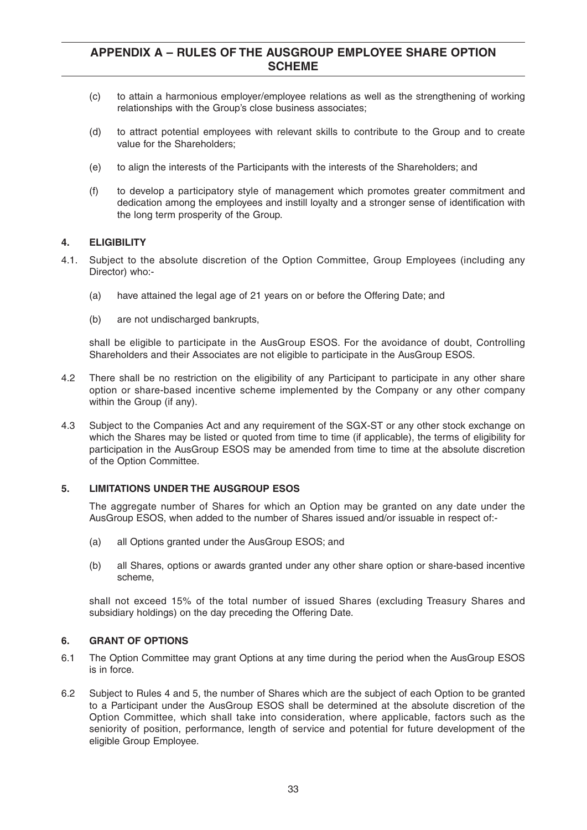- (c) to attain a harmonious employer/employee relations as well as the strengthening of working relationships with the Group's close business associates;
- (d) to attract potential employees with relevant skills to contribute to the Group and to create value for the Shareholders;
- (e) to align the interests of the Participants with the interests of the Shareholders; and
- (f) to develop a participatory style of management which promotes greater commitment and dedication among the employees and instill loyalty and a stronger sense of identification with the long term prosperity of the Group.

#### **4. ELIGIBILITY**

- 4.1. Subject to the absolute discretion of the Option Committee, Group Employees (including any Director) who:-
	- (a) have attained the legal age of 21 years on or before the Offering Date; and
	- (b) are not undischarged bankrupts,

shall be eligible to participate in the AusGroup ESOS. For the avoidance of doubt, Controlling Shareholders and their Associates are not eligible to participate in the AusGroup ESOS.

- 4.2 There shall be no restriction on the eligibility of any Participant to participate in any other share option or share-based incentive scheme implemented by the Company or any other company within the Group (if any).
- 4.3 Subject to the Companies Act and any requirement of the SGX-ST or any other stock exchange on which the Shares may be listed or quoted from time to time (if applicable), the terms of eligibility for participation in the AusGroup ESOS may be amended from time to time at the absolute discretion of the Option Committee.

#### **5. LIMITATIONS UNDER THE AUSGROUP ESOS**

The aggregate number of Shares for which an Option may be granted on any date under the AusGroup ESOS, when added to the number of Shares issued and/or issuable in respect of:-

- (a) all Options granted under the AusGroup ESOS; and
- (b) all Shares, options or awards granted under any other share option or share-based incentive scheme,

shall not exceed 15% of the total number of issued Shares (excluding Treasury Shares and subsidiary holdings) on the day preceding the Offering Date.

#### **6. GRANT OF OPTIONS**

- 6.1 The Option Committee may grant Options at any time during the period when the AusGroup ESOS is in force.
- 6.2 Subject to Rules 4 and 5, the number of Shares which are the subject of each Option to be granted to a Participant under the AusGroup ESOS shall be determined at the absolute discretion of the Option Committee, which shall take into consideration, where applicable, factors such as the seniority of position, performance, length of service and potential for future development of the eligible Group Employee.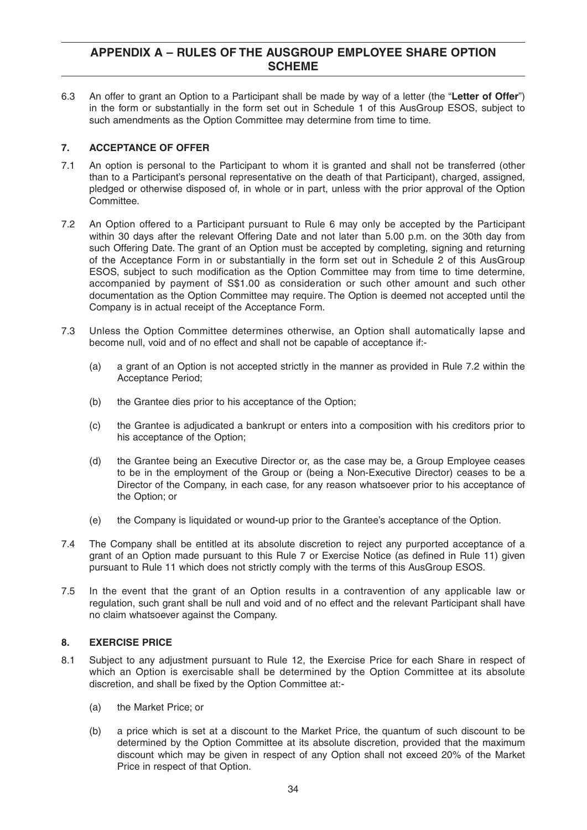6.3 An offer to grant an Option to a Participant shall be made by way of a letter (the "**Letter of Offer**") in the form or substantially in the form set out in Schedule 1 of this AusGroup ESOS, subject to such amendments as the Option Committee may determine from time to time.

#### **7. ACCEPTANCE OF OFFER**

- 7.1 An option is personal to the Participant to whom it is granted and shall not be transferred (other than to a Participant's personal representative on the death of that Participant), charged, assigned, pledged or otherwise disposed of, in whole or in part, unless with the prior approval of the Option Committee.
- 7.2 An Option offered to a Participant pursuant to Rule 6 may only be accepted by the Participant within 30 days after the relevant Offering Date and not later than 5.00 p.m. on the 30th day from such Offering Date. The grant of an Option must be accepted by completing, signing and returning of the Acceptance Form in or substantially in the form set out in Schedule 2 of this AusGroup ESOS, subject to such modification as the Option Committee may from time to time determine, accompanied by payment of S\$1.00 as consideration or such other amount and such other documentation as the Option Committee may require. The Option is deemed not accepted until the Company is in actual receipt of the Acceptance Form.
- 7.3 Unless the Option Committee determines otherwise, an Option shall automatically lapse and become null, void and of no effect and shall not be capable of acceptance if:-
	- (a) a grant of an Option is not accepted strictly in the manner as provided in Rule 7.2 within the Acceptance Period;
	- (b) the Grantee dies prior to his acceptance of the Option;
	- (c) the Grantee is adjudicated a bankrupt or enters into a composition with his creditors prior to his acceptance of the Option;
	- (d) the Grantee being an Executive Director or, as the case may be, a Group Employee ceases to be in the employment of the Group or (being a Non-Executive Director) ceases to be a Director of the Company, in each case, for any reason whatsoever prior to his acceptance of the Option; or
	- (e) the Company is liquidated or wound-up prior to the Grantee's acceptance of the Option.
- 7.4 The Company shall be entitled at its absolute discretion to reject any purported acceptance of a grant of an Option made pursuant to this Rule 7 or Exercise Notice (as defined in Rule 11) given pursuant to Rule 11 which does not strictly comply with the terms of this AusGroup ESOS.
- 7.5 In the event that the grant of an Option results in a contravention of any applicable law or regulation, such grant shall be null and void and of no effect and the relevant Participant shall have no claim whatsoever against the Company.

#### **8. EXERCISE PRICE**

- 8.1 Subject to any adjustment pursuant to Rule 12, the Exercise Price for each Share in respect of which an Option is exercisable shall be determined by the Option Committee at its absolute discretion, and shall be fixed by the Option Committee at:-
	- (a) the Market Price; or
	- (b) a price which is set at a discount to the Market Price, the quantum of such discount to be determined by the Option Committee at its absolute discretion, provided that the maximum discount which may be given in respect of any Option shall not exceed 20% of the Market Price in respect of that Option.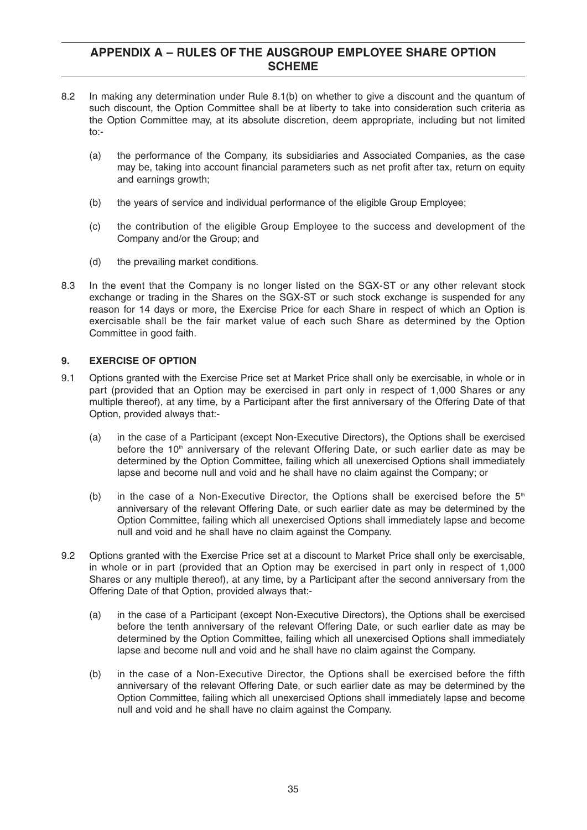- 8.2 In making any determination under Rule 8.1(b) on whether to give a discount and the quantum of such discount, the Option Committee shall be at liberty to take into consideration such criteria as the Option Committee may, at its absolute discretion, deem appropriate, including but not limited to:-
	- (a) the performance of the Company, its subsidiaries and Associated Companies, as the case may be, taking into account financial parameters such as net profit after tax, return on equity and earnings growth;
	- (b) the years of service and individual performance of the eligible Group Employee;
	- (c) the contribution of the eligible Group Employee to the success and development of the Company and/or the Group; and
	- (d) the prevailing market conditions.
- 8.3 In the event that the Company is no longer listed on the SGX-ST or any other relevant stock exchange or trading in the Shares on the SGX-ST or such stock exchange is suspended for any reason for 14 days or more, the Exercise Price for each Share in respect of which an Option is exercisable shall be the fair market value of each such Share as determined by the Option Committee in good faith.

#### **9. EXERCISE OF OPTION**

- 9.1 Options granted with the Exercise Price set at Market Price shall only be exercisable, in whole or in part (provided that an Option may be exercised in part only in respect of 1,000 Shares or any multiple thereof), at any time, by a Participant after the first anniversary of the Offering Date of that Option, provided always that:-
	- (a) in the case of a Participant (except Non-Executive Directors), the Options shall be exercised before the  $10<sup>th</sup>$  anniversary of the relevant Offering Date, or such earlier date as may be determined by the Option Committee, failing which all unexercised Options shall immediately lapse and become null and void and he shall have no claim against the Company; or
	- (b) in the case of a Non-Executive Director, the Options shall be exercised before the  $5<sup>th</sup>$ anniversary of the relevant Offering Date, or such earlier date as may be determined by the Option Committee, failing which all unexercised Options shall immediately lapse and become null and void and he shall have no claim against the Company.
- 9.2 Options granted with the Exercise Price set at a discount to Market Price shall only be exercisable, in whole or in part (provided that an Option may be exercised in part only in respect of 1,000 Shares or any multiple thereof), at any time, by a Participant after the second anniversary from the Offering Date of that Option, provided always that:-
	- (a) in the case of a Participant (except Non-Executive Directors), the Options shall be exercised before the tenth anniversary of the relevant Offering Date, or such earlier date as may be determined by the Option Committee, failing which all unexercised Options shall immediately lapse and become null and void and he shall have no claim against the Company.
	- (b) in the case of a Non-Executive Director, the Options shall be exercised before the fifth anniversary of the relevant Offering Date, or such earlier date as may be determined by the Option Committee, failing which all unexercised Options shall immediately lapse and become null and void and he shall have no claim against the Company.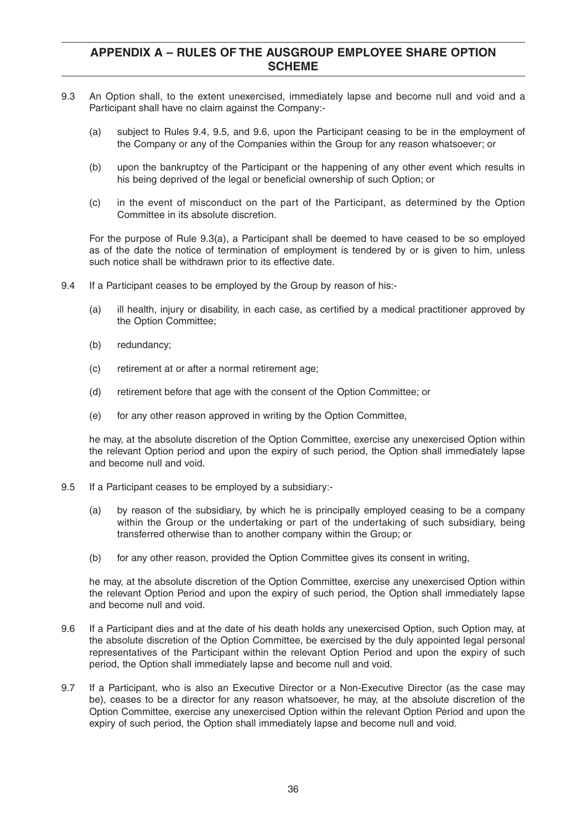- 9.3 An Option shall, to the extent unexercised, immediately lapse and become null and void and a Participant shall have no claim against the Company:-
	- (a) subject to Rules 9.4, 9.5, and 9.6, upon the Participant ceasing to be in the employment of the Company or any of the Companies within the Group for any reason whatsoever; or
	- (b) upon the bankruptcy of the Participant or the happening of any other event which results in his being deprived of the legal or beneficial ownership of such Option; or
	- (c) in the event of misconduct on the part of the Participant, as determined by the Option Committee in its absolute discretion.

For the purpose of Rule 9.3(a), a Participant shall be deemed to have ceased to be so employed as of the date the notice of termination of employment is tendered by or is given to him, unless such notice shall be withdrawn prior to its effective date.

- 9.4 If a Participant ceases to be employed by the Group by reason of his:-
	- (a) ill health, injury or disability, in each case, as certified by a medical practitioner approved by the Option Committee;
	- (b) redundancy;
	- (c) retirement at or after a normal retirement age;
	- (d) retirement before that age with the consent of the Option Committee; or
	- (e) for any other reason approved in writing by the Option Committee,

he may, at the absolute discretion of the Option Committee, exercise any unexercised Option within the relevant Option period and upon the expiry of such period, the Option shall immediately lapse and become null and void.

- 9.5 If a Participant ceases to be employed by a subsidiary:-
	- (a) by reason of the subsidiary, by which he is principally employed ceasing to be a company within the Group or the undertaking or part of the undertaking of such subsidiary, being transferred otherwise than to another company within the Group; or
	- (b) for any other reason, provided the Option Committee gives its consent in writing,

he may, at the absolute discretion of the Option Committee, exercise any unexercised Option within the relevant Option Period and upon the expiry of such period, the Option shall immediately lapse and become null and void.

- 9.6 If a Participant dies and at the date of his death holds any unexercised Option, such Option may, at the absolute discretion of the Option Committee, be exercised by the duly appointed legal personal representatives of the Participant within the relevant Option Period and upon the expiry of such period, the Option shall immediately lapse and become null and void.
- 9.7 If a Participant, who is also an Executive Director or a Non-Executive Director (as the case may be), ceases to be a director for any reason whatsoever, he may, at the absolute discretion of the Option Committee, exercise any unexercised Option within the relevant Option Period and upon the expiry of such period, the Option shall immediately lapse and become null and void.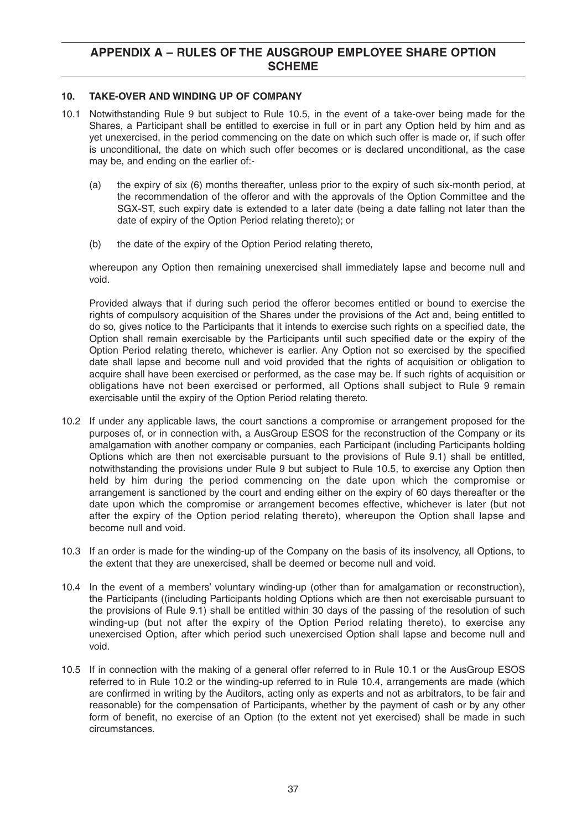#### **10. TAKE-OVER AND WINDING UP OF COMPANY**

- 10.1 Notwithstanding Rule 9 but subject to Rule 10.5, in the event of a take-over being made for the Shares, a Participant shall be entitled to exercise in full or in part any Option held by him and as yet unexercised, in the period commencing on the date on which such offer is made or, if such offer is unconditional, the date on which such offer becomes or is declared unconditional, as the case may be, and ending on the earlier of:-
	- (a) the expiry of six (6) months thereafter, unless prior to the expiry of such six-month period, at the recommendation of the offeror and with the approvals of the Option Committee and the SGX-ST, such expiry date is extended to a later date (being a date falling not later than the date of expiry of the Option Period relating thereto); or
	- (b) the date of the expiry of the Option Period relating thereto,

whereupon any Option then remaining unexercised shall immediately lapse and become null and void.

Provided always that if during such period the offeror becomes entitled or bound to exercise the rights of compulsory acquisition of the Shares under the provisions of the Act and, being entitled to do so, gives notice to the Participants that it intends to exercise such rights on a specified date, the Option shall remain exercisable by the Participants until such specified date or the expiry of the Option Period relating thereto, whichever is earlier. Any Option not so exercised by the specified date shall lapse and become null and void provided that the rights of acquisition or obligation to acquire shall have been exercised or performed, as the case may be. If such rights of acquisition or obligations have not been exercised or performed, all Options shall subject to Rule 9 remain exercisable until the expiry of the Option Period relating thereto.

- 10.2 If under any applicable laws, the court sanctions a compromise or arrangement proposed for the purposes of, or in connection with, a AusGroup ESOS for the reconstruction of the Company or its amalgamation with another company or companies, each Participant (including Participants holding Options which are then not exercisable pursuant to the provisions of Rule 9.1) shall be entitled, notwithstanding the provisions under Rule 9 but subject to Rule 10.5, to exercise any Option then held by him during the period commencing on the date upon which the compromise or arrangement is sanctioned by the court and ending either on the expiry of 60 days thereafter or the date upon which the compromise or arrangement becomes effective, whichever is later (but not after the expiry of the Option period relating thereto), whereupon the Option shall lapse and become null and void.
- 10.3 If an order is made for the winding-up of the Company on the basis of its insolvency, all Options, to the extent that they are unexercised, shall be deemed or become null and void.
- 10.4 In the event of a members' voluntary winding-up (other than for amalgamation or reconstruction), the Participants ((including Participants holding Options which are then not exercisable pursuant to the provisions of Rule 9.1) shall be entitled within 30 days of the passing of the resolution of such winding-up (but not after the expiry of the Option Period relating thereto), to exercise any unexercised Option, after which period such unexercised Option shall lapse and become null and void.
- 10.5 If in connection with the making of a general offer referred to in Rule 10.1 or the AusGroup ESOS referred to in Rule 10.2 or the winding-up referred to in Rule 10.4, arrangements are made (which are confirmed in writing by the Auditors, acting only as experts and not as arbitrators, to be fair and reasonable) for the compensation of Participants, whether by the payment of cash or by any other form of benefit, no exercise of an Option (to the extent not yet exercised) shall be made in such circumstances.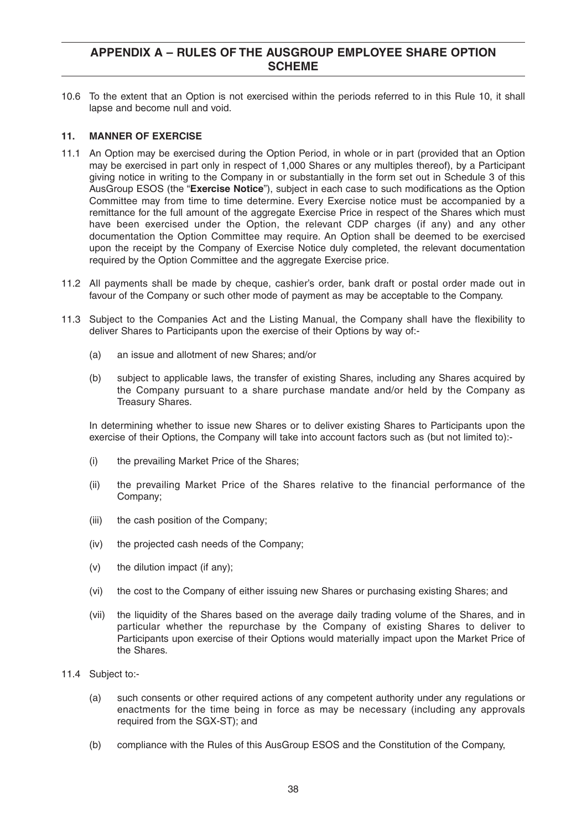10.6 To the extent that an Option is not exercised within the periods referred to in this Rule 10, it shall lapse and become null and void.

#### **11. MANNER OF EXERCISE**

- 11.1 An Option may be exercised during the Option Period, in whole or in part (provided that an Option may be exercised in part only in respect of 1,000 Shares or any multiples thereof), by a Participant giving notice in writing to the Company in or substantially in the form set out in Schedule 3 of this AusGroup ESOS (the "**Exercise Notice**"), subject in each case to such modifications as the Option Committee may from time to time determine. Every Exercise notice must be accompanied by a remittance for the full amount of the aggregate Exercise Price in respect of the Shares which must have been exercised under the Option, the relevant CDP charges (if any) and any other documentation the Option Committee may require. An Option shall be deemed to be exercised upon the receipt by the Company of Exercise Notice duly completed, the relevant documentation required by the Option Committee and the aggregate Exercise price.
- 11.2 All payments shall be made by cheque, cashier's order, bank draft or postal order made out in favour of the Company or such other mode of payment as may be acceptable to the Company.
- 11.3 Subject to the Companies Act and the Listing Manual, the Company shall have the flexibility to deliver Shares to Participants upon the exercise of their Options by way of:-
	- (a) an issue and allotment of new Shares; and/or
	- (b) subject to applicable laws, the transfer of existing Shares, including any Shares acquired by the Company pursuant to a share purchase mandate and/or held by the Company as Treasury Shares.

In determining whether to issue new Shares or to deliver existing Shares to Participants upon the exercise of their Options, the Company will take into account factors such as (but not limited to):-

- (i) the prevailing Market Price of the Shares;
- (ii) the prevailing Market Price of the Shares relative to the financial performance of the Company;
- (iii) the cash position of the Company;
- (iv) the projected cash needs of the Company;
- (v) the dilution impact (if any);
- (vi) the cost to the Company of either issuing new Shares or purchasing existing Shares; and
- (vii) the liquidity of the Shares based on the average daily trading volume of the Shares, and in particular whether the repurchase by the Company of existing Shares to deliver to Participants upon exercise of their Options would materially impact upon the Market Price of the Shares.
- 11.4 Subject to:-
	- (a) such consents or other required actions of any competent authority under any regulations or enactments for the time being in force as may be necessary (including any approvals required from the SGX-ST); and
	- (b) compliance with the Rules of this AusGroup ESOS and the Constitution of the Company,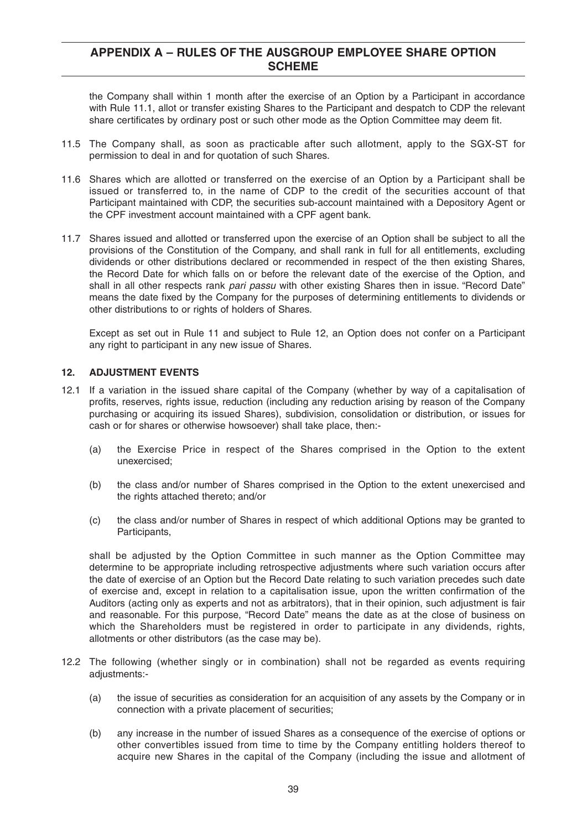the Company shall within 1 month after the exercise of an Option by a Participant in accordance with Rule 11.1, allot or transfer existing Shares to the Participant and despatch to CDP the relevant share certificates by ordinary post or such other mode as the Option Committee may deem fit.

- 11.5 The Company shall, as soon as practicable after such allotment, apply to the SGX-ST for permission to deal in and for quotation of such Shares.
- 11.6 Shares which are allotted or transferred on the exercise of an Option by a Participant shall be issued or transferred to, in the name of CDP to the credit of the securities account of that Participant maintained with CDP, the securities sub-account maintained with a Depository Agent or the CPF investment account maintained with a CPF agent bank.
- 11.7 Shares issued and allotted or transferred upon the exercise of an Option shall be subject to all the provisions of the Constitution of the Company, and shall rank in full for all entitlements, excluding dividends or other distributions declared or recommended in respect of the then existing Shares, the Record Date for which falls on or before the relevant date of the exercise of the Option, and shall in all other respects rank pari passu with other existing Shares then in issue. "Record Date" means the date fixed by the Company for the purposes of determining entitlements to dividends or other distributions to or rights of holders of Shares.

Except as set out in Rule 11 and subject to Rule 12, an Option does not confer on a Participant any right to participant in any new issue of Shares.

#### **12. ADJUSTMENT EVENTS**

- 12.1 If a variation in the issued share capital of the Company (whether by way of a capitalisation of profits, reserves, rights issue, reduction (including any reduction arising by reason of the Company purchasing or acquiring its issued Shares), subdivision, consolidation or distribution, or issues for cash or for shares or otherwise howsoever) shall take place, then:-
	- (a) the Exercise Price in respect of the Shares comprised in the Option to the extent unexercised;
	- (b) the class and/or number of Shares comprised in the Option to the extent unexercised and the rights attached thereto; and/or
	- (c) the class and/or number of Shares in respect of which additional Options may be granted to Participants,

shall be adjusted by the Option Committee in such manner as the Option Committee may determine to be appropriate including retrospective adjustments where such variation occurs after the date of exercise of an Option but the Record Date relating to such variation precedes such date of exercise and, except in relation to a capitalisation issue, upon the written confirmation of the Auditors (acting only as experts and not as arbitrators), that in their opinion, such adjustment is fair and reasonable. For this purpose, "Record Date" means the date as at the close of business on which the Shareholders must be registered in order to participate in any dividends, rights, allotments or other distributors (as the case may be).

- 12.2 The following (whether singly or in combination) shall not be regarded as events requiring adjustments:-
	- (a) the issue of securities as consideration for an acquisition of any assets by the Company or in connection with a private placement of securities;
	- (b) any increase in the number of issued Shares as a consequence of the exercise of options or other convertibles issued from time to time by the Company entitling holders thereof to acquire new Shares in the capital of the Company (including the issue and allotment of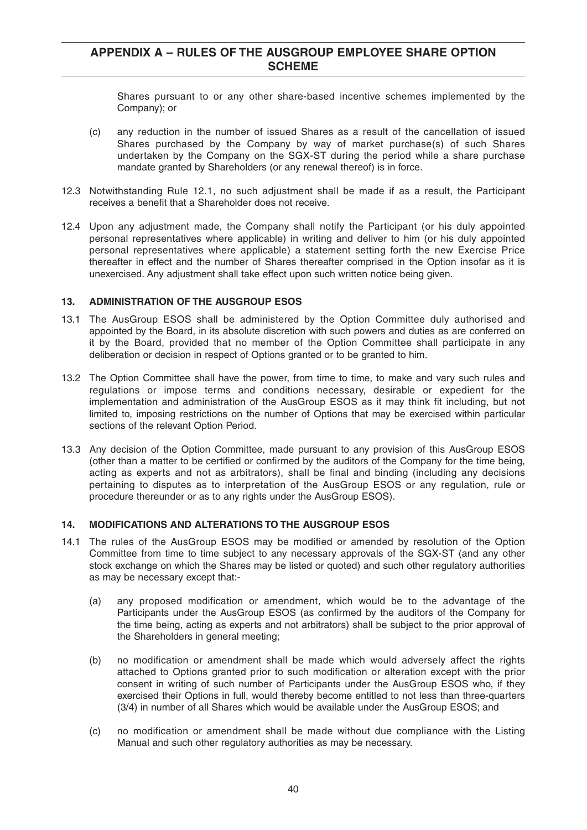Shares pursuant to or any other share-based incentive schemes implemented by the Company); or

- (c) any reduction in the number of issued Shares as a result of the cancellation of issued Shares purchased by the Company by way of market purchase(s) of such Shares undertaken by the Company on the SGX-ST during the period while a share purchase mandate granted by Shareholders (or any renewal thereof) is in force.
- 12.3 Notwithstanding Rule 12.1, no such adjustment shall be made if as a result, the Participant receives a benefit that a Shareholder does not receive.
- 12.4 Upon any adjustment made, the Company shall notify the Participant (or his duly appointed personal representatives where applicable) in writing and deliver to him (or his duly appointed personal representatives where applicable) a statement setting forth the new Exercise Price thereafter in effect and the number of Shares thereafter comprised in the Option insofar as it is unexercised. Any adjustment shall take effect upon such written notice being given.

#### **13. ADMINISTRATION OF THE AUSGROUP ESOS**

- 13.1 The AusGroup ESOS shall be administered by the Option Committee duly authorised and appointed by the Board, in its absolute discretion with such powers and duties as are conferred on it by the Board, provided that no member of the Option Committee shall participate in any deliberation or decision in respect of Options granted or to be granted to him.
- 13.2 The Option Committee shall have the power, from time to time, to make and vary such rules and regulations or impose terms and conditions necessary, desirable or expedient for the implementation and administration of the AusGroup ESOS as it may think fit including, but not limited to, imposing restrictions on the number of Options that may be exercised within particular sections of the relevant Option Period.
- 13.3 Any decision of the Option Committee, made pursuant to any provision of this AusGroup ESOS (other than a matter to be certified or confirmed by the auditors of the Company for the time being, acting as experts and not as arbitrators), shall be final and binding (including any decisions pertaining to disputes as to interpretation of the AusGroup ESOS or any regulation, rule or procedure thereunder or as to any rights under the AusGroup ESOS).

#### **14. MODIFICATIONS AND ALTERATIONS TO THE AUSGROUP ESOS**

- 14.1 The rules of the AusGroup ESOS may be modified or amended by resolution of the Option Committee from time to time subject to any necessary approvals of the SGX-ST (and any other stock exchange on which the Shares may be listed or quoted) and such other regulatory authorities as may be necessary except that:-
	- (a) any proposed modification or amendment, which would be to the advantage of the Participants under the AusGroup ESOS (as confirmed by the auditors of the Company for the time being, acting as experts and not arbitrators) shall be subject to the prior approval of the Shareholders in general meeting;
	- (b) no modification or amendment shall be made which would adversely affect the rights attached to Options granted prior to such modification or alteration except with the prior consent in writing of such number of Participants under the AusGroup ESOS who, if they exercised their Options in full, would thereby become entitled to not less than three-quarters (3/4) in number of all Shares which would be available under the AusGroup ESOS; and
	- (c) no modification or amendment shall be made without due compliance with the Listing Manual and such other regulatory authorities as may be necessary.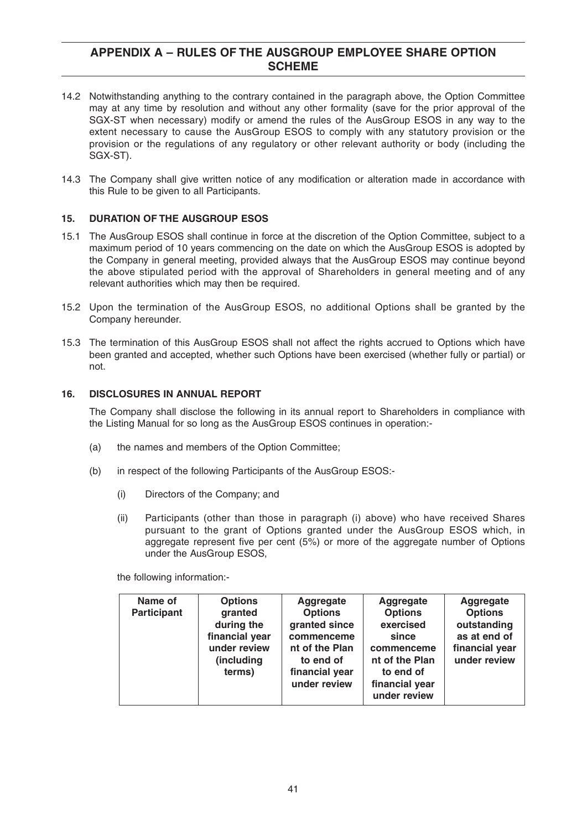- 14.2 Notwithstanding anything to the contrary contained in the paragraph above, the Option Committee may at any time by resolution and without any other formality (save for the prior approval of the SGX-ST when necessary) modify or amend the rules of the AusGroup ESOS in any way to the extent necessary to cause the AusGroup ESOS to comply with any statutory provision or the provision or the regulations of any regulatory or other relevant authority or body (including the SGX-ST).
- 14.3 The Company shall give written notice of any modification or alteration made in accordance with this Rule to be given to all Participants.

#### **15. DURATION OF THE AUSGROUP ESOS**

- 15.1 The AusGroup ESOS shall continue in force at the discretion of the Option Committee, subject to a maximum period of 10 years commencing on the date on which the AusGroup ESOS is adopted by the Company in general meeting, provided always that the AusGroup ESOS may continue beyond the above stipulated period with the approval of Shareholders in general meeting and of any relevant authorities which may then be required.
- 15.2 Upon the termination of the AusGroup ESOS, no additional Options shall be granted by the Company hereunder.
- 15.3 The termination of this AusGroup ESOS shall not affect the rights accrued to Options which have been granted and accepted, whether such Options have been exercised (whether fully or partial) or not.

#### **16. DISCLOSURES IN ANNUAL REPORT**

The Company shall disclose the following in its annual report to Shareholders in compliance with the Listing Manual for so long as the AusGroup ESOS continues in operation:-

- (a) the names and members of the Option Committee;
- (b) in respect of the following Participants of the AusGroup ESOS:-
	- (i) Directors of the Company; and
	- (ii) Participants (other than those in paragraph (i) above) who have received Shares pursuant to the grant of Options granted under the AusGroup ESOS which, in aggregate represent five per cent (5%) or more of the aggregate number of Options under the AusGroup ESOS,

the following information:-

| Name of<br><b>Options</b><br><b>Participant</b><br>granted<br>during the<br>financial year<br>under review<br>(including<br>terms) | Aggregate<br><b>Options</b><br>granted since<br>commenceme<br>nt of the Plan<br>to end of<br>financial year<br>under review | Aggregate<br><b>Options</b><br>exercised<br>since<br>commenceme<br>nt of the Plan<br>to end of<br>financial year<br>under review | Aggregate<br><b>Options</b><br>outstanding<br>as at end of<br>financial year<br>under review |
|------------------------------------------------------------------------------------------------------------------------------------|-----------------------------------------------------------------------------------------------------------------------------|----------------------------------------------------------------------------------------------------------------------------------|----------------------------------------------------------------------------------------------|
|------------------------------------------------------------------------------------------------------------------------------------|-----------------------------------------------------------------------------------------------------------------------------|----------------------------------------------------------------------------------------------------------------------------------|----------------------------------------------------------------------------------------------|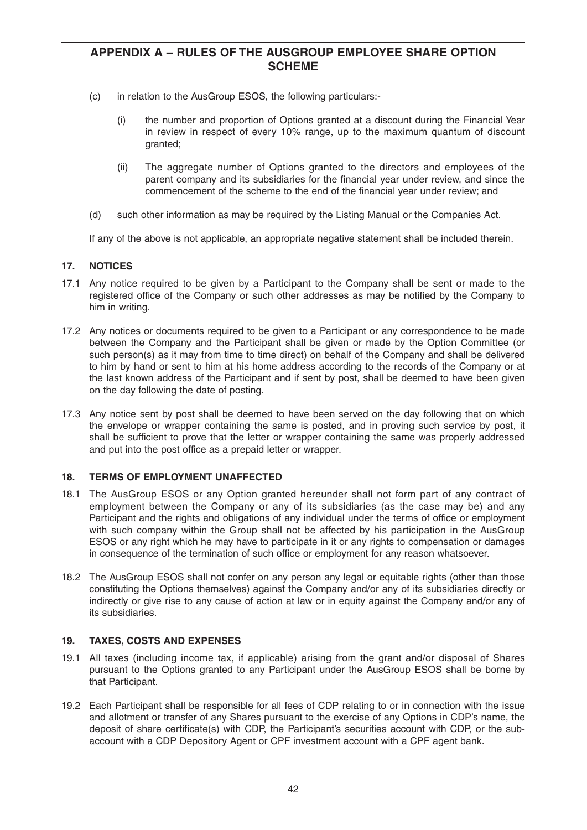- (c) in relation to the AusGroup ESOS, the following particulars:-
	- (i) the number and proportion of Options granted at a discount during the Financial Year in review in respect of every 10% range, up to the maximum quantum of discount granted;
	- (ii) The aggregate number of Options granted to the directors and employees of the parent company and its subsidiaries for the financial year under review, and since the commencement of the scheme to the end of the financial year under review; and
- (d) such other information as may be required by the Listing Manual or the Companies Act.

If any of the above is not applicable, an appropriate negative statement shall be included therein.

#### **17. NOTICES**

- 17.1 Any notice required to be given by a Participant to the Company shall be sent or made to the registered office of the Company or such other addresses as may be notified by the Company to him in writing.
- 17.2 Any notices or documents required to be given to a Participant or any correspondence to be made between the Company and the Participant shall be given or made by the Option Committee (or such person(s) as it may from time to time direct) on behalf of the Company and shall be delivered to him by hand or sent to him at his home address according to the records of the Company or at the last known address of the Participant and if sent by post, shall be deemed to have been given on the day following the date of posting.
- 17.3 Any notice sent by post shall be deemed to have been served on the day following that on which the envelope or wrapper containing the same is posted, and in proving such service by post, it shall be sufficient to prove that the letter or wrapper containing the same was properly addressed and put into the post office as a prepaid letter or wrapper.

#### **18. TERMS OF EMPLOYMENT UNAFFECTED**

- 18.1 The AusGroup ESOS or any Option granted hereunder shall not form part of any contract of employment between the Company or any of its subsidiaries (as the case may be) and any Participant and the rights and obligations of any individual under the terms of office or employment with such company within the Group shall not be affected by his participation in the AusGroup ESOS or any right which he may have to participate in it or any rights to compensation or damages in consequence of the termination of such office or employment for any reason whatsoever.
- 18.2 The AusGroup ESOS shall not confer on any person any legal or equitable rights (other than those constituting the Options themselves) against the Company and/or any of its subsidiaries directly or indirectly or give rise to any cause of action at law or in equity against the Company and/or any of its subsidiaries.

#### **19. TAXES, COSTS AND EXPENSES**

- 19.1 All taxes (including income tax, if applicable) arising from the grant and/or disposal of Shares pursuant to the Options granted to any Participant under the AusGroup ESOS shall be borne by that Participant.
- 19.2 Each Participant shall be responsible for all fees of CDP relating to or in connection with the issue and allotment or transfer of any Shares pursuant to the exercise of any Options in CDP's name, the deposit of share certificate(s) with CDP, the Participant's securities account with CDP, or the subaccount with a CDP Depository Agent or CPF investment account with a CPF agent bank.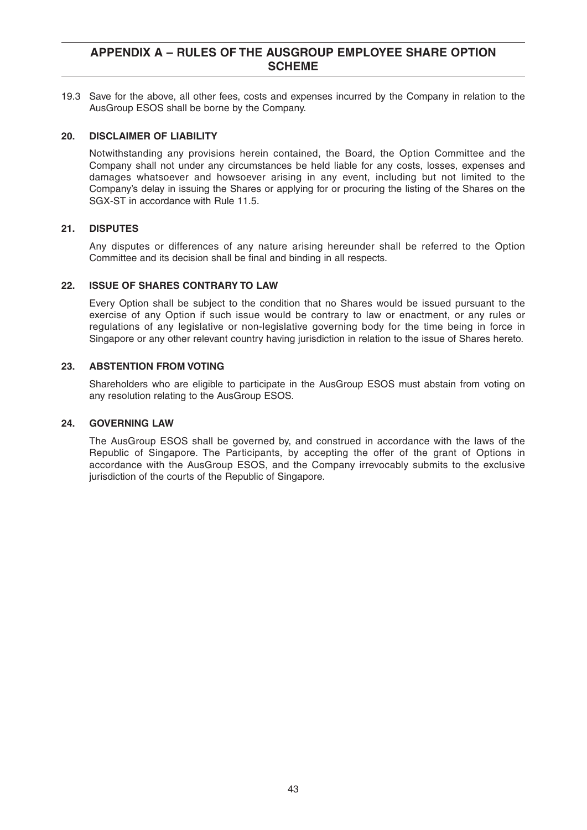19.3 Save for the above, all other fees, costs and expenses incurred by the Company in relation to the AusGroup ESOS shall be borne by the Company.

#### **20. DISCLAIMER OF LIABILITY**

Notwithstanding any provisions herein contained, the Board, the Option Committee and the Company shall not under any circumstances be held liable for any costs, losses, expenses and damages whatsoever and howsoever arising in any event, including but not limited to the Company's delay in issuing the Shares or applying for or procuring the listing of the Shares on the SGX-ST in accordance with Rule 11.5.

#### **21. DISPUTES**

Any disputes or differences of any nature arising hereunder shall be referred to the Option Committee and its decision shall be final and binding in all respects.

#### **22. ISSUE OF SHARES CONTRARY TO LAW**

Every Option shall be subject to the condition that no Shares would be issued pursuant to the exercise of any Option if such issue would be contrary to law or enactment, or any rules or regulations of any legislative or non-legislative governing body for the time being in force in Singapore or any other relevant country having jurisdiction in relation to the issue of Shares hereto.

#### **23. ABSTENTION FROM VOTING**

Shareholders who are eligible to participate in the AusGroup ESOS must abstain from voting on any resolution relating to the AusGroup ESOS.

#### **24. GOVERNING LAW**

The AusGroup ESOS shall be governed by, and construed in accordance with the laws of the Republic of Singapore. The Participants, by accepting the offer of the grant of Options in accordance with the AusGroup ESOS, and the Company irrevocably submits to the exclusive jurisdiction of the courts of the Republic of Singapore.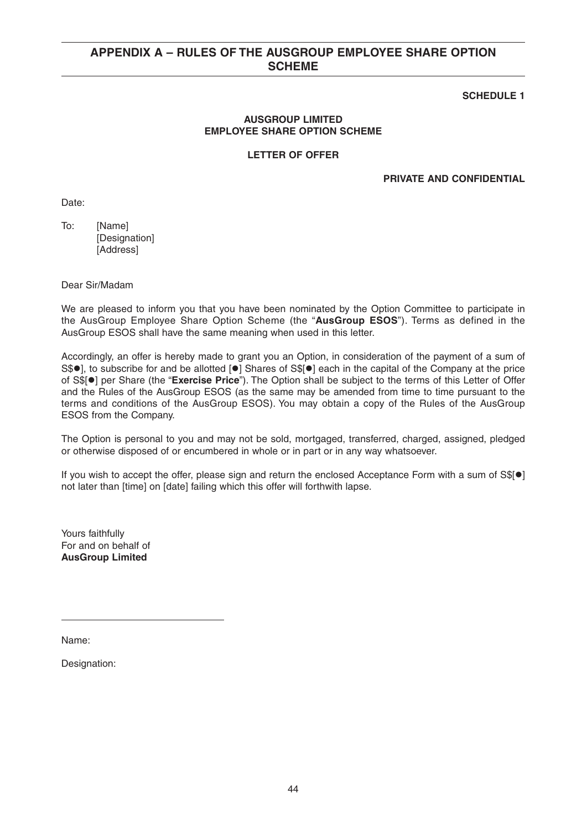### **SCHEDULE 1**

#### **AUSGROUP LIMITED EMPLOYEE SHARE OPTION SCHEME**

#### **LETTER OF OFFER**

#### **PRIVATE AND CONFIDENTIAL**

Date:

To: [Name] [Designation] [Address]

Dear Sir/Madam

We are pleased to inform you that you have been nominated by the Option Committee to participate in the AusGroup Employee Share Option Scheme (the "**AusGroup ESOS**"). Terms as defined in the AusGroup ESOS shall have the same meaning when used in this letter.

Accordingly, an offer is hereby made to grant you an Option, in consideration of the payment of a sum of S\$<sup>o</sup>], to subscribe for and be allotted [<sup>o</sup>] Shares of S\$[<sup>o</sup>] each in the capital of the Company at the price of S\$[<sup>o</sup>] per Share (the "Exercise Price"). The Option shall be subject to the terms of this Letter of Offer and the Rules of the AusGroup ESOS (as the same may be amended from time to time pursuant to the terms and conditions of the AusGroup ESOS). You may obtain a copy of the Rules of the AusGroup ESOS from the Company.

The Option is personal to you and may not be sold, mortgaged, transferred, charged, assigned, pledged or otherwise disposed of or encumbered in whole or in part or in any way whatsoever.

If you wish to accept the offer, please sign and return the enclosed Acceptance Form with a sum of S\$[<sup>o</sup>] not later than [time] on [date] failing which this offer will forthwith lapse.

Yours faithfully For and on behalf of **AusGroup Limited**

Name:

Designation: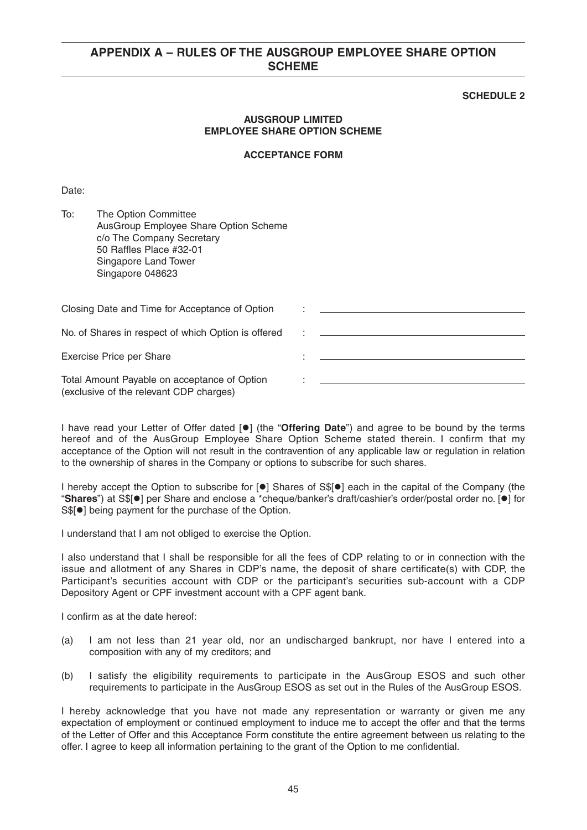#### **SCHEDULE 2**

#### **AUSGROUP LIMITED EMPLOYEE SHARE OPTION SCHEME**

#### **ACCEPTANCE FORM**

Date:

| To:<br>The Option Committee<br>AusGroup Employee Share Option Scheme<br>c/o The Company Secretary<br>50 Raffles Place #32-01<br>Singapore Land Tower<br>Singapore 048623 |  |
|--------------------------------------------------------------------------------------------------------------------------------------------------------------------------|--|
| Closing Date and Time for Acceptance of Option                                                                                                                           |  |
| No. of Shares in respect of which Option is offered                                                                                                                      |  |
| Exercise Price per Share                                                                                                                                                 |  |
| Total Amount Payable on acceptance of Option<br>(exclusive of the relevant CDP charges)                                                                                  |  |

I have read your Letter of Offer dated [<sup>o</sup>] (the "Offering Date") and agree to be bound by the terms hereof and of the AusGroup Employee Share Option Scheme stated therein. I confirm that my acceptance of the Option will not result in the contravention of any applicable law or regulation in relation to the ownership of shares in the Company or options to subscribe for such shares.

I hereby accept the Option to subscribe for [ $\bullet$ ] Shares of S\$[ $\bullet$ ] each in the capital of the Company (the "Shares") at S\$[<sup>o</sup>] per Share and enclose a \*cheque/banker's draft/cashier's order/postal order no. [<sup>o</sup>] for S\$[<sup>o</sup>] being payment for the purchase of the Option.

I understand that I am not obliged to exercise the Option.

I also understand that I shall be responsible for all the fees of CDP relating to or in connection with the issue and allotment of any Shares in CDP's name, the deposit of share certificate(s) with CDP, the Participant's securities account with CDP or the participant's securities sub-account with a CDP Depository Agent or CPF investment account with a CPF agent bank.

I confirm as at the date hereof:

- (a) I am not less than 21 year old, nor an undischarged bankrupt, nor have I entered into a composition with any of my creditors; and
- (b) I satisfy the eligibility requirements to participate in the AusGroup ESOS and such other requirements to participate in the AusGroup ESOS as set out in the Rules of the AusGroup ESOS.

I hereby acknowledge that you have not made any representation or warranty or given me any expectation of employment or continued employment to induce me to accept the offer and that the terms of the Letter of Offer and this Acceptance Form constitute the entire agreement between us relating to the offer. I agree to keep all information pertaining to the grant of the Option to me confidential.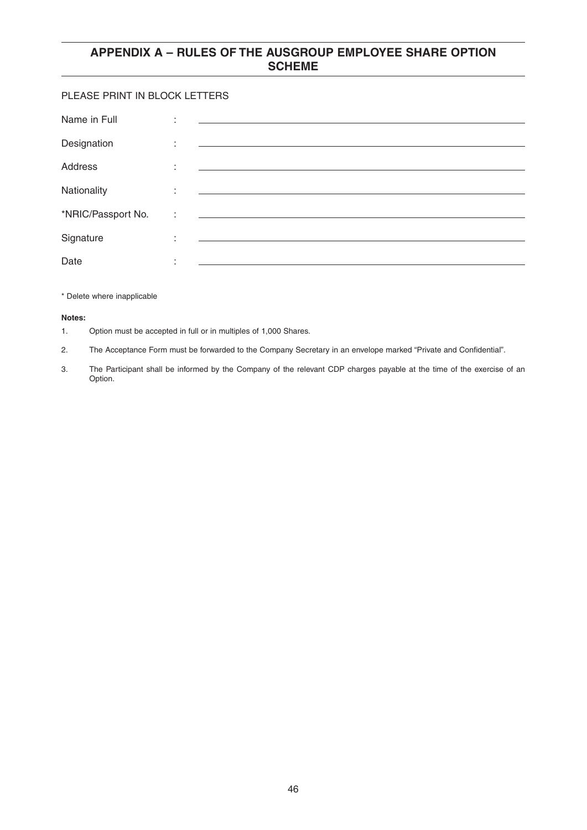#### PLEASE PRINT IN BLOCK LETTERS

| Name in Full       | ٠<br>٠            |                                                                                                                       |
|--------------------|-------------------|-----------------------------------------------------------------------------------------------------------------------|
| Designation        | ٠<br>$\epsilon$   | <u> Alexandria de la contrada de la contrada de la contrada de la contrada de la contrada de la contrada de la c</u>  |
| Address            | ٠                 | <u> 1989 - Jan Sterlinger, skriuwer fan it ferstjer fan de fan it ferstjer fan it ferstjer fan it ferstjer fan it</u> |
| Nationality        | ٠<br>$\mathbf{r}$ | and the control of the control of the control of the control of the control of the control of the control of the      |
| *NRIC/Passport No. | ÷                 |                                                                                                                       |
| Signature          | ٠<br>$\mathbf{r}$ |                                                                                                                       |
| Date               | ٠                 |                                                                                                                       |

#### \* Delete where inapplicable

#### **Notes:**

- 1. Option must be accepted in full or in multiples of 1,000 Shares.
- 2. The Acceptance Form must be forwarded to the Company Secretary in an envelope marked "Private and Confidential".
- 3. The Participant shall be informed by the Company of the relevant CDP charges payable at the time of the exercise of an Option.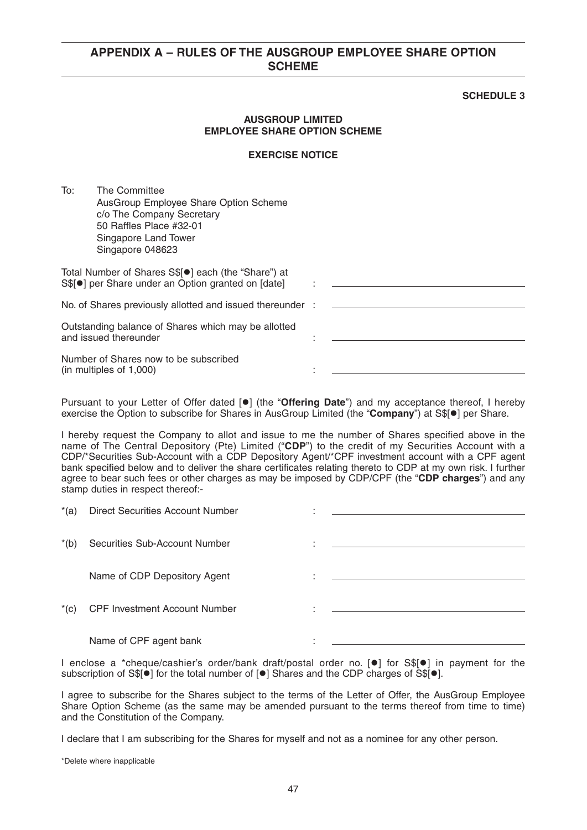#### **SCHEDULE 3**

#### **AUSGROUP LIMITED EMPLOYEE SHARE OPTION SCHEME**

#### **EXERCISE NOTICE**

To: The Committee AusGroup Employee Share Option Scheme c/o The Company Secretary 50 Raffles Place #32-01 Singapore Land Tower Singapore 048623

| Total Number of Shares S\$[●] each (the "Share") at<br>S\$[ <sup>o</sup> ] per Share under an Option granted on [date] |  |
|------------------------------------------------------------------------------------------------------------------------|--|
| No. of Shares previously allotted and issued thereunder :                                                              |  |
| Outstanding balance of Shares which may be allotted<br>and issued thereunder                                           |  |

Number of Shares now to be subscribed  $(in$  multiples of  $1,000$ )

Pursuant to your Letter of Offer dated [<sup>o</sup>] (the "Offering Date") and my acceptance thereof, I hereby exercise the Option to subscribe for Shares in AusGroup Limited (the "Company") at S\$[<sup>o</sup>] per Share.

I hereby request the Company to allot and issue to me the number of Shares specified above in the name of The Central Depository (Pte) Limited ("**CDP**") to the credit of my Securities Account with a CDP/\*Securities Sub-Account with a CDP Depository Agent/\*CPF investment account with a CPF agent bank specified below and to deliver the share certificates relating thereto to CDP at my own risk. I further agree to bear such fees or other charges as may be imposed by CDP/CPF (the "**CDP charges**") and any stamp duties in respect thereof:-

| $*(a)$ | Direct Securities Account Number     |                                                                                                                      |
|--------|--------------------------------------|----------------------------------------------------------------------------------------------------------------------|
| $*(b)$ | Securities Sub-Account Number        |                                                                                                                      |
|        | Name of CDP Depository Agent         | <u> 1989 - Johann Stein, marwolaethau a bhann an t-Amhain an t-Amhain an t-Amhain an t-Amhain an t-Amhain an t-A</u> |
| $*(c)$ | <b>CPF Investment Account Number</b> |                                                                                                                      |
|        | Name of CPF agent bank               |                                                                                                                      |

I enclose a \*cheque/cashier's order/bank draft/postal order no. [<sup>o]</sup> for S\$[<sup>o</sup>] in payment for the subscription of S\$[ $\bullet$ ] for the total number of [ $\bullet$ ] Shares and the CDP charges of S\$[ $\bullet$ ].

I agree to subscribe for the Shares subject to the terms of the Letter of Offer, the AusGroup Employee Share Option Scheme (as the same may be amended pursuant to the terms thereof from time to time) and the Constitution of the Company.

I declare that I am subscribing for the Shares for myself and not as a nominee for any other person.

\*Delete where inapplicable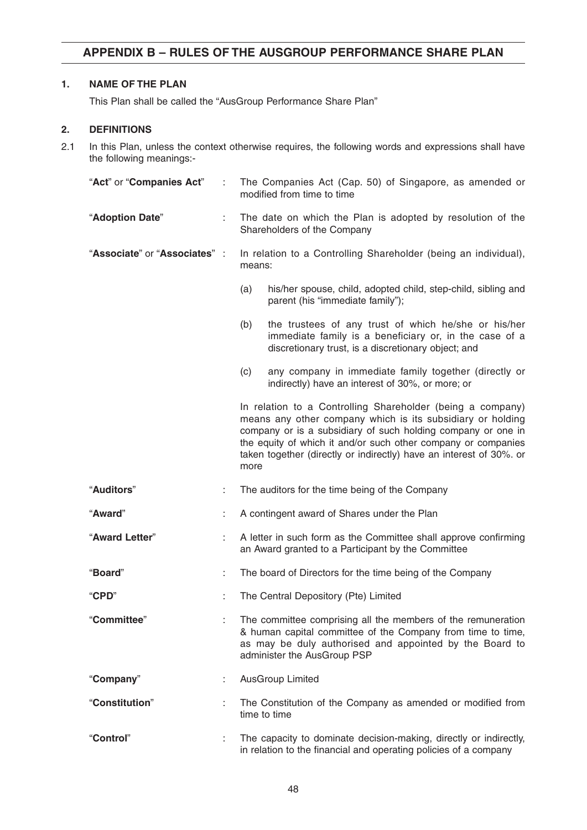### **1. NAME OF THE PLAN**

This Plan shall be called the "AusGroup Performance Share Plan"

#### **2. DEFINITIONS**

2.1 In this Plan, unless the context otherwise requires, the following words and expressions shall have the following meanings:-

| "Act" or "Companies Act"      | ÷  | The Companies Act (Cap. 50) of Singapore, as amended or<br>modified from time to time                                                                                                                                                                                                                                                    |  |
|-------------------------------|----|------------------------------------------------------------------------------------------------------------------------------------------------------------------------------------------------------------------------------------------------------------------------------------------------------------------------------------------|--|
| "Adoption Date"               | ÷. | The date on which the Plan is adopted by resolution of the<br>Shareholders of the Company                                                                                                                                                                                                                                                |  |
| "Associate" or "Associates" : |    | In relation to a Controlling Shareholder (being an individual),<br>means:                                                                                                                                                                                                                                                                |  |
|                               |    | (a)<br>his/her spouse, child, adopted child, step-child, sibling and<br>parent (his "immediate family");                                                                                                                                                                                                                                 |  |
|                               |    | (b)<br>the trustees of any trust of which he/she or his/her<br>immediate family is a beneficiary or, in the case of a<br>discretionary trust, is a discretionary object; and                                                                                                                                                             |  |
|                               |    | (c)<br>any company in immediate family together (directly or<br>indirectly) have an interest of 30%, or more; or                                                                                                                                                                                                                         |  |
|                               |    | In relation to a Controlling Shareholder (being a company)<br>means any other company which is its subsidiary or holding<br>company or is a subsidiary of such holding company or one in<br>the equity of which it and/or such other company or companies<br>taken together (directly or indirectly) have an interest of 30%. or<br>more |  |
| "Auditors"                    | ÷  | The auditors for the time being of the Company                                                                                                                                                                                                                                                                                           |  |
| "Award"                       | t  | A contingent award of Shares under the Plan                                                                                                                                                                                                                                                                                              |  |
| "Award Letter"                |    | A letter in such form as the Committee shall approve confirming<br>an Award granted to a Participant by the Committee                                                                                                                                                                                                                    |  |
| "Board"                       | ÷  | The board of Directors for the time being of the Company                                                                                                                                                                                                                                                                                 |  |
| "CPD"                         |    | The Central Depository (Pte) Limited                                                                                                                                                                                                                                                                                                     |  |
| "Committee"                   |    | The committee comprising all the members of the remuneration<br>& human capital committee of the Company from time to time,<br>as may be duly authorised and appointed by the Board to<br>administer the AusGroup PSP                                                                                                                    |  |
| "Company"                     |    | <b>AusGroup Limited</b>                                                                                                                                                                                                                                                                                                                  |  |
| "Constitution"                |    | The Constitution of the Company as amended or modified from<br>time to time                                                                                                                                                                                                                                                              |  |
| "Control"                     |    | The capacity to dominate decision-making, directly or indirectly,<br>in relation to the financial and operating policies of a company                                                                                                                                                                                                    |  |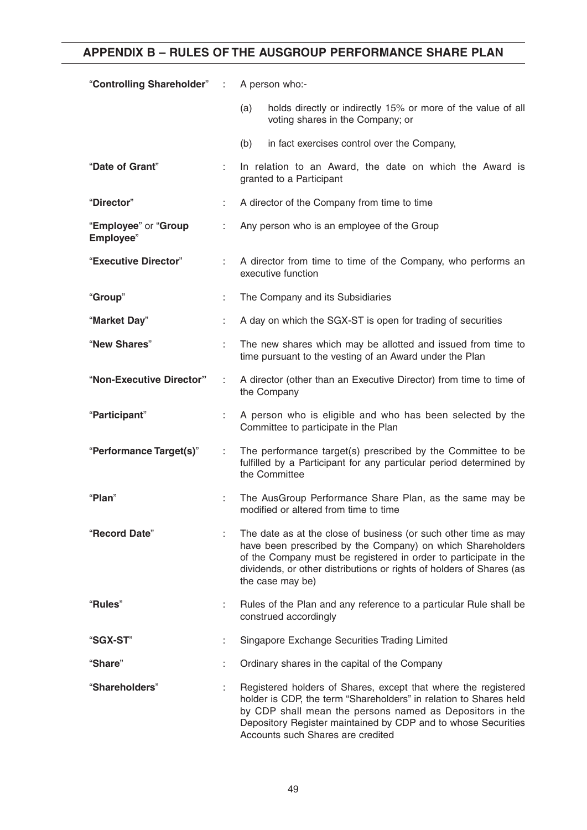| "Controlling Shareholder" :       |   | A person who:-                                                                                                                                                                                                                                                                                        |  |
|-----------------------------------|---|-------------------------------------------------------------------------------------------------------------------------------------------------------------------------------------------------------------------------------------------------------------------------------------------------------|--|
|                                   |   | holds directly or indirectly 15% or more of the value of all<br>(a)<br>voting shares in the Company; or                                                                                                                                                                                               |  |
|                                   |   | (b)<br>in fact exercises control over the Company,                                                                                                                                                                                                                                                    |  |
| "Date of Grant"                   |   | In relation to an Award, the date on which the Award is<br>granted to a Participant                                                                                                                                                                                                                   |  |
| "Director"                        |   | A director of the Company from time to time                                                                                                                                                                                                                                                           |  |
| "Employee" or "Group<br>Employee" |   | Any person who is an employee of the Group                                                                                                                                                                                                                                                            |  |
| "Executive Director"              |   | A director from time to time of the Company, who performs an<br>executive function                                                                                                                                                                                                                    |  |
| "Group"                           | ÷ | The Company and its Subsidiaries                                                                                                                                                                                                                                                                      |  |
| "Market Day"                      |   | A day on which the SGX-ST is open for trading of securities                                                                                                                                                                                                                                           |  |
| "New Shares"                      |   | The new shares which may be allotted and issued from time to<br>time pursuant to the vesting of an Award under the Plan                                                                                                                                                                               |  |
| "Non-Executive Director"          |   | A director (other than an Executive Director) from time to time of<br>the Company                                                                                                                                                                                                                     |  |
| "Participant"                     |   | A person who is eligible and who has been selected by the<br>Committee to participate in the Plan                                                                                                                                                                                                     |  |
| "Performance Target(s)"           |   | The performance target(s) prescribed by the Committee to be<br>fulfilled by a Participant for any particular period determined by<br>the Committee                                                                                                                                                    |  |
| "Plan"                            |   | The AusGroup Performance Share Plan, as the same may be<br>modified or altered from time to time                                                                                                                                                                                                      |  |
| "Record Date"                     |   | The date as at the close of business (or such other time as may<br>have been prescribed by the Company) on which Shareholders<br>of the Company must be registered in order to participate in the<br>dividends, or other distributions or rights of holders of Shares (as<br>the case may be)         |  |
| "Rules"                           |   | Rules of the Plan and any reference to a particular Rule shall be<br>construed accordingly                                                                                                                                                                                                            |  |
| "SGX-ST"                          |   | Singapore Exchange Securities Trading Limited                                                                                                                                                                                                                                                         |  |
| "Share"                           |   | Ordinary shares in the capital of the Company                                                                                                                                                                                                                                                         |  |
| "Shareholders"                    |   | Registered holders of Shares, except that where the registered<br>holder is CDP, the term "Shareholders" in relation to Shares held<br>by CDP shall mean the persons named as Depositors in the<br>Depository Register maintained by CDP and to whose Securities<br>Accounts such Shares are credited |  |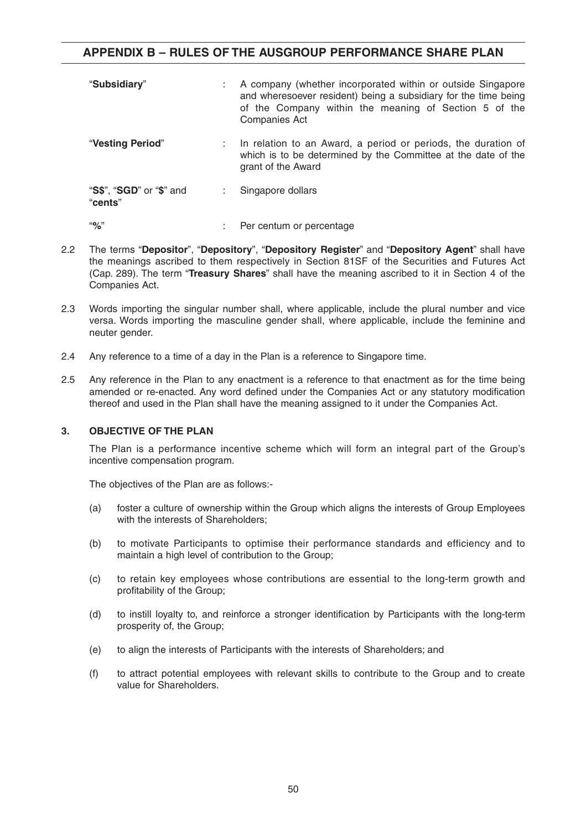| "Subsidiary"                        | A company (whether incorporated within or outside Singapore<br>and wheresoever resident) being a subsidiary for the time being<br>of the Company within the meaning of Section 5 of the<br><b>Companies Act</b> |
|-------------------------------------|-----------------------------------------------------------------------------------------------------------------------------------------------------------------------------------------------------------------|
| "Vesting Period"                    | : In relation to an Award, a period or periods, the duration of<br>which is to be determined by the Committee at the date of the<br>grant of the Award                                                          |
| "S\$", "SGD" or "\$" and<br>"cents" | Singapore dollars                                                                                                                                                                                               |
| "9'                                 | Per centum or percentage                                                                                                                                                                                        |

- 2.2 The terms "**Depositor**", "**Depository**", "**Depository Register**" and "**Depository Agent**" shall have the meanings ascribed to them respectively in Section 81SF of the Securities and Futures Act (Cap. 289). The term "**Treasury Shares**" shall have the meaning ascribed to it in Section 4 of the Companies Act.
- 2.3 Words importing the singular number shall, where applicable, include the plural number and vice versa. Words importing the masculine gender shall, where applicable, include the feminine and neuter gender.
- 2.4 Any reference to a time of a day in the Plan is a reference to Singapore time.
- 2.5 Any reference in the Plan to any enactment is a reference to that enactment as for the time being amended or re-enacted. Any word defined under the Companies Act or any statutory modification thereof and used in the Plan shall have the meaning assigned to it under the Companies Act.

#### **3. OBJECTIVE OF THE PLAN**

The Plan is a performance incentive scheme which will form an integral part of the Group's incentive compensation program.

The objectives of the Plan are as follows:-

- (a) foster a culture of ownership within the Group which aligns the interests of Group Employees with the interests of Shareholders;
- (b) to motivate Participants to optimise their performance standards and efficiency and to maintain a high level of contribution to the Group;
- (c) to retain key employees whose contributions are essential to the long-term growth and profitability of the Group;
- (d) to instill loyalty to, and reinforce a stronger identification by Participants with the long-term prosperity of, the Group;
- (e) to align the interests of Participants with the interests of Shareholders; and
- (f) to attract potential employees with relevant skills to contribute to the Group and to create value for Shareholders.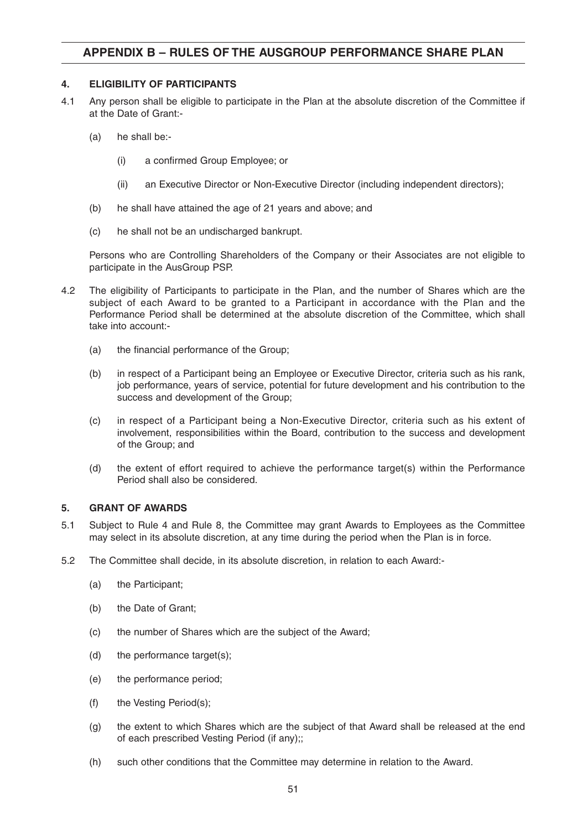#### **4. ELIGIBILITY OF PARTICIPANTS**

- 4.1 Any person shall be eligible to participate in the Plan at the absolute discretion of the Committee if at the Date of Grant:-
	- (a) he shall be:-
		- (i) a confirmed Group Employee; or
		- (ii) an Executive Director or Non-Executive Director (including independent directors);
	- (b) he shall have attained the age of 21 years and above; and
	- (c) he shall not be an undischarged bankrupt.

Persons who are Controlling Shareholders of the Company or their Associates are not eligible to participate in the AusGroup PSP.

- 4.2 The eligibility of Participants to participate in the Plan, and the number of Shares which are the subject of each Award to be granted to a Participant in accordance with the Plan and the Performance Period shall be determined at the absolute discretion of the Committee, which shall take into account:-
	- (a) the financial performance of the Group;
	- (b) in respect of a Participant being an Employee or Executive Director, criteria such as his rank, job performance, years of service, potential for future development and his contribution to the success and development of the Group;
	- (c) in respect of a Participant being a Non-Executive Director, criteria such as his extent of involvement, responsibilities within the Board, contribution to the success and development of the Group; and
	- (d) the extent of effort required to achieve the performance target(s) within the Performance Period shall also be considered.

#### **5. GRANT OF AWARDS**

- 5.1 Subject to Rule 4 and Rule 8, the Committee may grant Awards to Employees as the Committee may select in its absolute discretion, at any time during the period when the Plan is in force.
- 5.2 The Committee shall decide, in its absolute discretion, in relation to each Award:-
	- (a) the Participant;
	- (b) the Date of Grant;
	- (c) the number of Shares which are the subject of the Award;
	- (d) the performance target(s);
	- (e) the performance period;
	- (f) the Vesting Period(s);
	- (g) the extent to which Shares which are the subject of that Award shall be released at the end of each prescribed Vesting Period (if any);;
	- (h) such other conditions that the Committee may determine in relation to the Award.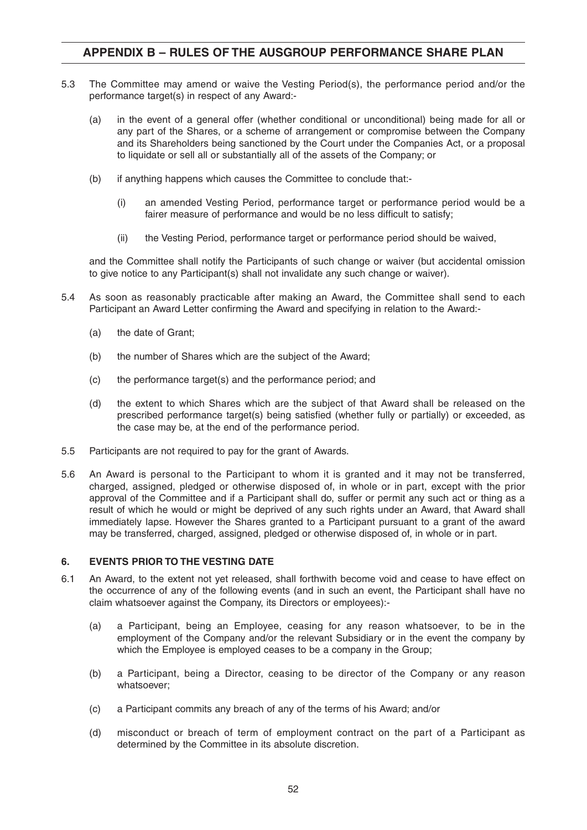- 5.3 The Committee may amend or waive the Vesting Period(s), the performance period and/or the performance target(s) in respect of any Award:-
	- (a) in the event of a general offer (whether conditional or unconditional) being made for all or any part of the Shares, or a scheme of arrangement or compromise between the Company and its Shareholders being sanctioned by the Court under the Companies Act, or a proposal to liquidate or sell all or substantially all of the assets of the Company; or
	- (b) if anything happens which causes the Committee to conclude that:-
		- (i) an amended Vesting Period, performance target or performance period would be a fairer measure of performance and would be no less difficult to satisfy;
		- (ii) the Vesting Period, performance target or performance period should be waived,

and the Committee shall notify the Participants of such change or waiver (but accidental omission to give notice to any Participant(s) shall not invalidate any such change or waiver).

- 5.4 As soon as reasonably practicable after making an Award, the Committee shall send to each Participant an Award Letter confirming the Award and specifying in relation to the Award:-
	- (a) the date of Grant;
	- (b) the number of Shares which are the subject of the Award;
	- (c) the performance target(s) and the performance period; and
	- (d) the extent to which Shares which are the subject of that Award shall be released on the prescribed performance target(s) being satisfied (whether fully or partially) or exceeded, as the case may be, at the end of the performance period.
- 5.5 Participants are not required to pay for the grant of Awards.
- 5.6 An Award is personal to the Participant to whom it is granted and it may not be transferred, charged, assigned, pledged or otherwise disposed of, in whole or in part, except with the prior approval of the Committee and if a Participant shall do, suffer or permit any such act or thing as a result of which he would or might be deprived of any such rights under an Award, that Award shall immediately lapse. However the Shares granted to a Participant pursuant to a grant of the award may be transferred, charged, assigned, pledged or otherwise disposed of, in whole or in part.

#### **6. EVENTS PRIOR TO THE VESTING DATE**

- 6.1 An Award, to the extent not yet released, shall forthwith become void and cease to have effect on the occurrence of any of the following events (and in such an event, the Participant shall have no claim whatsoever against the Company, its Directors or employees):-
	- (a) a Participant, being an Employee, ceasing for any reason whatsoever, to be in the employment of the Company and/or the relevant Subsidiary or in the event the company by which the Employee is employed ceases to be a company in the Group;
	- (b) a Participant, being a Director, ceasing to be director of the Company or any reason whatsoever;
	- (c) a Participant commits any breach of any of the terms of his Award; and/or
	- (d) misconduct or breach of term of employment contract on the part of a Participant as determined by the Committee in its absolute discretion.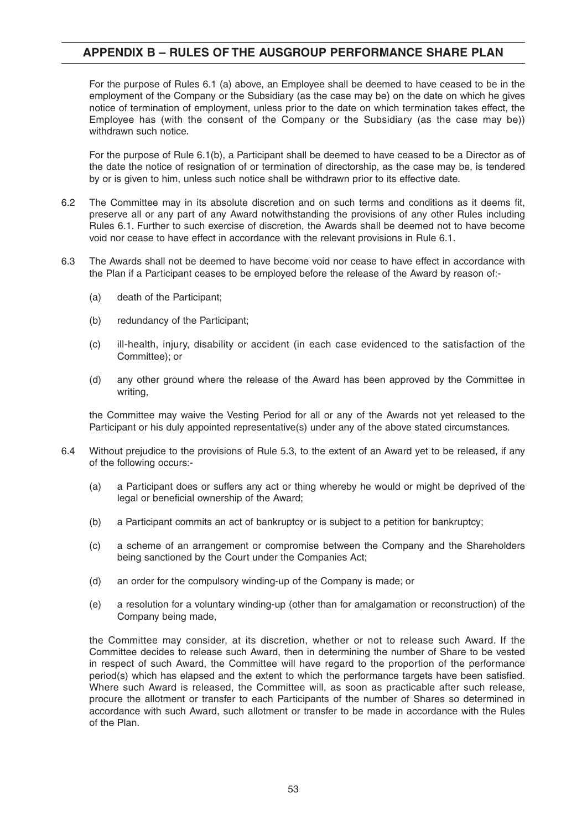For the purpose of Rules 6.1 (a) above, an Employee shall be deemed to have ceased to be in the employment of the Company or the Subsidiary (as the case may be) on the date on which he gives notice of termination of employment, unless prior to the date on which termination takes effect, the Employee has (with the consent of the Company or the Subsidiary (as the case may be)) withdrawn such notice.

For the purpose of Rule 6.1(b), a Participant shall be deemed to have ceased to be a Director as of the date the notice of resignation of or termination of directorship, as the case may be, is tendered by or is given to him, unless such notice shall be withdrawn prior to its effective date.

- 6.2 The Committee may in its absolute discretion and on such terms and conditions as it deems fit, preserve all or any part of any Award notwithstanding the provisions of any other Rules including Rules 6.1. Further to such exercise of discretion, the Awards shall be deemed not to have become void nor cease to have effect in accordance with the relevant provisions in Rule 6.1.
- 6.3 The Awards shall not be deemed to have become void nor cease to have effect in accordance with the Plan if a Participant ceases to be employed before the release of the Award by reason of:-
	- (a) death of the Participant;
	- (b) redundancy of the Participant;
	- (c) ill-health, injury, disability or accident (in each case evidenced to the satisfaction of the Committee); or
	- (d) any other ground where the release of the Award has been approved by the Committee in writing,

the Committee may waive the Vesting Period for all or any of the Awards not yet released to the Participant or his duly appointed representative(s) under any of the above stated circumstances.

- 6.4 Without prejudice to the provisions of Rule 5.3, to the extent of an Award yet to be released, if any of the following occurs:-
	- (a) a Participant does or suffers any act or thing whereby he would or might be deprived of the legal or beneficial ownership of the Award;
	- (b) a Participant commits an act of bankruptcy or is subject to a petition for bankruptcy;
	- (c) a scheme of an arrangement or compromise between the Company and the Shareholders being sanctioned by the Court under the Companies Act;
	- (d) an order for the compulsory winding-up of the Company is made; or
	- (e) a resolution for a voluntary winding-up (other than for amalgamation or reconstruction) of the Company being made,

the Committee may consider, at its discretion, whether or not to release such Award. If the Committee decides to release such Award, then in determining the number of Share to be vested in respect of such Award, the Committee will have regard to the proportion of the performance period(s) which has elapsed and the extent to which the performance targets have been satisfied. Where such Award is released, the Committee will, as soon as practicable after such release, procure the allotment or transfer to each Participants of the number of Shares so determined in accordance with such Award, such allotment or transfer to be made in accordance with the Rules of the Plan.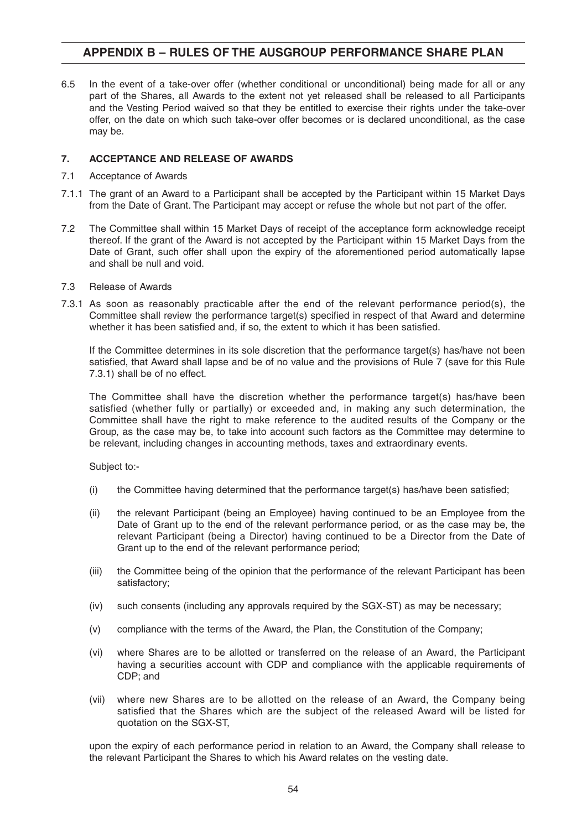6.5 In the event of a take-over offer (whether conditional or unconditional) being made for all or any part of the Shares, all Awards to the extent not yet released shall be released to all Participants and the Vesting Period waived so that they be entitled to exercise their rights under the take-over offer, on the date on which such take-over offer becomes or is declared unconditional, as the case may be.

#### **7. ACCEPTANCE AND RELEASE OF AWARDS**

- 7.1 Acceptance of Awards
- 7.1.1 The grant of an Award to a Participant shall be accepted by the Participant within 15 Market Days from the Date of Grant. The Participant may accept or refuse the whole but not part of the offer.
- 7.2 The Committee shall within 15 Market Days of receipt of the acceptance form acknowledge receipt thereof. If the grant of the Award is not accepted by the Participant within 15 Market Days from the Date of Grant, such offer shall upon the expiry of the aforementioned period automatically lapse and shall be null and void.
- 7.3 Release of Awards
- 7.3.1 As soon as reasonably practicable after the end of the relevant performance period(s), the Committee shall review the performance target(s) specified in respect of that Award and determine whether it has been satisfied and, if so, the extent to which it has been satisfied.

If the Committee determines in its sole discretion that the performance target(s) has/have not been satisfied, that Award shall lapse and be of no value and the provisions of Rule 7 (save for this Rule 7.3.1) shall be of no effect.

The Committee shall have the discretion whether the performance target(s) has/have been satisfied (whether fully or partially) or exceeded and, in making any such determination, the Committee shall have the right to make reference to the audited results of the Company or the Group, as the case may be, to take into account such factors as the Committee may determine to be relevant, including changes in accounting methods, taxes and extraordinary events.

Subject to:-

- (i) the Committee having determined that the performance target(s) has/have been satisfied;
- (ii) the relevant Participant (being an Employee) having continued to be an Employee from the Date of Grant up to the end of the relevant performance period, or as the case may be, the relevant Participant (being a Director) having continued to be a Director from the Date of Grant up to the end of the relevant performance period;
- (iii) the Committee being of the opinion that the performance of the relevant Participant has been satisfactory;
- (iv) such consents (including any approvals required by the SGX-ST) as may be necessary;
- (v) compliance with the terms of the Award, the Plan, the Constitution of the Company;
- (vi) where Shares are to be allotted or transferred on the release of an Award, the Participant having a securities account with CDP and compliance with the applicable requirements of CDP; and
- (vii) where new Shares are to be allotted on the release of an Award, the Company being satisfied that the Shares which are the subject of the released Award will be listed for quotation on the SGX-ST,

upon the expiry of each performance period in relation to an Award, the Company shall release to the relevant Participant the Shares to which his Award relates on the vesting date.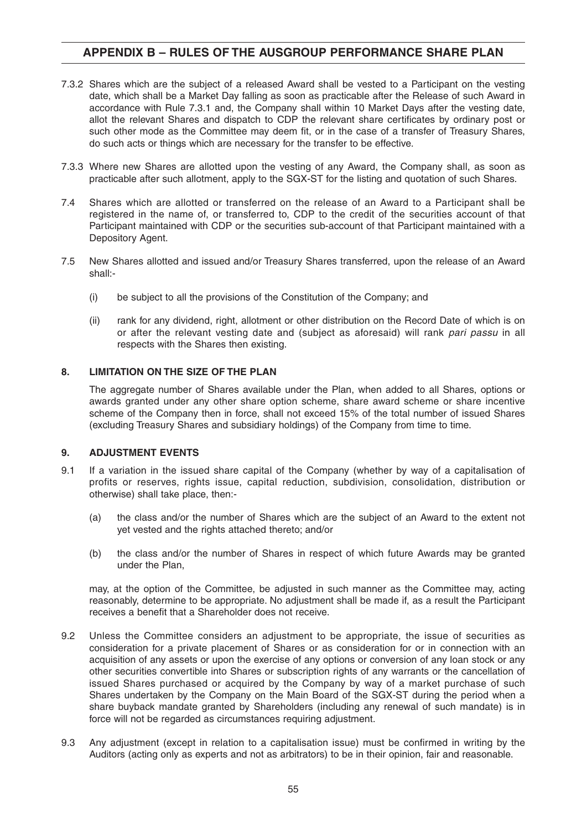- 7.3.2 Shares which are the subject of a released Award shall be vested to a Participant on the vesting date, which shall be a Market Day falling as soon as practicable after the Release of such Award in accordance with Rule 7.3.1 and, the Company shall within 10 Market Days after the vesting date, allot the relevant Shares and dispatch to CDP the relevant share certificates by ordinary post or such other mode as the Committee may deem fit, or in the case of a transfer of Treasury Shares, do such acts or things which are necessary for the transfer to be effective.
- 7.3.3 Where new Shares are allotted upon the vesting of any Award, the Company shall, as soon as practicable after such allotment, apply to the SGX-ST for the listing and quotation of such Shares.
- 7.4 Shares which are allotted or transferred on the release of an Award to a Participant shall be registered in the name of, or transferred to, CDP to the credit of the securities account of that Participant maintained with CDP or the securities sub-account of that Participant maintained with a Depository Agent.
- 7.5 New Shares allotted and issued and/or Treasury Shares transferred, upon the release of an Award shall:-
	- (i) be subject to all the provisions of the Constitution of the Company; and
	- (ii) rank for any dividend, right, allotment or other distribution on the Record Date of which is on or after the relevant vesting date and (subject as aforesaid) will rank pari passu in all respects with the Shares then existing.

#### **8. LIMITATION ON THE SIZE OF THE PLAN**

The aggregate number of Shares available under the Plan, when added to all Shares, options or awards granted under any other share option scheme, share award scheme or share incentive scheme of the Company then in force, shall not exceed 15% of the total number of issued Shares (excluding Treasury Shares and subsidiary holdings) of the Company from time to time.

#### **9. ADJUSTMENT EVENTS**

- 9.1 If a variation in the issued share capital of the Company (whether by way of a capitalisation of profits or reserves, rights issue, capital reduction, subdivision, consolidation, distribution or otherwise) shall take place, then:-
	- (a) the class and/or the number of Shares which are the subject of an Award to the extent not yet vested and the rights attached thereto; and/or
	- (b) the class and/or the number of Shares in respect of which future Awards may be granted under the Plan,

may, at the option of the Committee, be adjusted in such manner as the Committee may, acting reasonably, determine to be appropriate. No adjustment shall be made if, as a result the Participant receives a benefit that a Shareholder does not receive.

- 9.2 Unless the Committee considers an adjustment to be appropriate, the issue of securities as consideration for a private placement of Shares or as consideration for or in connection with an acquisition of any assets or upon the exercise of any options or conversion of any loan stock or any other securities convertible into Shares or subscription rights of any warrants or the cancellation of issued Shares purchased or acquired by the Company by way of a market purchase of such Shares undertaken by the Company on the Main Board of the SGX-ST during the period when a share buyback mandate granted by Shareholders (including any renewal of such mandate) is in force will not be regarded as circumstances requiring adjustment.
- 9.3 Any adjustment (except in relation to a capitalisation issue) must be confirmed in writing by the Auditors (acting only as experts and not as arbitrators) to be in their opinion, fair and reasonable.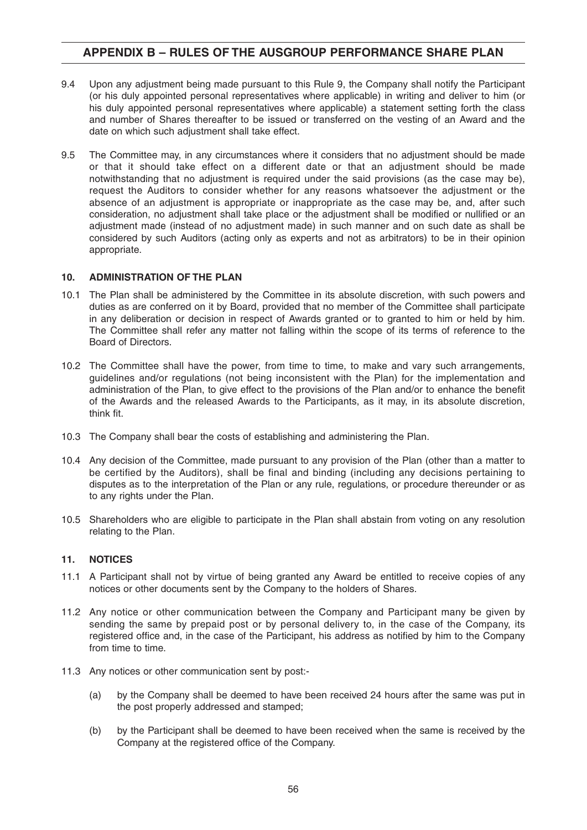- 9.4 Upon any adjustment being made pursuant to this Rule 9, the Company shall notify the Participant (or his duly appointed personal representatives where applicable) in writing and deliver to him (or his duly appointed personal representatives where applicable) a statement setting forth the class and number of Shares thereafter to be issued or transferred on the vesting of an Award and the date on which such adjustment shall take effect.
- 9.5 The Committee may, in any circumstances where it considers that no adjustment should be made or that it should take effect on a different date or that an adjustment should be made notwithstanding that no adjustment is required under the said provisions (as the case may be), request the Auditors to consider whether for any reasons whatsoever the adjustment or the absence of an adjustment is appropriate or inappropriate as the case may be, and, after such consideration, no adjustment shall take place or the adjustment shall be modified or nullified or an adjustment made (instead of no adjustment made) in such manner and on such date as shall be considered by such Auditors (acting only as experts and not as arbitrators) to be in their opinion appropriate.

#### **10. ADMINISTRATION OF THE PLAN**

- 10.1 The Plan shall be administered by the Committee in its absolute discretion, with such powers and duties as are conferred on it by Board, provided that no member of the Committee shall participate in any deliberation or decision in respect of Awards granted or to granted to him or held by him. The Committee shall refer any matter not falling within the scope of its terms of reference to the Board of Directors.
- 10.2 The Committee shall have the power, from time to time, to make and vary such arrangements, guidelines and/or regulations (not being inconsistent with the Plan) for the implementation and administration of the Plan, to give effect to the provisions of the Plan and/or to enhance the benefit of the Awards and the released Awards to the Participants, as it may, in its absolute discretion, think fit.
- 10.3 The Company shall bear the costs of establishing and administering the Plan.
- 10.4 Any decision of the Committee, made pursuant to any provision of the Plan (other than a matter to be certified by the Auditors), shall be final and binding (including any decisions pertaining to disputes as to the interpretation of the Plan or any rule, regulations, or procedure thereunder or as to any rights under the Plan.
- 10.5 Shareholders who are eligible to participate in the Plan shall abstain from voting on any resolution relating to the Plan.

#### **11. NOTICES**

- 11.1 A Participant shall not by virtue of being granted any Award be entitled to receive copies of any notices or other documents sent by the Company to the holders of Shares.
- 11.2 Any notice or other communication between the Company and Participant many be given by sending the same by prepaid post or by personal delivery to, in the case of the Company, its registered office and, in the case of the Participant, his address as notified by him to the Company from time to time.
- 11.3 Any notices or other communication sent by post:-
	- (a) by the Company shall be deemed to have been received 24 hours after the same was put in the post properly addressed and stamped;
	- (b) by the Participant shall be deemed to have been received when the same is received by the Company at the registered office of the Company.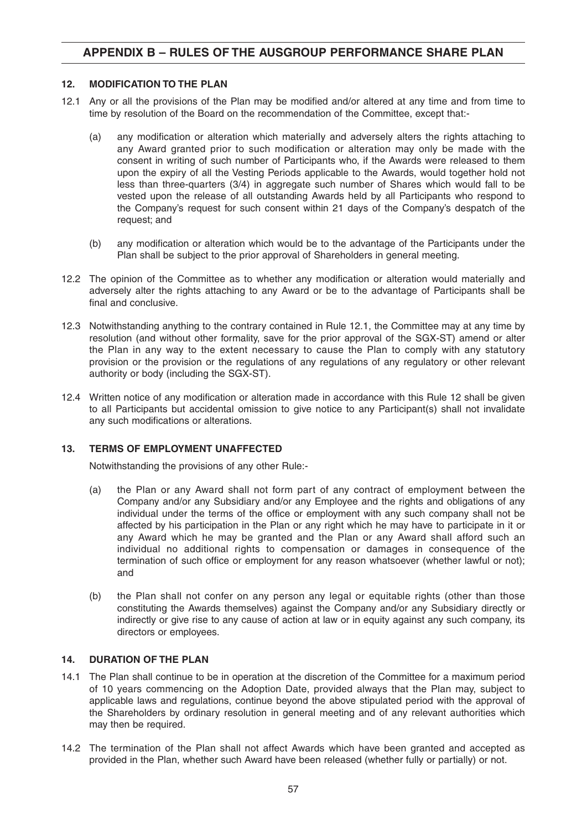#### **12. MODIFICATION TO THE PLAN**

- 12.1 Any or all the provisions of the Plan may be modified and/or altered at any time and from time to time by resolution of the Board on the recommendation of the Committee, except that:-
	- (a) any modification or alteration which materialIy and adversely alters the rights attaching to any Award granted prior to such modification or alteration may only be made with the consent in writing of such number of Participants who, if the Awards were released to them upon the expiry of all the Vesting Periods applicable to the Awards, would together hold not less than three-quarters (3/4) in aggregate such number of Shares which would fall to be vested upon the release of all outstanding Awards held by all Participants who respond to the Company's request for such consent within 21 days of the Company's despatch of the request; and
	- (b) any modification or alteration which would be to the advantage of the Participants under the Plan shall be subject to the prior approval of Shareholders in general meeting.
- 12.2 The opinion of the Committee as to whether any modification or alteration would materially and adversely alter the rights attaching to any Award or be to the advantage of Participants shall be final and conclusive.
- 12.3 Notwithstanding anything to the contrary contained in Rule 12.1, the Committee may at any time by resolution (and without other formality, save for the prior approval of the SGX-ST) amend or alter the Plan in any way to the extent necessary to cause the Plan to comply with any statutory provision or the provision or the regulations of any regulations of any regulatory or other relevant authority or body (including the SGX-ST).
- 12.4 Written notice of any modification or alteration made in accordance with this Rule 12 shall be given to all Participants but accidental omission to give notice to any Participant(s) shall not invalidate any such modifications or alterations.

#### **13. TERMS OF EMPLOYMENT UNAFFECTED**

Notwithstanding the provisions of any other Rule:-

- (a) the Plan or any Award shall not form part of any contract of employment between the Company and/or any Subsidiary and/or any Employee and the rights and obligations of any individual under the terms of the office or employment with any such company shall not be affected by his participation in the Plan or any right which he may have to participate in it or any Award which he may be granted and the Plan or any Award shall afford such an individual no additional rights to compensation or damages in consequence of the termination of such office or employment for any reason whatsoever (whether lawful or not); and
- (b) the Plan shall not confer on any person any legal or equitable rights (other than those constituting the Awards themselves) against the Company and/or any Subsidiary directly or indirectly or give rise to any cause of action at law or in equity against any such company, its directors or employees.

#### **14. DURATION OF THE PLAN**

- 14.1 The Plan shall continue to be in operation at the discretion of the Committee for a maximum period of 10 years commencing on the Adoption Date, provided always that the Plan may, subject to applicable laws and regulations, continue beyond the above stipulated period with the approval of the Shareholders by ordinary resolution in general meeting and of any relevant authorities which may then be required.
- 14.2 The termination of the Plan shall not affect Awards which have been granted and accepted as provided in the Plan, whether such Award have been released (whether fully or partially) or not.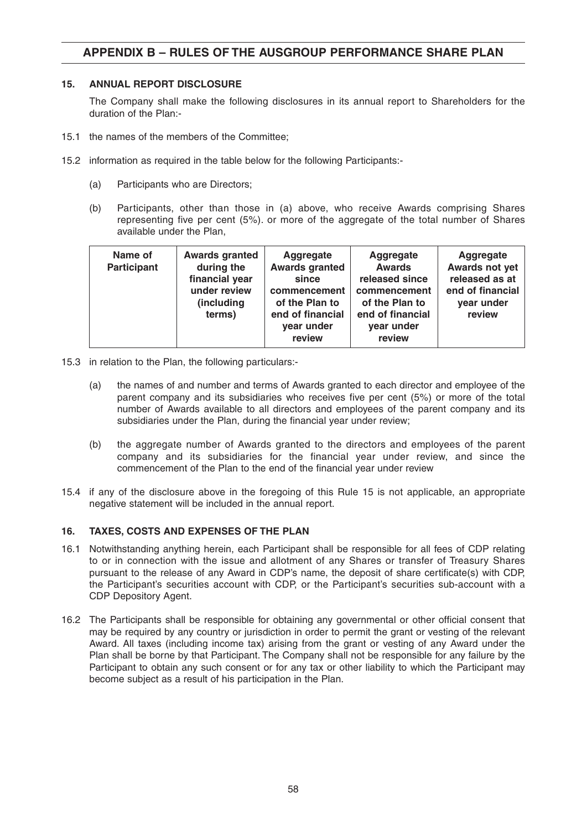#### **15. ANNUAL REPORT DISCLOSURE**

The Company shall make the following disclosures in its annual report to Shareholders for the duration of the Plan:-

- 15.1 the names of the members of the Committee;
- 15.2 information as required in the table below for the following Participants:-
	- (a) Participants who are Directors;
	- (b) Participants, other than those in (a) above, who receive Awards comprising Shares representing five per cent (5%). or more of the aggregate of the total number of Shares available under the Plan,

| Name of<br><b>Participant</b> | <b>Awards granted</b><br>during the<br>financial year<br>under review<br>(including<br>terms) | Aggregate<br><b>Awards granted</b><br>since<br>commencement<br>of the Plan to<br>end of financial<br>year under<br>review | Aggregate<br><b>Awards</b><br>released since<br>commencement<br>of the Plan to<br>end of financial<br>year under<br>review | <b>Aggregate</b><br>Awards not yet<br>released as at<br>end of financial<br>year under<br>review |
|-------------------------------|-----------------------------------------------------------------------------------------------|---------------------------------------------------------------------------------------------------------------------------|----------------------------------------------------------------------------------------------------------------------------|--------------------------------------------------------------------------------------------------|
|-------------------------------|-----------------------------------------------------------------------------------------------|---------------------------------------------------------------------------------------------------------------------------|----------------------------------------------------------------------------------------------------------------------------|--------------------------------------------------------------------------------------------------|

- 15.3 in relation to the Plan, the following particulars:-
	- (a) the names of and number and terms of Awards granted to each director and employee of the parent company and its subsidiaries who receives five per cent (5%) or more of the total number of Awards available to all directors and employees of the parent company and its subsidiaries under the Plan, during the financial year under review;
	- (b) the aggregate number of Awards granted to the directors and employees of the parent company and its subsidiaries for the financial year under review, and since the commencement of the Plan to the end of the financial year under review
- 15.4 if any of the disclosure above in the foregoing of this Rule 15 is not applicable, an appropriate negative statement will be included in the annual report.

#### **16. TAXES, COSTS AND EXPENSES OF THE PLAN**

- 16.1 Notwithstanding anything herein, each Participant shall be responsible for all fees of CDP relating to or in connection with the issue and allotment of any Shares or transfer of Treasury Shares pursuant to the release of any Award in CDP's name, the deposit of share certificate(s) with CDP, the Participant's securities account with CDP, or the Participant's securities sub-account with a CDP Depository Agent.
- 16.2 The Participants shall be responsible for obtaining any governmental or other official consent that may be required by any country or jurisdiction in order to permit the grant or vesting of the relevant Award. All taxes (including income tax) arising from the grant or vesting of any Award under the Plan shall be borne by that Participant. The Company shall not be responsible for any failure by the Participant to obtain any such consent or for any tax or other liability to which the Participant may become subject as a result of his participation in the Plan.